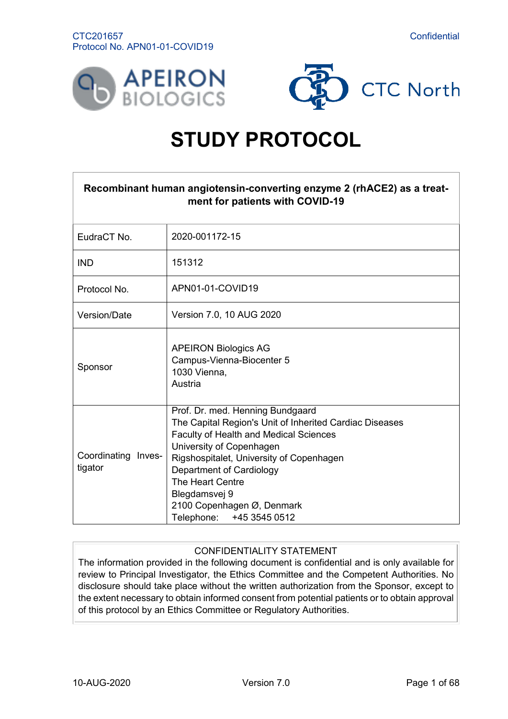



# **STUDY PROTOCOL**

<span id="page-0-0"></span>

| Recombinant human angiotensin-converting enzyme 2 (rhACE2) as a treat-<br>ment for patients with COVID-19 |                                                                                                                                                                                                                                                                                                                                          |  |
|-----------------------------------------------------------------------------------------------------------|------------------------------------------------------------------------------------------------------------------------------------------------------------------------------------------------------------------------------------------------------------------------------------------------------------------------------------------|--|
| EudraCT No.                                                                                               | 2020-001172-15                                                                                                                                                                                                                                                                                                                           |  |
| <b>IND</b>                                                                                                | 151312                                                                                                                                                                                                                                                                                                                                   |  |
| Protocol No.                                                                                              | APN01-01-COVID19                                                                                                                                                                                                                                                                                                                         |  |
| Version/Date                                                                                              | Version 7.0, 10 AUG 2020                                                                                                                                                                                                                                                                                                                 |  |
| Sponsor                                                                                                   | <b>APEIRON Biologics AG</b><br>Campus-Vienna-Biocenter 5<br>1030 Vienna,<br>Austria                                                                                                                                                                                                                                                      |  |
| Coordinating Inves-<br>tigator                                                                            | Prof. Dr. med. Henning Bundgaard<br>The Capital Region's Unit of Inherited Cardiac Diseases<br>Faculty of Health and Medical Sciences<br>University of Copenhagen<br>Rigshospitalet, University of Copenhagen<br>Department of Cardiology<br>The Heart Centre<br>Blegdamsvej 9<br>2100 Copenhagen Ø, Denmark<br>Telephone: +45 3545 0512 |  |

# CONFIDENTIALITY STATEMENT

The information provided in the following document is confidential and is only available for review to Principal Investigator, the Ethics Committee and the Competent Authorities. No disclosure should take place without the written authorization from the Sponsor, except to the extent necessary to obtain informed consent from potential patients or to obtain approval of this protocol by an Ethics Committee or Regulatory Authorities.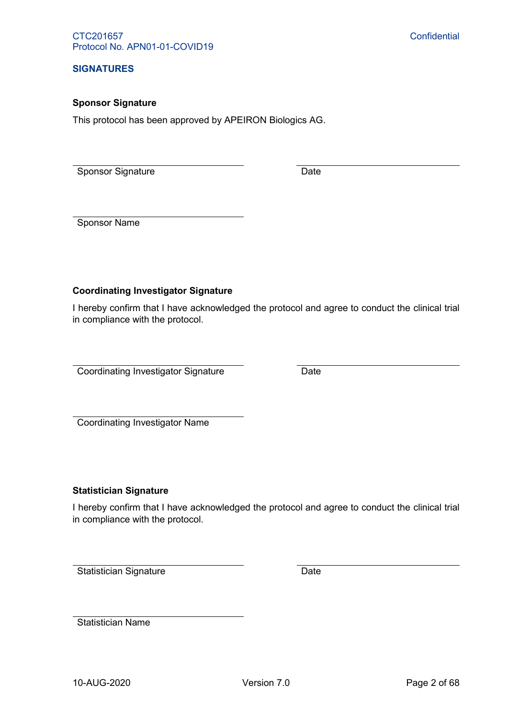#### **SIGNATURES**

#### **Sponsor Signature**

This protocol has been approved by APEIRON Biologics AG.

Sponsor Signature Date

Sponsor Name

# **Coordinating Investigator Signature**

I hereby confirm that I have acknowledged the protocol and agree to conduct the clinical trial in compliance with the protocol.

Coordinating Investigator Signature **Date** Date

Coordinating Investigator Name

#### **Statistician Signature**

I hereby confirm that I have acknowledged the protocol and agree to conduct the clinical trial in compliance with the protocol.

Statistician Signature Date

Statistician Name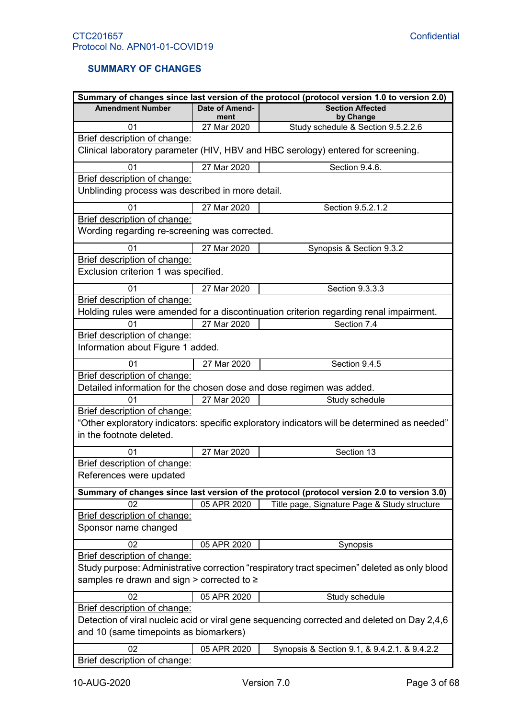# <span id="page-2-0"></span>**SUMMARY OF CHANGES**

|                                                  |                        | Summary of changes since last version of the protocol (protocol version 1.0 to version 2.0)  |
|--------------------------------------------------|------------------------|----------------------------------------------------------------------------------------------|
| <b>Amendment Number</b>                          | Date of Amend-<br>ment | <b>Section Affected</b><br>by Change                                                         |
| 01                                               | 27 Mar 2020            | Study schedule & Section 9.5.2.2.6                                                           |
| Brief description of change:                     |                        |                                                                                              |
|                                                  |                        | Clinical laboratory parameter (HIV, HBV and HBC serology) entered for screening.             |
| 01                                               | 27 Mar 2020            | Section 9.4.6.                                                                               |
| Brief description of change:                     |                        |                                                                                              |
| Unblinding process was described in more detail. |                        |                                                                                              |
| 01                                               | 27 Mar 2020            | Section 9.5.2.1.2                                                                            |
| Brief description of change:                     |                        |                                                                                              |
| Wording regarding re-screening was corrected.    |                        |                                                                                              |
| 01                                               | 27 Mar 2020            | Synopsis & Section 9.3.2                                                                     |
| Brief description of change:                     |                        |                                                                                              |
| Exclusion criterion 1 was specified.             |                        |                                                                                              |
| 01                                               | 27 Mar 2020            | Section 9.3.3.3                                                                              |
| Brief description of change:                     |                        |                                                                                              |
|                                                  |                        | Holding rules were amended for a discontinuation criterion regarding renal impairment.       |
| 01                                               | 27 Mar 2020            | Section 7.4                                                                                  |
| Brief description of change:                     |                        |                                                                                              |
| Information about Figure 1 added.                |                        |                                                                                              |
| 01                                               | 27 Mar 2020            | Section 9.4.5                                                                                |
| Brief description of change:                     |                        |                                                                                              |
|                                                  |                        | Detailed information for the chosen dose and dose regimen was added.                         |
| 01                                               | 27 Mar 2020            | Study schedule                                                                               |
| Brief description of change:                     |                        |                                                                                              |
| in the footnote deleted.                         |                        | "Other exploratory indicators: specific exploratory indicators will be determined as needed" |
|                                                  |                        |                                                                                              |
| 01                                               | 27 Mar 2020            | Section 13                                                                                   |
| Brief description of change:                     |                        |                                                                                              |
| References were updated                          |                        |                                                                                              |
|                                                  |                        | Summary of changes since last version of the protocol (protocol version 2.0 to version 3.0)  |
| 02                                               | 05 APR 2020            | Title page, Signature Page & Study structure                                                 |
| Brief description of change:                     |                        |                                                                                              |
| Sponsor name changed                             |                        |                                                                                              |
| 02                                               | 05 APR 2020            | Synopsis                                                                                     |
| Brief description of change:                     |                        |                                                                                              |
|                                                  |                        | Study purpose: Administrative correction "respiratory tract specimen" deleted as only blood  |
| samples re drawn and sign > corrected to ≥       |                        |                                                                                              |
| 02                                               | 05 APR 2020            | Study schedule                                                                               |
| Brief description of change:                     |                        |                                                                                              |
|                                                  |                        | Detection of viral nucleic acid or viral gene sequencing corrected and deleted on Day 2,4,6  |
| and 10 (same timepoints as biomarkers)           |                        |                                                                                              |
| 02                                               | 05 APR 2020            | Synopsis & Section 9.1, & 9.4.2.1. & 9.4.2.2                                                 |
| Brief description of change:                     |                        |                                                                                              |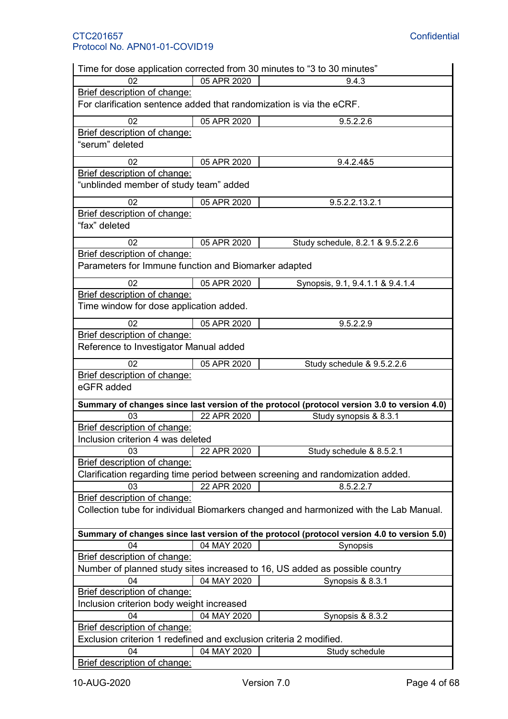|                                                                                       |             | Time for dose application corrected from 30 minutes to "3 to 30 minutes"                    |
|---------------------------------------------------------------------------------------|-------------|---------------------------------------------------------------------------------------------|
| 02                                                                                    | 05 APR 2020 | 9.4.3                                                                                       |
| Brief description of change:                                                          |             |                                                                                             |
| For clarification sentence added that randomization is via the eCRF.                  |             |                                                                                             |
| 02                                                                                    | 05 APR 2020 | 9.5.2.2.6                                                                                   |
| Brief description of change:                                                          |             |                                                                                             |
| "serum" deleted                                                                       |             |                                                                                             |
| 02                                                                                    | 05 APR 2020 | 9.4.2.4&5                                                                                   |
| Brief description of change:<br>"unblinded member of study team" added                |             |                                                                                             |
| 02                                                                                    | 05 APR 2020 | 9.5.2.2.13.2.1                                                                              |
| Brief description of change:                                                          |             |                                                                                             |
| "fax" deleted                                                                         |             |                                                                                             |
| 02                                                                                    | 05 APR 2020 | Study schedule, 8.2.1 & 9.5.2.2.6                                                           |
| Brief description of change:                                                          |             |                                                                                             |
| Parameters for Immune function and Biomarker adapted                                  |             |                                                                                             |
| 02                                                                                    | 05 APR 2020 | Synopsis, 9.1, 9.4.1.1 & 9.4.1.4                                                            |
| Brief description of change:                                                          |             |                                                                                             |
| Time window for dose application added.                                               |             |                                                                                             |
| 02                                                                                    | 05 APR 2020 | 9.5.2.2.9                                                                                   |
| Brief description of change:                                                          |             |                                                                                             |
| Reference to Investigator Manual added                                                |             |                                                                                             |
| 02                                                                                    | 05 APR 2020 | Study schedule & 9.5.2.2.6                                                                  |
| Brief description of change:<br>eGFR added                                            |             |                                                                                             |
|                                                                                       |             | Summary of changes since last version of the protocol (protocol version 3.0 to version 4.0) |
| 03                                                                                    | 22 APR 2020 | Study synopsis & 8.3.1                                                                      |
| Brief description of change:                                                          |             |                                                                                             |
| Inclusion criterion 4 was deleted                                                     |             |                                                                                             |
| 03                                                                                    | 22 APR 2020 | Study schedule & 8.5.2.1                                                                    |
| Brief description of change:                                                          |             |                                                                                             |
|                                                                                       |             | Clarification regarding time period between screening and randomization added.              |
| 03                                                                                    | 22 APR 2020 | 8.5.2.2.7                                                                                   |
| Brief description of change:                                                          |             |                                                                                             |
| Collection tube for individual Biomarkers changed and harmonized with the Lab Manual. |             |                                                                                             |
|                                                                                       |             | Summary of changes since last version of the protocol (protocol version 4.0 to version 5.0) |
| 04                                                                                    | 04 MAY 2020 | Synopsis                                                                                    |
| Brief description of change:                                                          |             |                                                                                             |
|                                                                                       |             | Number of planned study sites increased to 16, US added as possible country                 |
| 04                                                                                    | 04 MAY 2020 | Synopsis & 8.3.1                                                                            |
| Brief description of change:                                                          |             |                                                                                             |
| Inclusion criterion body weight increased                                             |             |                                                                                             |
| 04                                                                                    | 04 MAY 2020 | Synopsis & 8.3.2                                                                            |
| Brief description of change:                                                          |             |                                                                                             |
| Exclusion criterion 1 redefined and exclusion criteria 2 modified.                    |             |                                                                                             |
| 04                                                                                    | 04 MAY 2020 | Study schedule                                                                              |
| Brief description of change:                                                          |             |                                                                                             |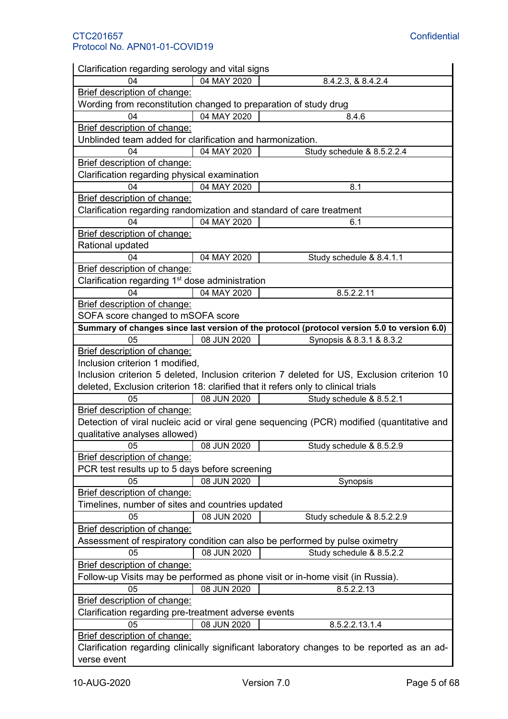| Clarification regarding serology and vital signs                 |             |                                                                                             |
|------------------------------------------------------------------|-------------|---------------------------------------------------------------------------------------------|
| 04                                                               | 04 MAY 2020 | 8.4.2.3, & 8.4.2.4                                                                          |
| Brief description of change:                                     |             |                                                                                             |
| Wording from reconstitution changed to preparation of study drug |             |                                                                                             |
| 04                                                               | 04 MAY 2020 | 8.4.6                                                                                       |
| Brief description of change:                                     |             |                                                                                             |
| Unblinded team added for clarification and harmonization.        |             |                                                                                             |
| 04                                                               | 04 MAY 2020 | Study schedule & 8.5.2.2.4                                                                  |
| Brief description of change:                                     |             |                                                                                             |
| Clarification regarding physical examination                     |             |                                                                                             |
| 04                                                               | 04 MAY 2020 | 8.1                                                                                         |
| Brief description of change:                                     |             |                                                                                             |
|                                                                  |             | Clarification regarding randomization and standard of care treatment                        |
| 04                                                               | 04 MAY 2020 | 6.1                                                                                         |
| Brief description of change:                                     |             |                                                                                             |
| Rational updated                                                 |             |                                                                                             |
| 04                                                               | 04 MAY 2020 | Study schedule & 8.4.1.1                                                                    |
| Brief description of change:                                     |             |                                                                                             |
| Clarification regarding 1 <sup>st</sup> dose administration      |             |                                                                                             |
| 04                                                               | 04 MAY 2020 | 8.5.2.2.11                                                                                  |
| Brief description of change:                                     |             |                                                                                             |
| SOFA score changed to mSOFA score                                |             |                                                                                             |
|                                                                  |             | Summary of changes since last version of the protocol (protocol version 5.0 to version 6.0) |
| 05                                                               | 08 JUN 2020 | Synopsis & 8.3.1 & 8.3.2                                                                    |
| Brief description of change:                                     |             |                                                                                             |
| Inclusion criterion 1 modified,                                  |             |                                                                                             |
|                                                                  |             | Inclusion criterion 5 deleted, Inclusion criterion 7 deleted for US, Exclusion criterion 10 |
|                                                                  |             |                                                                                             |
|                                                                  |             |                                                                                             |
|                                                                  |             | deleted, Exclusion criterion 18: clarified that it refers only to clinical trials           |
| 05                                                               | 08 JUN 2020 | Study schedule & 8.5.2.1                                                                    |
| Brief description of change:                                     |             |                                                                                             |
|                                                                  |             | Detection of viral nucleic acid or viral gene sequencing (PCR) modified (quantitative and   |
| qualitative analyses allowed)                                    |             |                                                                                             |
| 05                                                               | 08 JUN 2020 | Study schedule & 8.5.2.9                                                                    |
| Brief description of change:                                     |             |                                                                                             |
| PCR test results up to 5 days before screening                   |             |                                                                                             |
| 05                                                               | 08 JUN 2020 | Synopsis                                                                                    |
| Brief description of change:                                     |             |                                                                                             |
| Timelines, number of sites and countries updated                 |             |                                                                                             |
| 05                                                               | 08 JUN 2020 | Study schedule & 8.5.2.2.9                                                                  |
| Brief description of change:                                     |             |                                                                                             |
|                                                                  |             | Assessment of respiratory condition can also be performed by pulse oximetry                 |
| 05                                                               | 08 JUN 2020 | Study schedule & 8.5.2.2                                                                    |
| Brief description of change:                                     |             |                                                                                             |
|                                                                  |             | Follow-up Visits may be performed as phone visit or in-home visit (in Russia).              |
| 05                                                               | 08 JUN 2020 | 8.5.2.2.13                                                                                  |
| Brief description of change:                                     |             |                                                                                             |
| Clarification regarding pre-treatment adverse events             |             |                                                                                             |
| 05                                                               | 08 JUN 2020 | 8.5.2.2.13.1.4                                                                              |
| Brief description of change:                                     |             |                                                                                             |
| verse event                                                      |             | Clarification regarding clinically significant laboratory changes to be reported as an ad-  |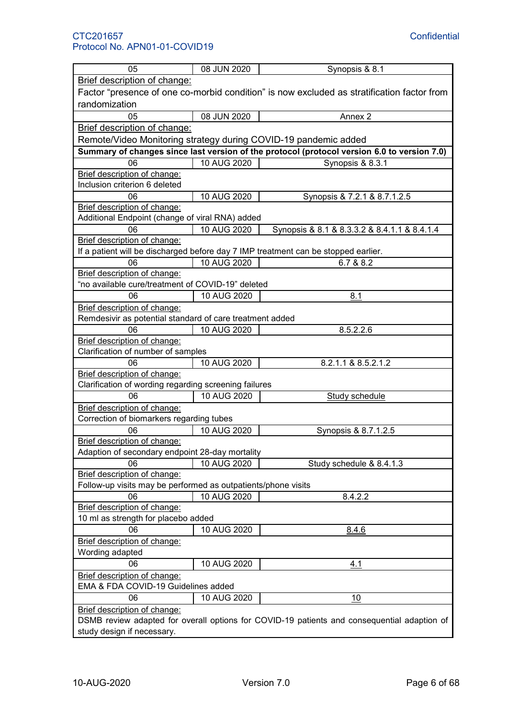| 05                                                                  | 08 JUN 2020 | Synopsis & 8.1                                                                              |
|---------------------------------------------------------------------|-------------|---------------------------------------------------------------------------------------------|
| Brief description of change:                                        |             |                                                                                             |
|                                                                     |             | Factor "presence of one co-morbid condition" is now excluded as stratification factor from  |
| randomization                                                       |             |                                                                                             |
| 05                                                                  | 08 JUN 2020 | Annex 2                                                                                     |
| Brief description of change:                                        |             |                                                                                             |
| Remote/Video Monitoring strategy during COVID-19 pandemic added     |             |                                                                                             |
|                                                                     |             | Summary of changes since last version of the protocol (protocol version 6.0 to version 7.0) |
| 06                                                                  | 10 AUG 2020 | Synopsis & 8.3.1                                                                            |
| Brief description of change:                                        |             |                                                                                             |
| Inclusion criterion 6 deleted                                       |             |                                                                                             |
| 06                                                                  | 10 AUG 2020 | Synopsis & 7.2.1 & 8.7.1.2.5                                                                |
| Brief description of change:                                        |             |                                                                                             |
| Additional Endpoint (change of viral RNA) added                     |             |                                                                                             |
| 06                                                                  | 10 AUG 2020 | Synopsis & 8.1 & 8.3.3.2 & 8.4.1.1 & 8.4.1.4                                                |
| Brief description of change:                                        |             |                                                                                             |
|                                                                     |             | If a patient will be discharged before day 7 IMP treatment can be stopped earlier.          |
| 06                                                                  | 10 AUG 2020 | 6.7 & 8.2                                                                                   |
| Brief description of change:                                        |             |                                                                                             |
| "no available cure/treatment of COVID-19" deleted                   |             |                                                                                             |
| 06                                                                  | 10 AUG 2020 | 8.1                                                                                         |
| Brief description of change:                                        |             |                                                                                             |
| Remdesivir as potential standard of care treatment added            |             |                                                                                             |
| 06                                                                  | 10 AUG 2020 | 8.5.2.2.6                                                                                   |
| Brief description of change:                                        |             |                                                                                             |
| Clarification of number of samples                                  |             |                                                                                             |
| 06                                                                  | 10 AUG 2020 | 8.2.1.1 & 8.5.2.1.2                                                                         |
| Brief description of change:                                        |             |                                                                                             |
| Clarification of wording regarding screening failures               |             |                                                                                             |
| 06                                                                  | 10 AUG 2020 | <b>Study schedule</b>                                                                       |
| Brief description of change:                                        |             |                                                                                             |
| Correction of biomarkers regarding tubes                            |             |                                                                                             |
| 06                                                                  | 10 AUG 2020 | Synopsis & 8.7.1.2.5                                                                        |
| Brief description of change:                                        |             |                                                                                             |
| Adaption of secondary endpoint 28-day mortality                     |             |                                                                                             |
| 06                                                                  | 10 AUG 2020 | Study schedule & 8.4.1.3                                                                    |
| Brief description of change:                                        |             |                                                                                             |
| Follow-up visits may be performed as outpatients/phone visits       |             |                                                                                             |
| 06                                                                  | 10 AUG 2020 | 8.4.2.2                                                                                     |
| Brief description of change:                                        |             |                                                                                             |
| 10 ml as strength for placebo added                                 |             |                                                                                             |
| 06                                                                  | 10 AUG 2020 | 8.4.6                                                                                       |
| Brief description of change:                                        |             |                                                                                             |
| Wording adapted                                                     |             |                                                                                             |
| 06                                                                  | 10 AUG 2020 |                                                                                             |
|                                                                     |             | 4.1                                                                                         |
| Brief description of change:<br>EMA & FDA COVID-19 Guidelines added |             |                                                                                             |
|                                                                     |             |                                                                                             |
| 06                                                                  | 10 AUG 2020 | 10                                                                                          |
| Brief description of change:                                        |             |                                                                                             |
|                                                                     |             | DSMB review adapted for overall options for COVID-19 patients and consequential adaption of |
| study design if necessary.                                          |             |                                                                                             |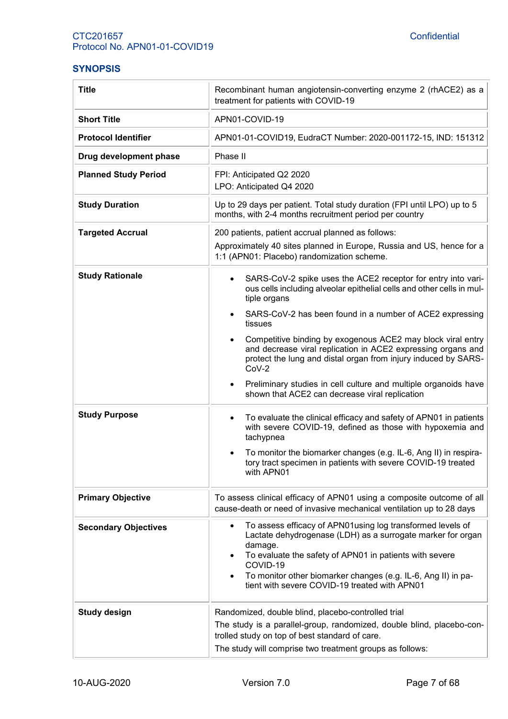# <span id="page-6-0"></span>**SYNOPSIS**

| <b>Title</b>                | Recombinant human angiotensin-converting enzyme 2 (rhACE2) as a<br>treatment for patients with COVID-19                                                                                                                                                                                                                                                 |
|-----------------------------|---------------------------------------------------------------------------------------------------------------------------------------------------------------------------------------------------------------------------------------------------------------------------------------------------------------------------------------------------------|
| <b>Short Title</b>          | APN01-COVID-19                                                                                                                                                                                                                                                                                                                                          |
| <b>Protocol Identifier</b>  | APN01-01-COVID19, EudraCT Number: 2020-001172-15, IND: 151312                                                                                                                                                                                                                                                                                           |
| Drug development phase      | Phase II                                                                                                                                                                                                                                                                                                                                                |
| <b>Planned Study Period</b> | FPI: Anticipated Q2 2020<br>LPO: Anticipated Q4 2020                                                                                                                                                                                                                                                                                                    |
| <b>Study Duration</b>       | Up to 29 days per patient. Total study duration (FPI until LPO) up to 5<br>months, with 2-4 months recruitment period per country                                                                                                                                                                                                                       |
| <b>Targeted Accrual</b>     | 200 patients, patient accrual planned as follows:<br>Approximately 40 sites planned in Europe, Russia and US, hence for a<br>1:1 (APN01: Placebo) randomization scheme.                                                                                                                                                                                 |
| <b>Study Rationale</b>      | SARS-CoV-2 spike uses the ACE2 receptor for entry into vari-<br>$\bullet$<br>ous cells including alveolar epithelial cells and other cells in mul-<br>tiple organs                                                                                                                                                                                      |
|                             | SARS-CoV-2 has been found in a number of ACE2 expressing<br>tissues                                                                                                                                                                                                                                                                                     |
|                             | Competitive binding by exogenous ACE2 may block viral entry<br>$\bullet$<br>and decrease viral replication in ACE2 expressing organs and<br>protect the lung and distal organ from injury induced by SARS-<br>$CoV-2$                                                                                                                                   |
|                             | Preliminary studies in cell culture and multiple organoids have<br>$\bullet$<br>shown that ACE2 can decrease viral replication                                                                                                                                                                                                                          |
| <b>Study Purpose</b>        | To evaluate the clinical efficacy and safety of APN01 in patients<br>$\bullet$<br>with severe COVID-19, defined as those with hypoxemia and<br>tachypnea                                                                                                                                                                                                |
|                             | To monitor the biomarker changes (e.g. IL-6, Ang II) in respira-<br>tory tract specimen in patients with severe COVID-19 treated<br>with APN01                                                                                                                                                                                                          |
| <b>Primary Objective</b>    | To assess clinical efficacy of APN01 using a composite outcome of all<br>cause-death or need of invasive mechanical ventilation up to 28 days                                                                                                                                                                                                           |
| <b>Secondary Objectives</b> | To assess efficacy of APN01using log transformed levels of<br>$\bullet$<br>Lactate dehydrogenase (LDH) as a surrogate marker for organ<br>damage.<br>To evaluate the safety of APN01 in patients with severe<br>COVID-19<br>To monitor other biomarker changes (e.g. IL-6, Ang II) in pa-<br>$\bullet$<br>tient with severe COVID-19 treated with APN01 |
| <b>Study design</b>         | Randomized, double blind, placebo-controlled trial<br>The study is a parallel-group, randomized, double blind, placebo-con-<br>trolled study on top of best standard of care.<br>The study will comprise two treatment groups as follows:                                                                                                               |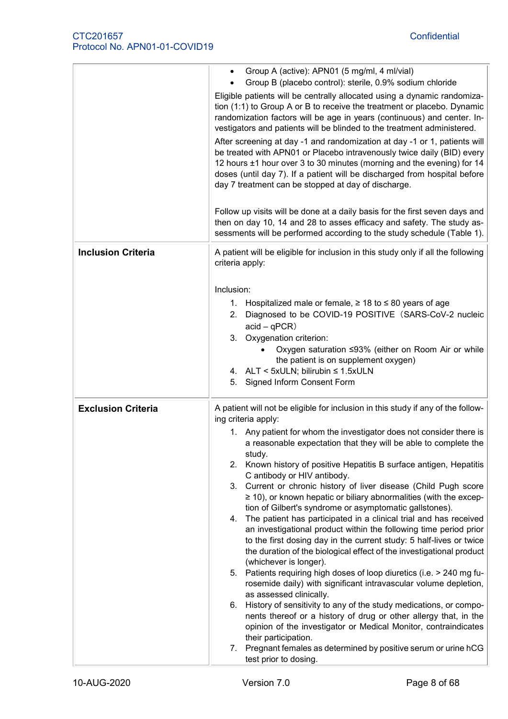|                           | Group A (active): APN01 (5 mg/ml, 4 ml/vial)<br>Group B (placebo control): sterile, 0.9% sodium chloride                                                                                                                                                                                                                                                          |
|---------------------------|-------------------------------------------------------------------------------------------------------------------------------------------------------------------------------------------------------------------------------------------------------------------------------------------------------------------------------------------------------------------|
|                           | Eligible patients will be centrally allocated using a dynamic randomiza-<br>tion (1:1) to Group A or B to receive the treatment or placebo. Dynamic<br>randomization factors will be age in years (continuous) and center. In-<br>vestigators and patients will be blinded to the treatment administered.                                                         |
|                           | After screening at day -1 and randomization at day -1 or 1, patients will<br>be treated with APN01 or Placebo intravenously twice daily (BID) every<br>12 hours ±1 hour over 3 to 30 minutes (morning and the evening) for 14<br>doses (until day 7). If a patient will be discharged from hospital before<br>day 7 treatment can be stopped at day of discharge. |
|                           | Follow up visits will be done at a daily basis for the first seven days and<br>then on day 10, 14 and 28 to asses efficacy and safety. The study as-<br>sessments will be performed according to the study schedule (Table 1).                                                                                                                                    |
| <b>Inclusion Criteria</b> | A patient will be eligible for inclusion in this study only if all the following<br>criteria apply:                                                                                                                                                                                                                                                               |
|                           | Inclusion:                                                                                                                                                                                                                                                                                                                                                        |
|                           | 1. Hospitalized male or female, $\geq$ 18 to $\leq$ 80 years of age<br>2. Diagnosed to be COVID-19 POSITIVE (SARS-CoV-2 nucleic<br>$acid - qPCR)$                                                                                                                                                                                                                 |
|                           | 3. Oxygenation criterion:<br>Oxygen saturation ≤93% (either on Room Air or while                                                                                                                                                                                                                                                                                  |
|                           | the patient is on supplement oxygen)                                                                                                                                                                                                                                                                                                                              |
|                           | 4. ALT < 5xULN; bilirubin ≤ 1.5xULN<br>Signed Inform Consent Form<br>5.                                                                                                                                                                                                                                                                                           |
| <b>Exclusion Criteria</b> | A patient will not be eligible for inclusion in this study if any of the follow-<br>ing criteria apply:                                                                                                                                                                                                                                                           |
|                           | 1. Any patient for whom the investigator does not consider there is<br>a reasonable expectation that they will be able to complete the<br>study.                                                                                                                                                                                                                  |
|                           | 2. Known history of positive Hepatitis B surface antigen, Hepatitis<br>C antibody or HIV antibody.                                                                                                                                                                                                                                                                |
|                           | 3. Current or chronic history of liver disease (Child Pugh score<br>$\geq$ 10), or known hepatic or biliary abnormalities (with the excep-<br>tion of Gilbert's syndrome or asymptomatic gallstones).                                                                                                                                                             |
|                           | 4. The patient has participated in a clinical trial and has received<br>an investigational product within the following time period prior<br>to the first dosing day in the current study: 5 half-lives or twice<br>the duration of the biological effect of the investigational product                                                                          |
|                           | (whichever is longer).                                                                                                                                                                                                                                                                                                                                            |
|                           | 5. Patients requiring high doses of loop diuretics (i.e. > 240 mg fu-<br>rosemide daily) with significant intravascular volume depletion,<br>as assessed clinically.                                                                                                                                                                                              |
|                           | 6. History of sensitivity to any of the study medications, or compo-<br>nents thereof or a history of drug or other allergy that, in the<br>opinion of the investigator or Medical Monitor, contraindicates                                                                                                                                                       |
|                           | their participation.<br>7. Pregnant females as determined by positive serum or urine hCG<br>test prior to dosing.                                                                                                                                                                                                                                                 |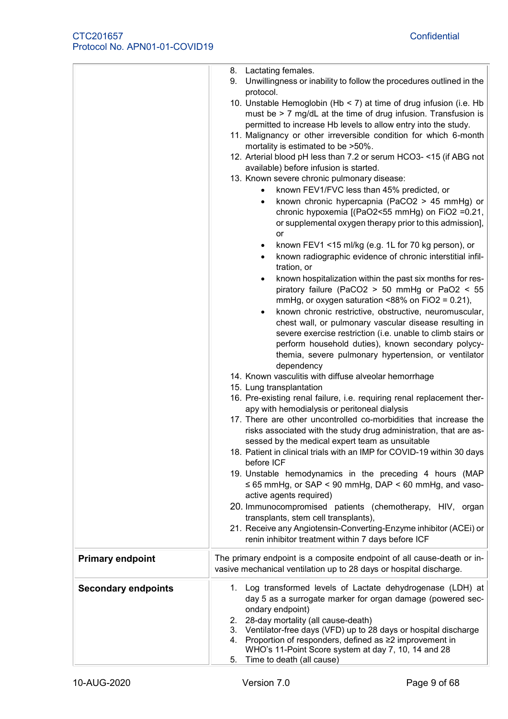|                            | 8. Lactating females.<br>9. Unwillingness or inability to follow the procedures outlined in the<br>protocol.<br>10. Unstable Hemoglobin (Hb < 7) at time of drug infusion (i.e. Hb<br>must be > 7 mg/dL at the time of drug infusion. Transfusion is<br>permitted to increase Hb levels to allow entry into the study.<br>11. Malignancy or other irreversible condition for which 6-month<br>mortality is estimated to be >50%.<br>12. Arterial blood pH less than 7.2 or serum HCO3- <15 (if ABG not<br>available) before infusion is started.<br>13. Known severe chronic pulmonary disease:<br>known FEV1/FVC less than 45% predicted, or<br>known chronic hypercapnia (PaCO2 > 45 mmHg) or<br>$\bullet$<br>chronic hypoxemia [(PaO2<55 mmHg) on FiO2 =0.21,<br>or supplemental oxygen therapy prior to this admission],<br>or<br>known FEV1 <15 ml/kg (e.g. 1L for 70 kg person), or<br>known radiographic evidence of chronic interstitial infil-<br>٠<br>tration, or<br>known hospitalization within the past six months for res-<br>٠<br>piratory failure (PaCO2 $>$ 50 mmHg or PaO2 $<$ 55<br>mmHg, or oxygen saturation <88% on FiO2 = $0.21$ ),<br>known chronic restrictive, obstructive, neuromuscular,<br>٠<br>chest wall, or pulmonary vascular disease resulting in<br>severe exercise restriction (i.e. unable to climb stairs or<br>perform household duties), known secondary polycy-<br>themia, severe pulmonary hypertension, or ventilator<br>dependency<br>14. Known vasculitis with diffuse alveolar hemorrhage<br>15. Lung transplantation<br>16. Pre-existing renal failure, i.e. requiring renal replacement ther-<br>apy with hemodialysis or peritoneal dialysis<br>17. There are other uncontrolled co-morbidities that increase the<br>risks associated with the study drug administration, that are as-<br>sessed by the medical expert team as unsuitable |
|----------------------------|--------------------------------------------------------------------------------------------------------------------------------------------------------------------------------------------------------------------------------------------------------------------------------------------------------------------------------------------------------------------------------------------------------------------------------------------------------------------------------------------------------------------------------------------------------------------------------------------------------------------------------------------------------------------------------------------------------------------------------------------------------------------------------------------------------------------------------------------------------------------------------------------------------------------------------------------------------------------------------------------------------------------------------------------------------------------------------------------------------------------------------------------------------------------------------------------------------------------------------------------------------------------------------------------------------------------------------------------------------------------------------------------------------------------------------------------------------------------------------------------------------------------------------------------------------------------------------------------------------------------------------------------------------------------------------------------------------------------------------------------------------------------------------------------------------------------------------------------------------------------------------------------|
|                            |                                                                                                                                                                                                                                                                                                                                                                                                                                                                                                                                                                                                                                                                                                                                                                                                                                                                                                                                                                                                                                                                                                                                                                                                                                                                                                                                                                                                                                                                                                                                                                                                                                                                                                                                                                                                                                                                                            |
|                            | 18. Patient in clinical trials with an IMP for COVID-19 within 30 days<br>before ICF<br>19. Unstable hemodynamics in the preceding 4 hours (MAP<br>$\leq$ 65 mmHg, or SAP < 90 mmHg, DAP < 60 mmHg, and vaso-<br>active agents required)                                                                                                                                                                                                                                                                                                                                                                                                                                                                                                                                                                                                                                                                                                                                                                                                                                                                                                                                                                                                                                                                                                                                                                                                                                                                                                                                                                                                                                                                                                                                                                                                                                                   |
|                            | 20. Immunocompromised patients (chemotherapy, HIV, organ<br>transplants, stem cell transplants),<br>21. Receive any Angiotensin-Converting-Enzyme inhibitor (ACEi) or<br>renin inhibitor treatment within 7 days before ICF                                                                                                                                                                                                                                                                                                                                                                                                                                                                                                                                                                                                                                                                                                                                                                                                                                                                                                                                                                                                                                                                                                                                                                                                                                                                                                                                                                                                                                                                                                                                                                                                                                                                |
| <b>Primary endpoint</b>    | The primary endpoint is a composite endpoint of all cause-death or in-<br>vasive mechanical ventilation up to 28 days or hospital discharge.                                                                                                                                                                                                                                                                                                                                                                                                                                                                                                                                                                                                                                                                                                                                                                                                                                                                                                                                                                                                                                                                                                                                                                                                                                                                                                                                                                                                                                                                                                                                                                                                                                                                                                                                               |
| <b>Secondary endpoints</b> | 1. Log transformed levels of Lactate dehydrogenase (LDH) at<br>day 5 as a surrogate marker for organ damage (powered sec-<br>ondary endpoint)<br>2. 28-day mortality (all cause-death)<br>3. Ventilator-free days (VFD) up to 28 days or hospital discharge<br>4. Proportion of responders, defined as $\geq 2$ improvement in<br>WHO's 11-Point Score system at day 7, 10, 14 and 28<br>Time to death (all cause)<br>5.                                                                                                                                                                                                                                                                                                                                                                                                                                                                                                                                                                                                                                                                                                                                                                                                                                                                                                                                                                                                                                                                                                                                                                                                                                                                                                                                                                                                                                                                   |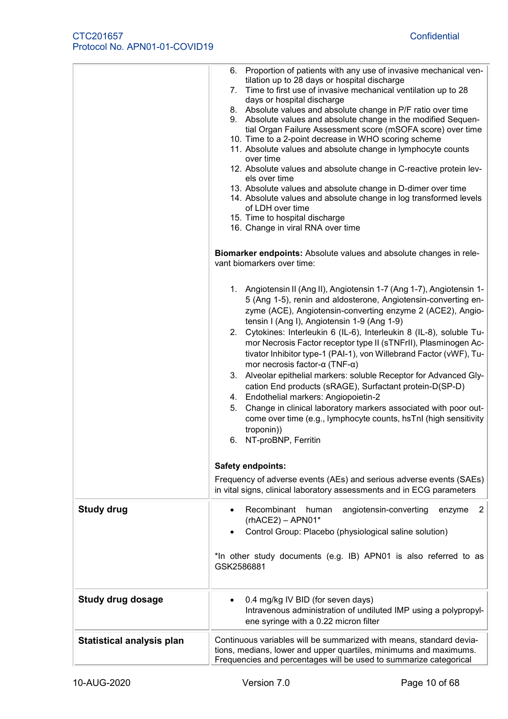| <b>Study drug</b>                | 6. Proportion of patients with any use of invasive mechanical ven-<br>tilation up to 28 days or hospital discharge<br>7. Time to first use of invasive mechanical ventilation up to 28<br>days or hospital discharge<br>8. Absolute values and absolute change in P/F ratio over time<br>9. Absolute values and absolute change in the modified Sequen-<br>tial Organ Failure Assessment score (mSOFA score) over time<br>10. Time to a 2-point decrease in WHO scoring scheme<br>11. Absolute values and absolute change in lymphocyte counts<br>over time<br>12. Absolute values and absolute change in C-reactive protein lev-<br>els over time<br>13. Absolute values and absolute change in D-dimer over time<br>14. Absolute values and absolute change in log transformed levels<br>of LDH over time<br>15. Time to hospital discharge<br>16. Change in viral RNA over time<br>Biomarker endpoints: Absolute values and absolute changes in rele-<br>vant biomarkers over time:<br>1. Angiotensin II (Ang II), Angiotensin 1-7 (Ang 1-7), Angiotensin 1-<br>5 (Ang 1-5), renin and aldosterone, Angiotensin-converting en-<br>zyme (ACE), Angiotensin-converting enzyme 2 (ACE2), Angio-<br>tensin I (Ang I), Angiotensin 1-9 (Ang 1-9)<br>2. Cytokines: Interleukin 6 (IL-6), Interleukin 8 (IL-8), soluble Tu-<br>mor Necrosis Factor receptor type II (sTNFrII), Plasminogen Ac-<br>tivator Inhibitor type-1 (PAI-1), von Willebrand Factor (vWF), Tu-<br>mor necrosis factor- $\alpha$ (TNF- $\alpha$ )<br>3. Alveolar epithelial markers: soluble Receptor for Advanced Gly-<br>cation End products (sRAGE), Surfactant protein-D(SP-D)<br>4. Endothelial markers: Angiopoietin-2<br>Change in clinical laboratory markers associated with poor out-<br>5.<br>come over time (e.g., lymphocyte counts, hsTnl (high sensitivity<br>troponin))<br>6. NT-proBNP, Ferritin<br>Safety endpoints:<br>Frequency of adverse events (AEs) and serious adverse events (SAEs)<br>in vital signs, clinical laboratory assessments and in ECG parameters<br>Recombinant human<br>angiotensin-converting<br>enzyme<br>$\overline{2}$<br>$(rhACE2) - APNO1*$<br>Control Group: Placebo (physiological saline solution) |
|----------------------------------|---------------------------------------------------------------------------------------------------------------------------------------------------------------------------------------------------------------------------------------------------------------------------------------------------------------------------------------------------------------------------------------------------------------------------------------------------------------------------------------------------------------------------------------------------------------------------------------------------------------------------------------------------------------------------------------------------------------------------------------------------------------------------------------------------------------------------------------------------------------------------------------------------------------------------------------------------------------------------------------------------------------------------------------------------------------------------------------------------------------------------------------------------------------------------------------------------------------------------------------------------------------------------------------------------------------------------------------------------------------------------------------------------------------------------------------------------------------------------------------------------------------------------------------------------------------------------------------------------------------------------------------------------------------------------------------------------------------------------------------------------------------------------------------------------------------------------------------------------------------------------------------------------------------------------------------------------------------------------------------------------------------------------------------------------------------------------------------------------------------------------------------------------------------------------------------------------------------------|
|                                  | *In other study documents (e.g. IB) APN01 is also referred to as<br>GSK2586881                                                                                                                                                                                                                                                                                                                                                                                                                                                                                                                                                                                                                                                                                                                                                                                                                                                                                                                                                                                                                                                                                                                                                                                                                                                                                                                                                                                                                                                                                                                                                                                                                                                                                                                                                                                                                                                                                                                                                                                                                                                                                                                                      |
| <b>Study drug dosage</b>         |                                                                                                                                                                                                                                                                                                                                                                                                                                                                                                                                                                                                                                                                                                                                                                                                                                                                                                                                                                                                                                                                                                                                                                                                                                                                                                                                                                                                                                                                                                                                                                                                                                                                                                                                                                                                                                                                                                                                                                                                                                                                                                                                                                                                                     |
|                                  | 0.4 mg/kg IV BID (for seven days)<br>Intravenous administration of undiluted IMP using a polypropyl-<br>ene syringe with a 0.22 micron filter                                                                                                                                                                                                                                                                                                                                                                                                                                                                                                                                                                                                                                                                                                                                                                                                                                                                                                                                                                                                                                                                                                                                                                                                                                                                                                                                                                                                                                                                                                                                                                                                                                                                                                                                                                                                                                                                                                                                                                                                                                                                       |
| <b>Statistical analysis plan</b> | Continuous variables will be summarized with means, standard devia-<br>tions, medians, lower and upper quartiles, minimums and maximums.<br>Frequencies and percentages will be used to summarize categorical                                                                                                                                                                                                                                                                                                                                                                                                                                                                                                                                                                                                                                                                                                                                                                                                                                                                                                                                                                                                                                                                                                                                                                                                                                                                                                                                                                                                                                                                                                                                                                                                                                                                                                                                                                                                                                                                                                                                                                                                       |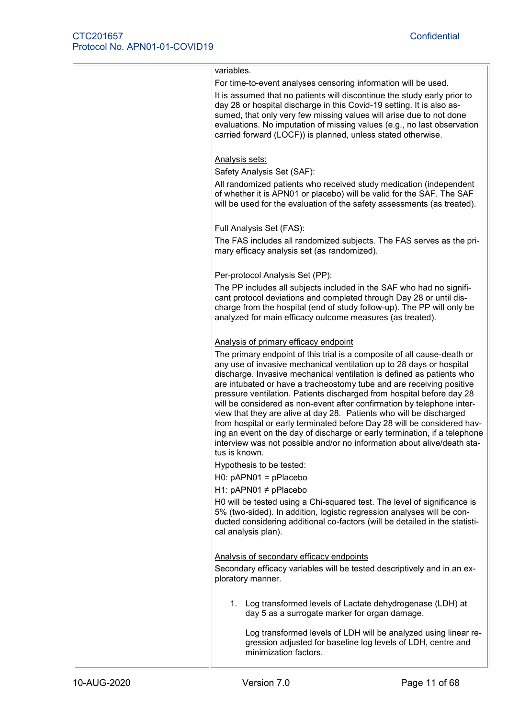| variables.                                                                                                                                                                                                                                                                                                                                                                                                                                                                                                                                                                                                                                                                                                                                                                     |
|--------------------------------------------------------------------------------------------------------------------------------------------------------------------------------------------------------------------------------------------------------------------------------------------------------------------------------------------------------------------------------------------------------------------------------------------------------------------------------------------------------------------------------------------------------------------------------------------------------------------------------------------------------------------------------------------------------------------------------------------------------------------------------|
| For time-to-event analyses censoring information will be used.                                                                                                                                                                                                                                                                                                                                                                                                                                                                                                                                                                                                                                                                                                                 |
| It is assumed that no patients will discontinue the study early prior to<br>day 28 or hospital discharge in this Covid-19 setting. It is also as-<br>sumed, that only very few missing values will arise due to not done<br>evaluations. No imputation of missing values (e.g., no last observation<br>carried forward (LOCF)) is planned, unless stated otherwise.                                                                                                                                                                                                                                                                                                                                                                                                            |
|                                                                                                                                                                                                                                                                                                                                                                                                                                                                                                                                                                                                                                                                                                                                                                                |
| Analysis sets:                                                                                                                                                                                                                                                                                                                                                                                                                                                                                                                                                                                                                                                                                                                                                                 |
| Safety Analysis Set (SAF):                                                                                                                                                                                                                                                                                                                                                                                                                                                                                                                                                                                                                                                                                                                                                     |
| All randomized patients who received study medication (independent<br>of whether it is APN01 or placebo) will be valid for the SAF. The SAF<br>will be used for the evaluation of the safety assessments (as treated).                                                                                                                                                                                                                                                                                                                                                                                                                                                                                                                                                         |
| Full Analysis Set (FAS):                                                                                                                                                                                                                                                                                                                                                                                                                                                                                                                                                                                                                                                                                                                                                       |
| The FAS includes all randomized subjects. The FAS serves as the pri-<br>mary efficacy analysis set (as randomized).                                                                                                                                                                                                                                                                                                                                                                                                                                                                                                                                                                                                                                                            |
| Per-protocol Analysis Set (PP):                                                                                                                                                                                                                                                                                                                                                                                                                                                                                                                                                                                                                                                                                                                                                |
| The PP includes all subjects included in the SAF who had no signifi-<br>cant protocol deviations and completed through Day 28 or until dis-<br>charge from the hospital (end of study follow-up). The PP will only be<br>analyzed for main efficacy outcome measures (as treated).                                                                                                                                                                                                                                                                                                                                                                                                                                                                                             |
|                                                                                                                                                                                                                                                                                                                                                                                                                                                                                                                                                                                                                                                                                                                                                                                |
| Analysis of primary efficacy endpoint                                                                                                                                                                                                                                                                                                                                                                                                                                                                                                                                                                                                                                                                                                                                          |
| The primary endpoint of this trial is a composite of all cause-death or<br>any use of invasive mechanical ventilation up to 28 days or hospital<br>discharge. Invasive mechanical ventilation is defined as patients who<br>are intubated or have a tracheostomy tube and are receiving positive<br>pressure ventilation. Patients discharged from hospital before day 28<br>will be considered as non-event after confirmation by telephone inter-<br>view that they are alive at day 28. Patients who will be discharged<br>from hospital or early terminated before Day 28 will be considered hav-<br>ing an event on the day of discharge or early termination, if a telephone<br>interview was not possible and/or no information about alive/death sta-<br>tus is known. |
| Hypothesis to be tested:                                                                                                                                                                                                                                                                                                                                                                                                                                                                                                                                                                                                                                                                                                                                                       |
| $HO: pAPNO1 = pPlacebo$                                                                                                                                                                                                                                                                                                                                                                                                                                                                                                                                                                                                                                                                                                                                                        |
| H1: pAPN01 $\neq$ pPlacebo                                                                                                                                                                                                                                                                                                                                                                                                                                                                                                                                                                                                                                                                                                                                                     |
| H0 will be tested using a Chi-squared test. The level of significance is<br>5% (two-sided). In addition, logistic regression analyses will be con-<br>ducted considering additional co-factors (will be detailed in the statisti-<br>cal analysis plan).                                                                                                                                                                                                                                                                                                                                                                                                                                                                                                                       |
| Analysis of secondary efficacy endpoints                                                                                                                                                                                                                                                                                                                                                                                                                                                                                                                                                                                                                                                                                                                                       |
| Secondary efficacy variables will be tested descriptively and in an ex-<br>ploratory manner.                                                                                                                                                                                                                                                                                                                                                                                                                                                                                                                                                                                                                                                                                   |
| 1. Log transformed levels of Lactate dehydrogenase (LDH) at<br>day 5 as a surrogate marker for organ damage.                                                                                                                                                                                                                                                                                                                                                                                                                                                                                                                                                                                                                                                                   |
| Log transformed levels of LDH will be analyzed using linear re-<br>gression adjusted for baseline log levels of LDH, centre and<br>minimization factors.                                                                                                                                                                                                                                                                                                                                                                                                                                                                                                                                                                                                                       |
|                                                                                                                                                                                                                                                                                                                                                                                                                                                                                                                                                                                                                                                                                                                                                                                |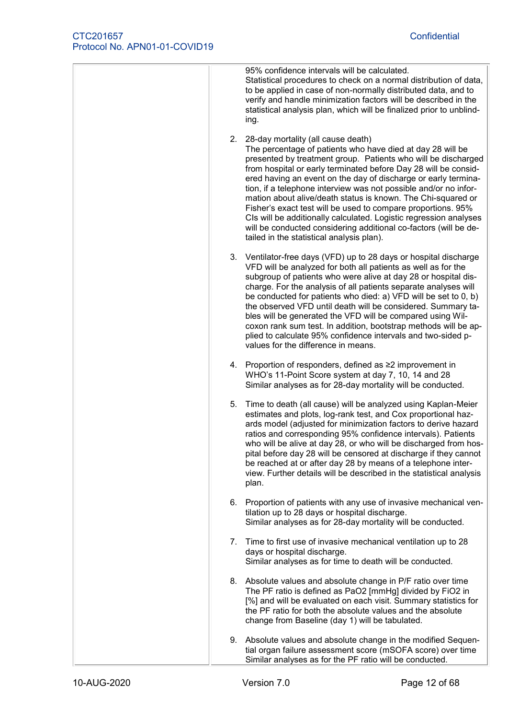| 95% confidence intervals will be calculated.<br>Statistical procedures to check on a normal distribution of data,<br>to be applied in case of non-normally distributed data, and to<br>verify and handle minimization factors will be described in the<br>statistical analysis plan, which will be finalized prior to unblind-<br>ing.                                                                                                                                                                                                                                                                                                                                                              |
|-----------------------------------------------------------------------------------------------------------------------------------------------------------------------------------------------------------------------------------------------------------------------------------------------------------------------------------------------------------------------------------------------------------------------------------------------------------------------------------------------------------------------------------------------------------------------------------------------------------------------------------------------------------------------------------------------------|
| 2. 28-day mortality (all cause death)<br>The percentage of patients who have died at day 28 will be<br>presented by treatment group. Patients who will be discharged<br>from hospital or early terminated before Day 28 will be consid-<br>ered having an event on the day of discharge or early termina-<br>tion, if a telephone interview was not possible and/or no infor-<br>mation about alive/death status is known. The Chi-squared or<br>Fisher's exact test will be used to compare proportions. 95%<br>CIs will be additionally calculated. Logistic regression analyses<br>will be conducted considering additional co-factors (will be de-<br>tailed in the statistical analysis plan). |
| 3. Ventilator-free days (VFD) up to 28 days or hospital discharge<br>VFD will be analyzed for both all patients as well as for the<br>subgroup of patients who were alive at day 28 or hospital dis-<br>charge. For the analysis of all patients separate analyses will<br>be conducted for patients who died: a) VFD will be set to 0, b)<br>the observed VFD until death will be considered. Summary ta-<br>bles will be generated the VFD will be compared using Wil-<br>coxon rank sum test. In addition, bootstrap methods will be ap-<br>plied to calculate 95% confidence intervals and two-sided p-<br>values for the difference in means.                                                  |
| 4. Proportion of responders, defined as ≥2 improvement in<br>WHO's 11-Point Score system at day 7, 10, 14 and 28<br>Similar analyses as for 28-day mortality will be conducted.                                                                                                                                                                                                                                                                                                                                                                                                                                                                                                                     |
| Time to death (all cause) will be analyzed using Kaplan-Meier<br>5.<br>estimates and plots, log-rank test, and Cox proportional haz-<br>ards model (adjusted for minimization factors to derive hazard<br>ratios and corresponding 95% confidence intervals). Patients<br>who will be alive at day 28, or who will be discharged from hos-<br>pital before day 28 will be censored at discharge if they cannot<br>be reached at or after day 28 by means of a telephone inter-<br>view. Further details will be described in the statistical analysis<br>plan.                                                                                                                                      |
| Proportion of patients with any use of invasive mechanical ven-<br>6.<br>tilation up to 28 days or hospital discharge.<br>Similar analyses as for 28-day mortality will be conducted.                                                                                                                                                                                                                                                                                                                                                                                                                                                                                                               |
| Time to first use of invasive mechanical ventilation up to 28<br>7.<br>days or hospital discharge.<br>Similar analyses as for time to death will be conducted.                                                                                                                                                                                                                                                                                                                                                                                                                                                                                                                                      |
| 8. Absolute values and absolute change in P/F ratio over time<br>The PF ratio is defined as PaO2 [mmHg] divided by FiO2 in<br>[%] and will be evaluated on each visit. Summary statistics for<br>the PF ratio for both the absolute values and the absolute<br>change from Baseline (day 1) will be tabulated.                                                                                                                                                                                                                                                                                                                                                                                      |
| 9. Absolute values and absolute change in the modified Sequen-<br>tial organ failure assessment score (mSOFA score) over time<br>Similar analyses as for the PF ratio will be conducted.                                                                                                                                                                                                                                                                                                                                                                                                                                                                                                            |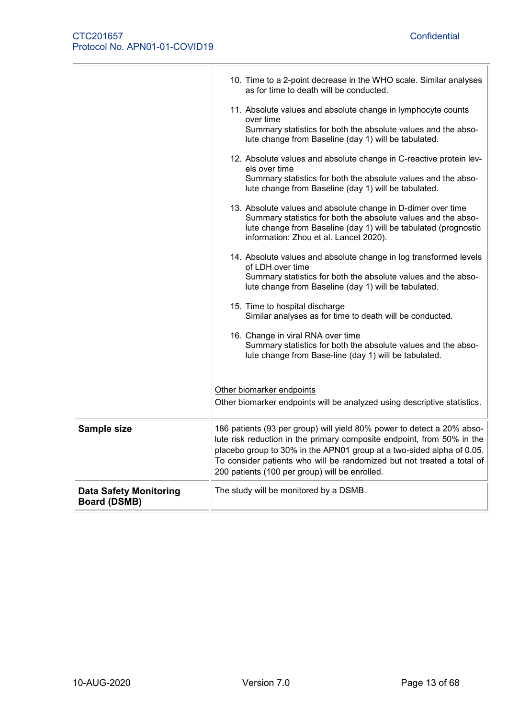|                                                      | 10. Time to a 2-point decrease in the WHO scale. Similar analyses<br>as for time to death will be conducted.<br>11. Absolute values and absolute change in lymphocyte counts<br>over time<br>Summary statistics for both the absolute values and the abso-<br>lute change from Baseline (day 1) will be tabulated.<br>12. Absolute values and absolute change in C-reactive protein lev-<br>els over time<br>Summary statistics for both the absolute values and the abso-<br>lute change from Baseline (day 1) will be tabulated.<br>13. Absolute values and absolute change in D-dimer over time<br>Summary statistics for both the absolute values and the abso-<br>lute change from Baseline (day 1) will be tabulated (prognostic |
|------------------------------------------------------|----------------------------------------------------------------------------------------------------------------------------------------------------------------------------------------------------------------------------------------------------------------------------------------------------------------------------------------------------------------------------------------------------------------------------------------------------------------------------------------------------------------------------------------------------------------------------------------------------------------------------------------------------------------------------------------------------------------------------------------|
|                                                      | information: Zhou et al. Lancet 2020).<br>14. Absolute values and absolute change in log transformed levels<br>of LDH over time<br>Summary statistics for both the absolute values and the abso-<br>lute change from Baseline (day 1) will be tabulated.<br>15. Time to hospital discharge<br>Similar analyses as for time to death will be conducted.<br>16. Change in viral RNA over time<br>Summary statistics for both the absolute values and the abso-<br>lute change from Base-line (day 1) will be tabulated.                                                                                                                                                                                                                  |
|                                                      | Other biomarker endpoints<br>Other biomarker endpoints will be analyzed using descriptive statistics.                                                                                                                                                                                                                                                                                                                                                                                                                                                                                                                                                                                                                                  |
| Sample size                                          | 186 patients (93 per group) will yield 80% power to detect a 20% abso-<br>lute risk reduction in the primary composite endpoint, from 50% in the<br>placebo group to 30% in the APN01 group at a two-sided alpha of 0.05.<br>To consider patients who will be randomized but not treated a total of<br>200 patients (100 per group) will be enrolled.                                                                                                                                                                                                                                                                                                                                                                                  |
| <b>Data Safety Monitoring</b><br><b>Board (DSMB)</b> | The study will be monitored by a DSMB.                                                                                                                                                                                                                                                                                                                                                                                                                                                                                                                                                                                                                                                                                                 |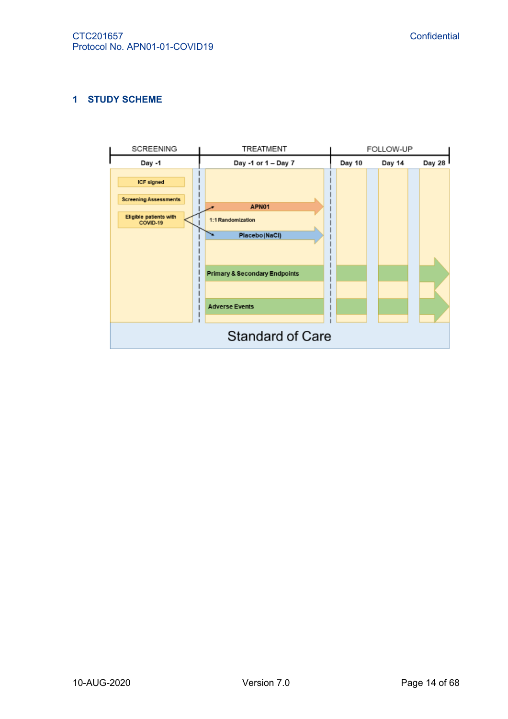# <span id="page-13-0"></span>**1 STUDY SCHEME**

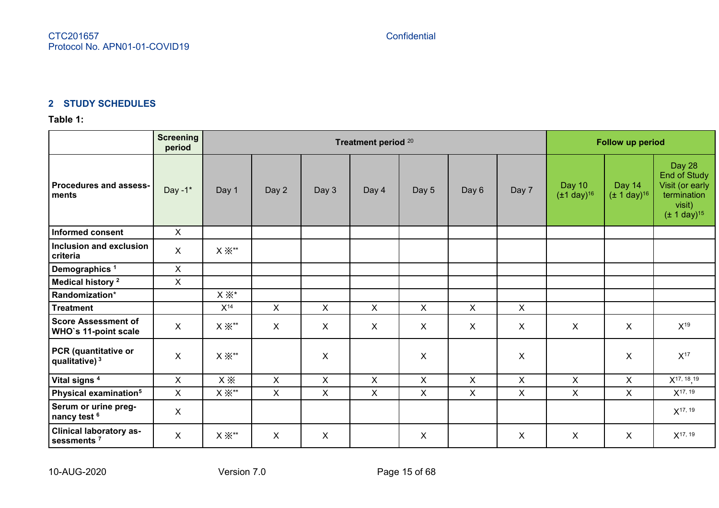# **2 STUDY SCHEDULES**

# **Table 1:**

<span id="page-14-1"></span><span id="page-14-0"></span>

|                                                          | <b>Screening</b><br>period |                               | Treatment period 20       |              |                           |              |                           |              | Follow up period                     |                                      |                                                                                        |
|----------------------------------------------------------|----------------------------|-------------------------------|---------------------------|--------------|---------------------------|--------------|---------------------------|--------------|--------------------------------------|--------------------------------------|----------------------------------------------------------------------------------------|
| Procedures and assess-<br>ments                          | Day $-1$ <sup>*</sup>      | Day 1                         | Day 2                     | Day 3        | Day 4                     | Day 5        | Day 6                     | Day 7        | Day 10<br>$(\pm 1 \text{ day})^{16}$ | Day 14<br>$(\pm 1 \text{ day})^{16}$ | Day 28<br>End of Study<br>Visit (or early<br>termination<br>visit)<br>$(± 1 day)^{15}$ |
| <b>Informed consent</b>                                  | $\boldsymbol{X}$           |                               |                           |              |                           |              |                           |              |                                      |                                      |                                                                                        |
| Inclusion and exclusion<br>criteria                      | $\boldsymbol{\mathsf{X}}$  | $X \times$ **                 |                           |              |                           |              |                           |              |                                      |                                      |                                                                                        |
| Demographics <sup>1</sup>                                | $\boldsymbol{\mathsf{X}}$  |                               |                           |              |                           |              |                           |              |                                      |                                      |                                                                                        |
| Medical history <sup>2</sup>                             | $\boldsymbol{\mathsf{X}}$  |                               |                           |              |                           |              |                           |              |                                      |                                      |                                                                                        |
| Randomization*                                           |                            | $X \times^*$                  |                           |              |                           |              |                           |              |                                      |                                      |                                                                                        |
| <b>Treatment</b>                                         |                            | $X^{14}$                      | $\mathsf{X}$              | $\mathsf{X}$ | $\boldsymbol{\mathsf{X}}$ | $\mathsf{X}$ | $\boldsymbol{\mathsf{X}}$ | $\mathsf{X}$ |                                      |                                      |                                                                                        |
| <b>Score Assessment of</b><br>WHO's 11-point scale       | $\boldsymbol{\mathsf{X}}$  | $\mathsf{X}\,\mathbb{X}^{**}$ | $\boldsymbol{\mathsf{X}}$ | X            | X                         | X            | X                         | X            | X                                    | X                                    | $X^{19}$                                                                               |
| PCR (quantitative or<br>qualitative) <sup>3</sup>        | $\boldsymbol{\mathsf{X}}$  | $\times\mathbb{X}^{**}$       |                           | X            |                           | X            |                           | X            |                                      | X                                    | $X^{17}$                                                                               |
| Vital signs <sup>4</sup>                                 | $\boldsymbol{\mathsf{X}}$  | $x \times$                    | $\mathsf{X}$              | $\mathsf{X}$ | $\boldsymbol{\mathsf{X}}$ | X            | $\mathsf{X}$              | $\mathsf{X}$ | X                                    | $\mathsf{X}$                         | $X^{17, 18, 19}$                                                                       |
| Physical examination <sup>5</sup>                        | $\boldsymbol{\mathsf{X}}$  | $\mathsf{X}\,\mathbb{X}^{**}$ | $\boldsymbol{\mathsf{X}}$ | $\mathsf{X}$ | X                         | $\mathsf{X}$ | $\pmb{\times}$            | $\mathsf{X}$ | $\mathsf{X}$                         | $\mathsf{X}$                         | $X^{17, 19}$                                                                           |
| Serum or urine preg-<br>nancy test <sup>6</sup>          | $\boldsymbol{\mathsf{X}}$  |                               |                           |              |                           |              |                           |              |                                      |                                      | $X^{17, 19}$                                                                           |
| <b>Clinical laboratory as-</b><br>sessments <sup>7</sup> | X                          | $\mathsf{X}\,\mathbb{X}^{**}$ | $\boldsymbol{\mathsf{X}}$ | X            |                           | X            |                           | X            | X                                    | X                                    | $X^{17, 19}$                                                                           |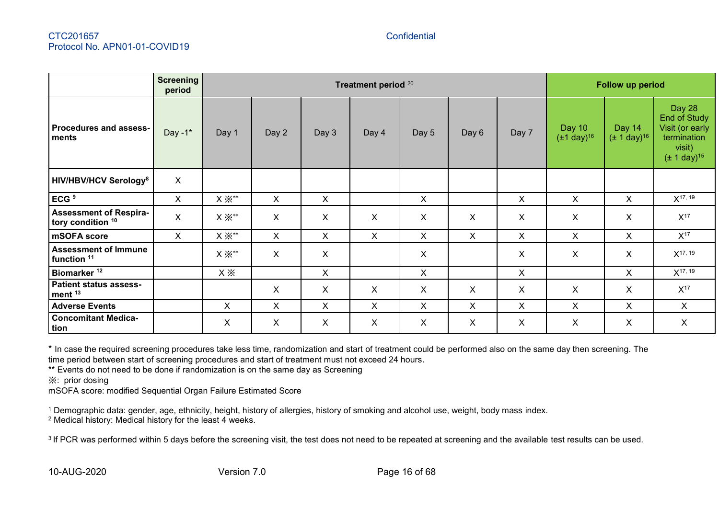|                                                       | <b>Screening</b><br>period | Treatment period 20           |                |              |                           |              | <b>Follow up period</b>   |              |                                      |                                      |                                                                                        |
|-------------------------------------------------------|----------------------------|-------------------------------|----------------|--------------|---------------------------|--------------|---------------------------|--------------|--------------------------------------|--------------------------------------|----------------------------------------------------------------------------------------|
| <b>Procedures and assess-</b><br>ments                | Day - $1^*$                | Day 1                         | Day 2          | Day 3        | Day 4                     | Day 5        | Day 6                     | Day 7        | Day 10<br>$(\pm 1 \text{ day})^{16}$ | Day 14<br>$(\pm 1 \text{ day})^{16}$ | Day 28<br>End of Study<br>Visit (or early<br>termination<br>visit)<br>$(± 1 day)^{15}$ |
| <b>HIV/HBV/HCV Serology<sup>8</sup></b>               | $\pmb{\times}$             |                               |                |              |                           |              |                           |              |                                      |                                      |                                                                                        |
| ECG <sup>9</sup>                                      | X                          | $\mathsf{X}\ \mathbb{X}^{**}$ | X              | X            |                           | X            |                           | X            | X                                    | X                                    | $X^{17, 19}$                                                                           |
| <b>Assessment of Respira-</b><br>tory condition 10    | X                          | $\mathsf{X}\ \mathbb{X}^{**}$ | X              | $\mathsf{X}$ | X                         | X            | X                         | X            | X                                    | X                                    | $X^{17}$                                                                               |
| mSOFA score                                           | X                          | $\mathsf{X}\ \mathbb{X}^{**}$ | X              | $\mathsf{X}$ | $\mathsf{X}$              | $\mathsf{X}$ | $\pmb{\times}$            | $\mathsf{X}$ | X                                    | X                                    | $X^{17}$                                                                               |
| <b>Assessment of Immune</b><br>function <sup>11</sup> |                            | $X \times$ **                 | X              | X            |                           | X            |                           | X.           | X                                    | X.                                   | $X^{17, 19}$                                                                           |
| Biomarker <sup>12</sup>                               |                            | $x \times$                    |                | $\mathsf{X}$ |                           | X            |                           | X            |                                      | X                                    | $X^{17, 19}$                                                                           |
| <b>Patient status assess-</b><br>ment <sup>13</sup>   |                            |                               | X              | X            | X                         | X            | $\boldsymbol{\mathsf{X}}$ | X            | X                                    | X                                    | $X^{17}$                                                                               |
| <b>Adverse Events</b>                                 |                            | X                             | $\pmb{\times}$ | X            | X                         | X            | $\pmb{\times}$            | X            | X                                    | X.                                   | $\mathsf{X}$                                                                           |
| <b>Concomitant Medica-</b><br>tion                    |                            | X                             | X              | X            | $\boldsymbol{\mathsf{X}}$ | X            | $\boldsymbol{\mathsf{X}}$ | X            | X                                    | X                                    | X                                                                                      |

\* In case the required screening procedures take less time, randomization and start of treatment could be performed also on the same day then screening. The time period between start of screening procedures and start of treatment must not exceed 24 hours.

\*\* Events do not need to be done if randomization is on the same day as Screening

※: prior dosing

mSOFA score: modified Sequential Organ Failure Estimated Score

<sup>1</sup> Demographic data: gender, age, ethnicity, height, history of allergies, history of smoking and alcohol use, weight, body mass index.

<sup>2</sup> Medical history: Medical history for the least 4 weeks.

<sup>3</sup> If PCR was performed within 5 days before the screening visit, the test does not need to be repeated at screening and the available test results can be used.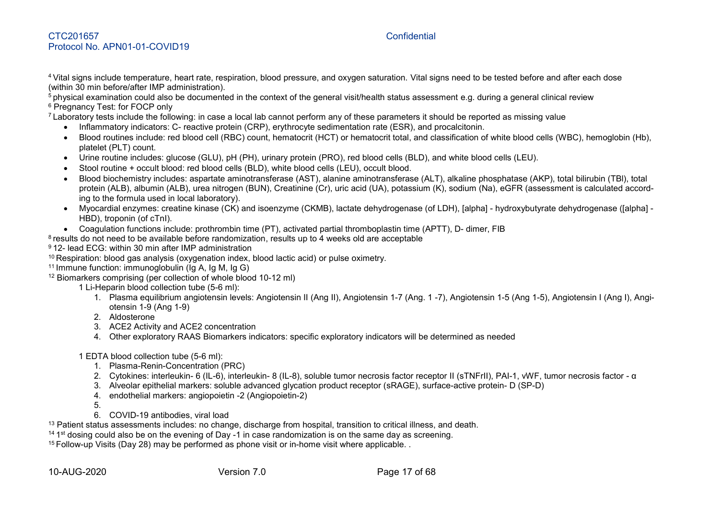<sup>4</sup> Vital signs include temperature, heart rate, respiration, blood pressure, and oxygen saturation. Vital signs need to be tested before and after each dose (within 30 min before/after IMP administration).

<sup>5</sup> physical examination could also be documented in the context of the general visit/health status assessment e.g. during a general clinical review <sup>6</sup> Pregnancy Test: for FOCP only

<sup>7</sup> Laboratory tests include the following: in case a local lab cannot perform any of these parameters it should be reported as missing value

- Inflammatory indicators: C- reactive protein (CRP), erythrocyte sedimentation rate (ESR), and procalcitonin.
- Blood routines include: red blood cell (RBC) count, hematocrit (HCT) or hematocrit total, and classification of white blood cells (WBC), hemoglobin (Hb), platelet (PLT) count.
- Urine routine includes: glucose (GLU), pH (PH), urinary protein (PRO), red blood cells (BLD), and white blood cells (LEU).
- Stool routine + occult blood: red blood cells (BLD), white blood cells (LEU), occult blood.
- Blood biochemistry includes: aspartate aminotransferase (AST), alanine aminotransferase (ALT), alkaline phosphatase (AKP), total bilirubin (TBl), total protein (ALB), albumin (ALB), urea nitrogen (BUN), Creatinine (Cr), uric acid (UA), potassium (K), sodium (Na), eGFR (assessment is calculated according to the formula used in local laboratory).
- Myocardial enzymes: creatine kinase (CK) and isoenzyme (CKMB), lactate dehydrogenase (of LDH), [alpha] hydroxybutyrate dehydrogenase ([alpha] HBD), troponin (of cTnI).
- Coagulation functions include: prothrombin time (PT), activated partial thromboplastin time (APTT), D- dimer, FIB

 $^8$ results do not need to be available before randomization, results up to 4 weeks old are acceptable

- <sup>9</sup> 12- lead ECG: within 30 min after IMP administration
- <sup>10</sup> Respiration: blood gas analysis (oxygenation index, blood lactic acid) or pulse oximetry.
- 11 Immune function: immunoglobulin (Ig A, Ig M, Ig G)
- <sup>12</sup> Biomarkers comprising (per collection of whole blood 10-12 ml)
	- 1 Li-Heparin blood collection tube (5-6 ml):
		- 1. Plasma equilibrium angiotensin levels: Angiotensin II (Ang II), Angiotensin 1-7 (Ang. 1 -7), Angiotensin 1-5 (Ang 1-5), Angiotensin I (Ang I), Angiotensin 1-9 (Ang 1-9)
		- 2. Aldosterone
		- 3. ACE2 Activity and ACE2 concentration
		- 4. Other exploratory RAAS Biomarkers indicators: specific exploratory indicators will be determined as needed
	- 1 EDTA blood collection tube (5-6 ml):
		- 1. Plasma-Renin-Concentration (PRC)
		- 2. Cytokines: interleukin- 6 (IL-6), interleukin- 8 (IL-8), soluble tumor necrosis factor receptor II (sTNFrII), PAI-1, vWF, tumor necrosis factor α
		- 3. Alveolar epithelial markers: soluble advanced glycation product receptor (sRAGE), surface-active protein- D (SP-D)
		- 4. endothelial markers: angiopoietin -2 (Angiopoietin-2)
		- 5.
		- 6. COVID-19 antibodies, viral load

<sup>13</sup> Patient status assessments includes: no change, discharge from hospital, transition to critical illness, and death.

<sup>14 1st</sup> dosing could also be on the evening of Day -1 in case randomization is on the same day as screening.

<sup>15</sup> Follow-up Visits (Day 28) may be performed as phone visit or in-home visit where applicable.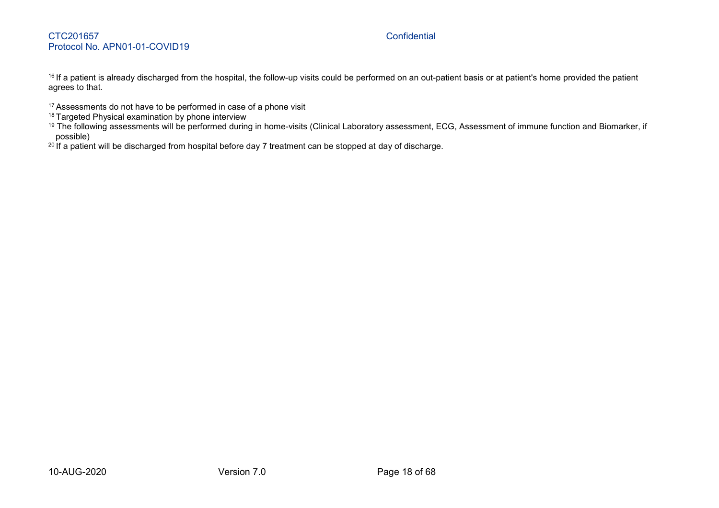<sup>16</sup> If a patient is already discharged from the hospital, the follow-up visits could be performed on an out-patient basis or at patient's home provided the patient agrees to that.

- <sup>17</sup> Assessments do not have to be performed in case of a phone visit
- <sup>18</sup> Targeted Physical examination by phone interview
- <sup>19</sup> The following assessments will be performed during in home-visits (Clinical Laboratory assessment, ECG, Assessment of immune function and Biomarker, if possible)
- 20 If a patient will be discharged from hospital before day 7 treatment can be stopped at day of discharge.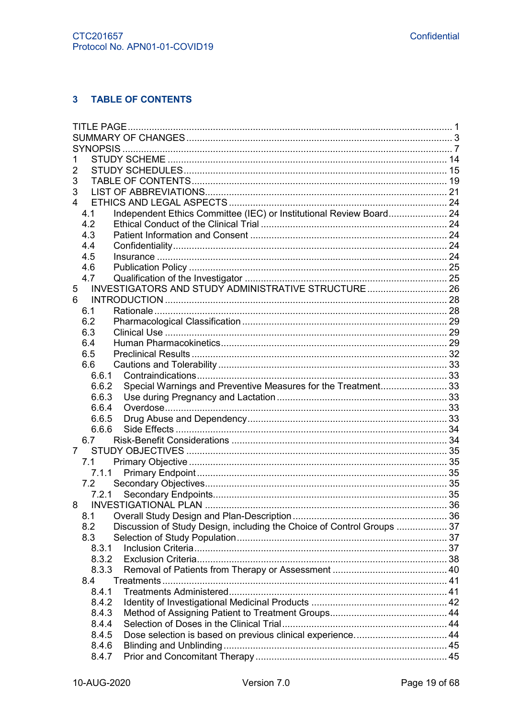# <span id="page-18-0"></span>3 TABLE OF CONTENTS

| 1                                                                             |  |
|-------------------------------------------------------------------------------|--|
| 2                                                                             |  |
| 3                                                                             |  |
| 3                                                                             |  |
| 4                                                                             |  |
| Independent Ethics Committee (IEC) or Institutional Review Board 24<br>4.1    |  |
| 4.2                                                                           |  |
| 4.3                                                                           |  |
| 4.4                                                                           |  |
| 4.5                                                                           |  |
| 4.6                                                                           |  |
| 4.7                                                                           |  |
| INVESTIGATORS AND STUDY ADMINISTRATIVE STRUCTURE 26<br>5                      |  |
| 6                                                                             |  |
| 6.1                                                                           |  |
| 6.2                                                                           |  |
| 6.3                                                                           |  |
| 6.4                                                                           |  |
| 6.5                                                                           |  |
| 6.6                                                                           |  |
| 6.6.1                                                                         |  |
| Special Warnings and Preventive Measures for the Treatment33<br>6.6.2         |  |
| 6.6.3                                                                         |  |
| 6.6.4                                                                         |  |
| 6.6.5                                                                         |  |
| 6.6.6                                                                         |  |
| 6.7                                                                           |  |
| 7                                                                             |  |
| 7.1                                                                           |  |
| 7.1.1                                                                         |  |
| 7.2                                                                           |  |
|                                                                               |  |
| 8                                                                             |  |
| 8.1                                                                           |  |
| Discussion of Study Design, including the Choice of Control Groups  37<br>8.2 |  |
| 8.3                                                                           |  |
| 8.3.1                                                                         |  |
| 8.3.2                                                                         |  |
| 8.3.3                                                                         |  |
| 8.4                                                                           |  |
| 8.4.1                                                                         |  |
| 8.4.2                                                                         |  |
| 8.4.3                                                                         |  |
| 8.4.4                                                                         |  |
| Dose selection is based on previous clinical experience 44<br>8.4.5           |  |
| 8.4.6                                                                         |  |
| 8.4.7                                                                         |  |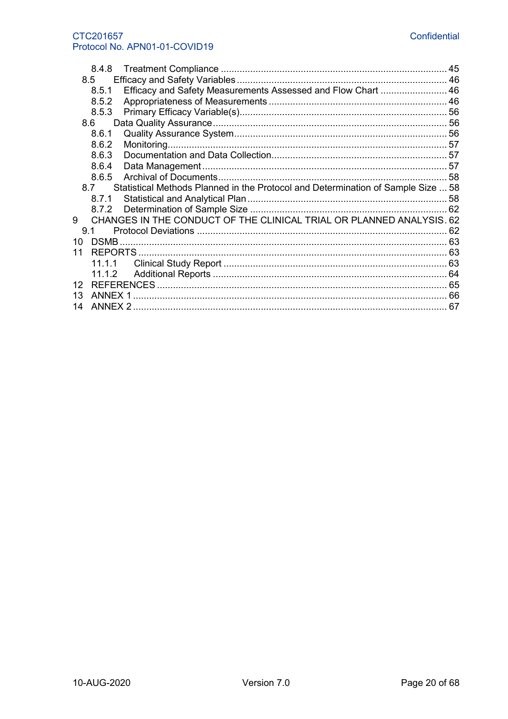#### CTC201657 Protocol No. APN01-01-COVID19

|                 | 8.4.8                                                                                   | 45 |
|-----------------|-----------------------------------------------------------------------------------------|----|
|                 | 8.5                                                                                     |    |
|                 | Efficacy and Safety Measurements Assessed and Flow Chart  46<br>8.5.1                   |    |
|                 | 8.5.2                                                                                   |    |
|                 | 8.5.3                                                                                   |    |
|                 | 8.6                                                                                     |    |
|                 | 8.6.1                                                                                   |    |
|                 | 8.6.2                                                                                   |    |
|                 | 8.6.3                                                                                   |    |
|                 | 8.6.4                                                                                   |    |
|                 | 8.6.5                                                                                   |    |
|                 | Statistical Methods Planned in the Protocol and Determination of Sample Size  58<br>8.7 |    |
|                 | 8.7.1                                                                                   |    |
|                 |                                                                                         |    |
| 9               | CHANGES IN THE CONDUCT OF THE CLINICAL TRIAL OR PLANNED ANALYSIS. 62                    |    |
|                 | 9.1                                                                                     |    |
| 10              |                                                                                         |    |
| 11              |                                                                                         |    |
|                 | 11.1.1                                                                                  |    |
|                 | 11.1.2                                                                                  |    |
| 12 <sup>2</sup> |                                                                                         |    |
| 13              |                                                                                         |    |
|                 |                                                                                         |    |
| 14              |                                                                                         |    |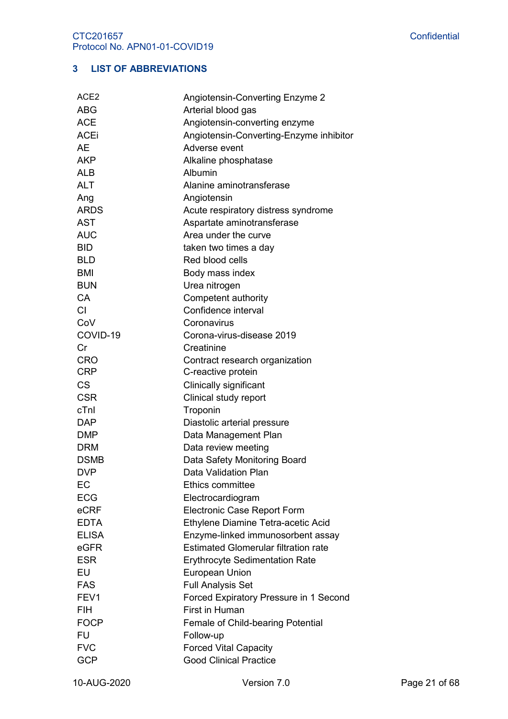# <span id="page-20-0"></span>**3 LIST OF ABBREVIATIONS**

| ACE <sub>2</sub> | Angiotensin-Converting Enzyme 2                                 |
|------------------|-----------------------------------------------------------------|
| <b>ABG</b>       | Arterial blood gas                                              |
| <b>ACE</b>       | Angiotensin-converting enzyme                                   |
| <b>ACEi</b>      | Angiotensin-Converting-Enzyme inhibitor                         |
| <b>AE</b>        | Adverse event                                                   |
| <b>AKP</b>       | Alkaline phosphatase                                            |
| <b>ALB</b>       | Albumin                                                         |
| <b>ALT</b>       | Alanine aminotransferase                                        |
| Ang              | Angiotensin                                                     |
| <b>ARDS</b>      | Acute respiratory distress syndrome                             |
| <b>AST</b>       | Aspartate aminotransferase                                      |
| <b>AUC</b>       | Area under the curve                                            |
| <b>BID</b>       | taken two times a day                                           |
| <b>BLD</b>       | Red blood cells                                                 |
| <b>BMI</b>       | Body mass index                                                 |
| <b>BUN</b>       | Urea nitrogen                                                   |
| <b>CA</b>        | Competent authority                                             |
| <b>CI</b>        | Confidence interval                                             |
| CoV              | Coronavirus                                                     |
| COVID-19         | Corona-virus-disease 2019                                       |
| Cr               | Creatinine                                                      |
| <b>CRO</b>       | Contract research organization                                  |
| <b>CRP</b>       | C-reactive protein                                              |
| <b>CS</b>        | <b>Clinically significant</b>                                   |
| <b>CSR</b>       | Clinical study report                                           |
| cTnl             | Troponin                                                        |
| <b>DAP</b>       | Diastolic arterial pressure                                     |
| <b>DMP</b>       | Data Management Plan                                            |
| <b>DRM</b>       | Data review meeting                                             |
| <b>DSMB</b>      | Data Safety Monitoring Board                                    |
| <b>DVP</b>       | Data Validation Plan                                            |
| EC               | <b>Ethics committee</b>                                         |
| <b>ECG</b>       | Electrocardiogram                                               |
| eCRF             | <b>Electronic Case Report Form</b>                              |
| <b>EDTA</b>      | Ethylene Diamine Tetra-acetic Acid                              |
| <b>ELISA</b>     | Enzyme-linked immunosorbent assay                               |
| eGFR             | <b>Estimated Glomerular filtration rate</b>                     |
| <b>ESR</b>       | <b>Erythrocyte Sedimentation Rate</b>                           |
| EU               | European Union                                                  |
| <b>FAS</b>       | <b>Full Analysis Set</b>                                        |
| FEV1             |                                                                 |
| <b>FIH</b>       | Forced Expiratory Pressure in 1 Second<br><b>First in Human</b> |
|                  |                                                                 |
| <b>FOCP</b>      | Female of Child-bearing Potential                               |
| <b>FU</b>        | Follow-up                                                       |
| <b>FVC</b>       | <b>Forced Vital Capacity</b>                                    |
| <b>GCP</b>       | <b>Good Clinical Practice</b>                                   |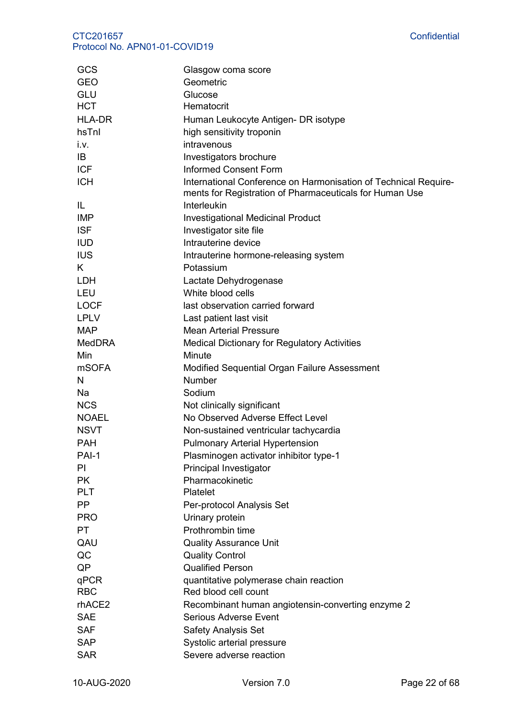| GCS           | Glasgow coma score                                                                                                         |
|---------------|----------------------------------------------------------------------------------------------------------------------------|
| <b>GEO</b>    | Geometric                                                                                                                  |
| GLU           | Glucose                                                                                                                    |
| <b>HCT</b>    | Hematocrit                                                                                                                 |
| <b>HLA-DR</b> | Human Leukocyte Antigen- DR isotype                                                                                        |
| hsTnl         | high sensitivity troponin                                                                                                  |
| i.v.          | intravenous                                                                                                                |
| IB            | Investigators brochure                                                                                                     |
| <b>ICF</b>    | <b>Informed Consent Form</b>                                                                                               |
| <b>ICH</b>    | International Conference on Harmonisation of Technical Require-<br>ments for Registration of Pharmaceuticals for Human Use |
| IL            | Interleukin                                                                                                                |
| <b>IMP</b>    | <b>Investigational Medicinal Product</b>                                                                                   |
| <b>ISF</b>    | Investigator site file                                                                                                     |
| <b>IUD</b>    | Intrauterine device                                                                                                        |
| <b>IUS</b>    | Intrauterine hormone-releasing system                                                                                      |
| K.            | Potassium                                                                                                                  |
| LDH           | Lactate Dehydrogenase                                                                                                      |
| LEU           | White blood cells                                                                                                          |
| <b>LOCF</b>   | last observation carried forward                                                                                           |
| <b>LPLV</b>   | Last patient last visit                                                                                                    |
| <b>MAP</b>    | <b>Mean Arterial Pressure</b>                                                                                              |
| <b>MedDRA</b> | <b>Medical Dictionary for Regulatory Activities</b>                                                                        |
| Min           | Minute                                                                                                                     |
| <b>mSOFA</b>  | Modified Sequential Organ Failure Assessment                                                                               |
| N             | Number                                                                                                                     |
| Na            | Sodium                                                                                                                     |
| <b>NCS</b>    | Not clinically significant                                                                                                 |
| <b>NOAEL</b>  | No Observed Adverse Effect Level                                                                                           |
| <b>NSVT</b>   | Non-sustained ventricular tachycardia                                                                                      |
| PAH           | <b>Pulmonary Arterial Hypertension</b>                                                                                     |
| PAI-1         | Plasminogen activator inhibitor type-1                                                                                     |
| PI            | Principal Investigator                                                                                                     |
| <b>PK</b>     | Pharmacokinetic                                                                                                            |
| <b>PLT</b>    | Platelet                                                                                                                   |
| <b>PP</b>     | Per-protocol Analysis Set                                                                                                  |
| <b>PRO</b>    | Urinary protein                                                                                                            |
| PT            | Prothrombin time                                                                                                           |
| QAU           | <b>Quality Assurance Unit</b>                                                                                              |
| QC            | <b>Quality Control</b>                                                                                                     |
| QP            | <b>Qualified Person</b>                                                                                                    |
| qPCR          | quantitative polymerase chain reaction                                                                                     |
| <b>RBC</b>    | Red blood cell count                                                                                                       |
| rhACE2        | Recombinant human angiotensin-converting enzyme 2                                                                          |
| <b>SAE</b>    | <b>Serious Adverse Event</b>                                                                                               |
| <b>SAF</b>    | Safety Analysis Set                                                                                                        |
| <b>SAP</b>    | Systolic arterial pressure                                                                                                 |
| <b>SAR</b>    | Severe adverse reaction                                                                                                    |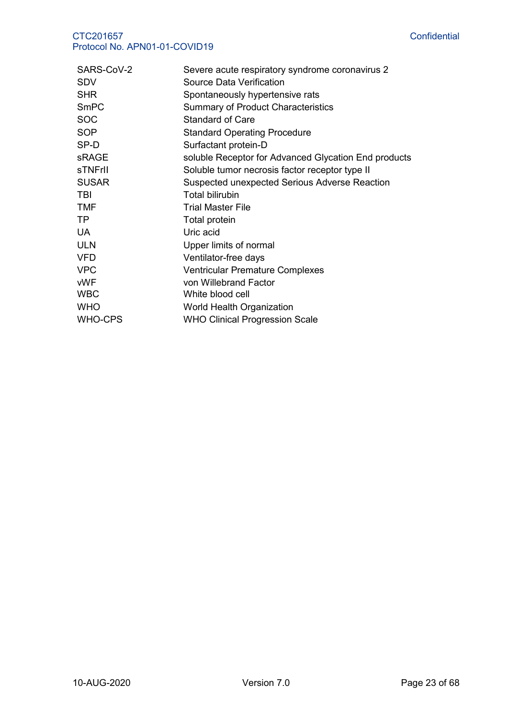| SARS-CoV-2     | Severe acute respiratory syndrome coronavirus 2      |
|----------------|------------------------------------------------------|
| <b>SDV</b>     | Source Data Verification                             |
| <b>SHR</b>     | Spontaneously hypertensive rats                      |
| <b>SmPC</b>    | <b>Summary of Product Characteristics</b>            |
| <b>SOC</b>     | <b>Standard of Care</b>                              |
| <b>SOP</b>     | <b>Standard Operating Procedure</b>                  |
| SP-D           | Surfactant protein-D                                 |
| <b>sRAGE</b>   | soluble Receptor for Advanced Glycation End products |
| <b>sTNFrll</b> | Soluble tumor necrosis factor receptor type II       |
| <b>SUSAR</b>   | Suspected unexpected Serious Adverse Reaction        |
| TBI            | <b>Total bilirubin</b>                               |
| <b>TMF</b>     | <b>Trial Master File</b>                             |
| <b>TP</b>      | Total protein                                        |
| <b>UA</b>      | Uric acid                                            |
| <b>ULN</b>     | Upper limits of normal                               |
| <b>VFD</b>     | Ventilator-free days                                 |
| <b>VPC</b>     | <b>Ventricular Premature Complexes</b>               |
| <b>vWF</b>     | von Willebrand Factor                                |
| <b>WBC</b>     | White blood cell                                     |
| <b>WHO</b>     | World Health Organization                            |
| <b>WHO-CPS</b> | <b>WHO Clinical Progression Scale</b>                |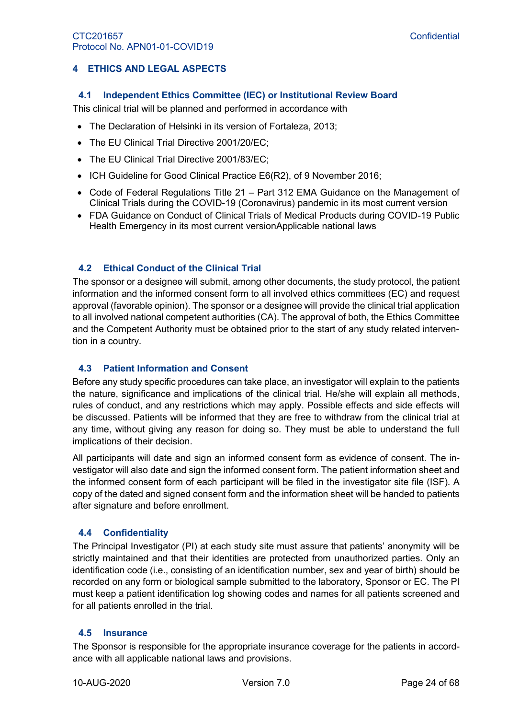# <span id="page-23-1"></span><span id="page-23-0"></span>**4 ETHICS AND LEGAL ASPECTS**

#### **4.1 Independent Ethics Committee (IEC) or Institutional Review Board**

This clinical trial will be planned and performed in accordance with

- The Declaration of Helsinki in its version of Fortaleza, 2013;
- The EU Clinical Trial Directive 2001/20/EC;
- The EU Clinical Trial Directive 2001/83/EC;
- ICH Guideline for Good Clinical Practice E6(R2), of 9 November 2016;
- Code of Federal Regulations Title 21 Part 312 EMA Guidance on the Management of Clinical Trials during the COVID-19 (Coronavirus) pandemic in its most current version
- FDA Guidance on Conduct of Clinical Trials of Medical Products during COVID-19 Public Health Emergency in its most current versionApplicable national laws

# <span id="page-23-2"></span>**4.2 Ethical Conduct of the Clinical Trial**

The sponsor or a designee will submit, among other documents, the study protocol, the patient information and the informed consent form to all involved ethics committees (EC) and request approval (favorable opinion). The sponsor or a designee will provide the clinical trial application to all involved national competent authorities (CA). The approval of both, the Ethics Committee and the Competent Authority must be obtained prior to the start of any study related intervention in a country.

#### <span id="page-23-3"></span>**4.3 Patient Information and Consent**

Before any study specific procedures can take place, an investigator will explain to the patients the nature, significance and implications of the clinical trial. He/she will explain all methods, rules of conduct, and any restrictions which may apply. Possible effects and side effects will be discussed. Patients will be informed that they are free to withdraw from the clinical trial at any time, without giving any reason for doing so. They must be able to understand the full implications of their decision.

All participants will date and sign an informed consent form as evidence of consent. The investigator will also date and sign the informed consent form. The patient information sheet and the informed consent form of each participant will be filed in the investigator site file (ISF). A copy of the dated and signed consent form and the information sheet will be handed to patients after signature and before enrollment.

#### <span id="page-23-4"></span>**4.4 Confidentiality**

The Principal Investigator (PI) at each study site must assure that patients' anonymity will be strictly maintained and that their identities are protected from unauthorized parties. Only an identification code (i.e., consisting of an identification number, sex and year of birth) should be recorded on any form or biological sample submitted to the laboratory, Sponsor or EC. The PI must keep a patient identification log showing codes and names for all patients screened and for all patients enrolled in the trial.

#### <span id="page-23-5"></span>**4.5 Insurance**

The Sponsor is responsible for the appropriate insurance coverage for the patients in accordance with all applicable national laws and provisions.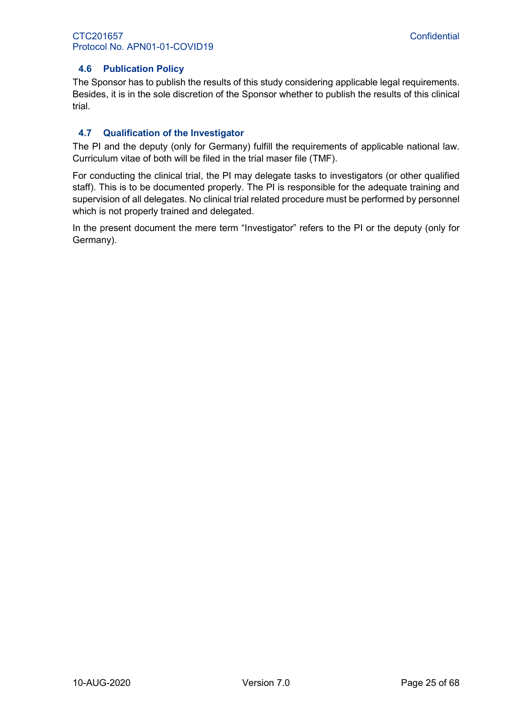# <span id="page-24-0"></span>**4.6 Publication Policy**

The Sponsor has to publish the results of this study considering applicable legal requirements. Besides, it is in the sole discretion of the Sponsor whether to publish the results of this clinical trial.

# <span id="page-24-1"></span>**4.7 Qualification of the Investigator**

The PI and the deputy (only for Germany) fulfill the requirements of applicable national law. Curriculum vitae of both will be filed in the trial maser file (TMF).

For conducting the clinical trial, the PI may delegate tasks to investigators (or other qualified staff). This is to be documented properly. The PI is responsible for the adequate training and supervision of all delegates. No clinical trial related procedure must be performed by personnel which is not properly trained and delegated.

In the present document the mere term "Investigator" refers to the PI or the deputy (only for Germany).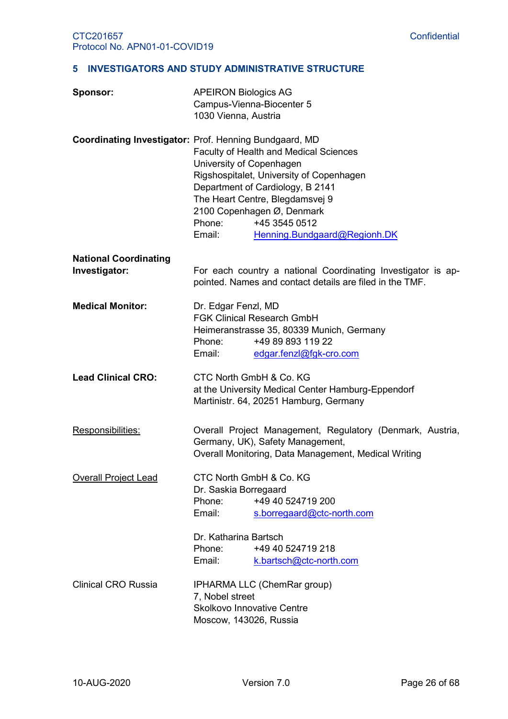#### <span id="page-25-0"></span>**5 INVESTIGATORS AND STUDY ADMINISTRATIVE STRUCTURE**

| Sponsor:                                      | <b>APEIRON Biologics AG</b><br>Campus-Vienna-Biocenter 5<br>1030 Vienna, Austria                                                                                                                                                                                                                                                                   |
|-----------------------------------------------|----------------------------------------------------------------------------------------------------------------------------------------------------------------------------------------------------------------------------------------------------------------------------------------------------------------------------------------------------|
|                                               | Coordinating Investigator: Prof. Henning Bundgaard, MD<br>Faculty of Health and Medical Sciences<br>University of Copenhagen<br>Rigshospitalet, University of Copenhagen<br>Department of Cardiology, B 2141<br>The Heart Centre, Blegdamsvej 9<br>2100 Copenhagen Ø, Denmark<br>Phone:<br>+45 3545 0512<br>Email:<br>Henning.Bundgaard@Regionh.DK |
| <b>National Coordinating</b><br>Investigator: | For each country a national Coordinating Investigator is ap-<br>pointed. Names and contact details are filed in the TMF.                                                                                                                                                                                                                           |
| <b>Medical Monitor:</b>                       | Dr. Edgar Fenzl, MD<br><b>FGK Clinical Research GmbH</b><br>Heimeranstrasse 35, 80339 Munich, Germany<br>+49 89 893 119 22<br>Phone:<br>Email:<br>edgar.fenzl@fgk-cro.com                                                                                                                                                                          |
| <b>Lead Clinical CRO:</b>                     | CTC North GmbH & Co. KG<br>at the University Medical Center Hamburg-Eppendorf<br>Martinistr. 64, 20251 Hamburg, Germany                                                                                                                                                                                                                            |
| Responsibilities:                             | Overall Project Management, Regulatory (Denmark, Austria,<br>Germany, UK), Safety Management,<br>Overall Monitoring, Data Management, Medical Writing                                                                                                                                                                                              |
| <b>Overall Project Lead</b>                   | CTC North GmbH & Co. KG<br>Dr. Saskia Borregaard<br>+49 40 524719 200<br>Phone:<br>Email:<br>s.borregaard@ctc-north.com<br>Dr. Katharina Bartsch<br>Phone:<br>+49 40 524719 218<br>Email:<br>k.bartsch@ctc-north.com                                                                                                                               |
| <b>Clinical CRO Russia</b>                    | IPHARMA LLC (ChemRar group)<br>7, Nobel street<br><b>Skolkovo Innovative Centre</b><br>Moscow, 143026, Russia                                                                                                                                                                                                                                      |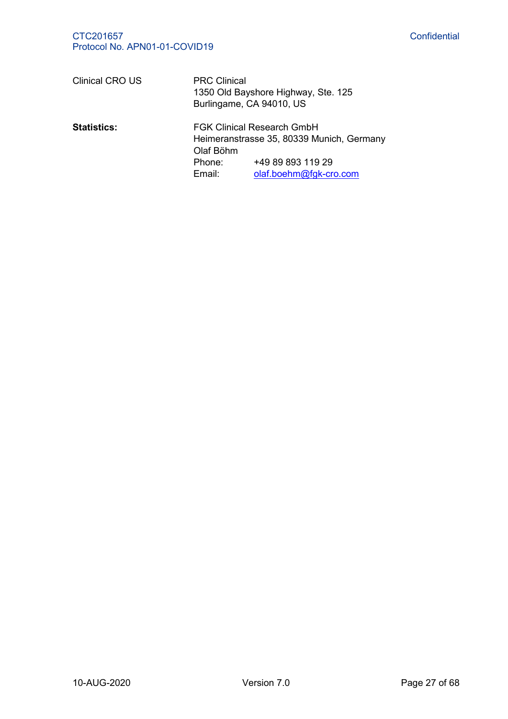| <b>Clinical CRO US</b> | <b>PRC Clinical</b>           | 1350 Old Bayshore Highway, Ste. 125<br>Burlingame, CA 94010, US                                                               |
|------------------------|-------------------------------|-------------------------------------------------------------------------------------------------------------------------------|
| <b>Statistics:</b>     | Olaf Böhm<br>Phone:<br>Email: | <b>FGK Clinical Research GmbH</b><br>Heimeranstrasse 35, 80339 Munich, Germany<br>+49 89 893 119 29<br>olaf.boehm@fgk-cro.com |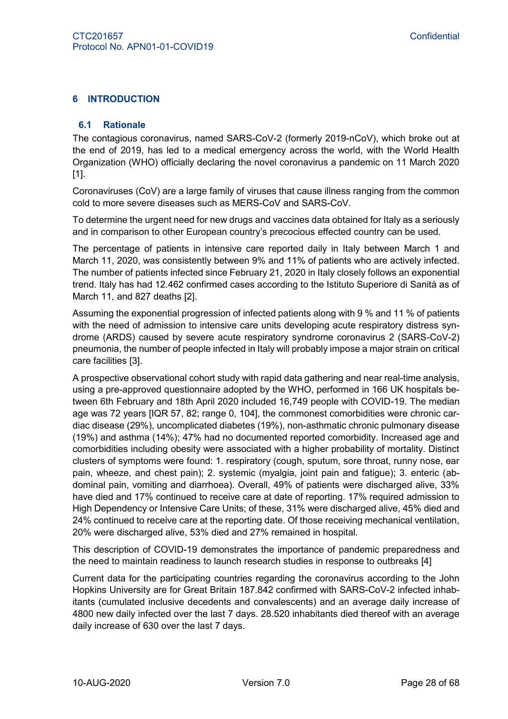### <span id="page-27-1"></span><span id="page-27-0"></span>**6 INTRODUCTION**

#### **6.1 Rationale**

The contagious coronavirus, named SARS-CoV-2 (formerly 2019-nCoV), which broke out at the end of 2019, has led to a medical emergency across the world, with the World Health Organization (WHO) officially declaring the novel coronavirus a pandemic on 11 March 2020 [1].

<span id="page-27-2"></span>Coronaviruses (CoV) are a large family of viruses that cause illness ranging from the common cold to more severe diseases such as MERS-CoV and SARS-CoV.

To determine the urgent need for new drugs and vaccines data obtained for Italy as a seriously and in comparison to other European country's precocious effected country can be used.

The percentage of patients in intensive care reported daily in Italy between March 1 and March 11, 2020, was consistently between 9% and 11% of patients who are actively infected. The number of patients infected since February 21, 2020 in Italy closely follows an exponential trend. Italy has had 12.462 confirmed cases according to the Istituto Superiore di Sanità as of March 11, and 827 deaths [2].

Assuming the exponential progression of infected patients along with 9 % and 11 % of patients with the need of admission to intensive care units developing acute respiratory distress syndrome (ARDS) caused by severe acute respiratory syndrome coronavirus 2 (SARS-CoV-2) pneumonia, the number of people infected in Italy will probably impose a major strain on critical care facilities [3].

A prospective observational cohort study with rapid data gathering and near real-time analysis, using a pre-approved questionnaire adopted by the WHO, performed in 166 UK hospitals between 6th February and 18th April 2020 included 16,749 people with COVID-19. The median age was 72 years [IQR 57, 82; range 0, 104], the commonest comorbidities were chronic cardiac disease (29%), uncomplicated diabetes (19%), non-asthmatic chronic pulmonary disease (19%) and asthma (14%); 47% had no documented reported comorbidity. Increased age and comorbidities including obesity were associated with a higher probability of mortality. Distinct clusters of symptoms were found: 1. respiratory (cough, sputum, sore throat, runny nose, ear pain, wheeze, and chest pain); 2. systemic (myalgia, joint pain and fatigue); 3. enteric (abdominal pain, vomiting and diarrhoea). Overall, 49% of patients were discharged alive, 33% have died and 17% continued to receive care at date of reporting. 17% required admission to High Dependency or Intensive Care Units; of these, 31% were discharged alive, 45% died and 24% continued to receive care at the reporting date. Of those receiving mechanical ventilation, 20% were discharged alive, 53% died and 27% remained in hospital.

This description of COVID-19 demonstrates the importance of pandemic preparedness and the need to maintain readiness to launch research studies in response to outbreaks [4]

Current data for the participating countries regarding the coronavirus according to the John Hopkins University are for Great Britain 187.842 confirmed with SARS-CoV-2 infected inhabitants (cumulated inclusive decedents and convalescents) and an average daily increase of 4800 new daily infected over the last 7 days. 28.520 inhabitants died thereof with an average daily increase of 630 over the last 7 days.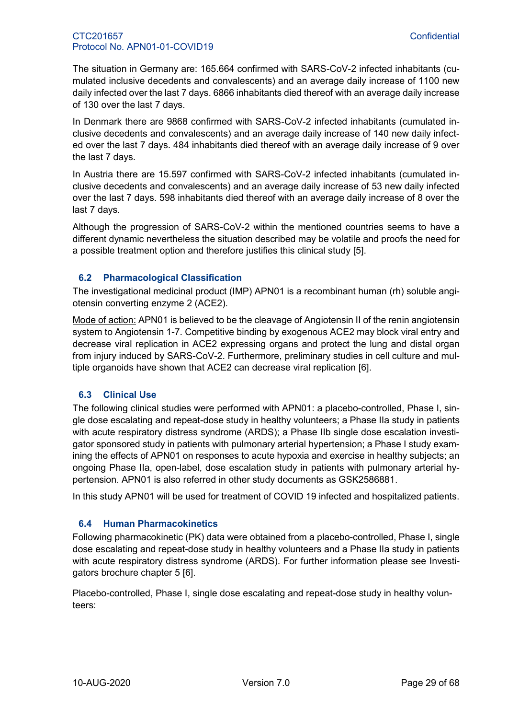The situation in Germany are: 165.664 confirmed with SARS-CoV-2 infected inhabitants (cumulated inclusive decedents and convalescents) and an average daily increase of 1100 new daily infected over the last 7 days. 6866 inhabitants died thereof with an average daily increase of 130 over the last 7 days.

In Denmark there are 9868 confirmed with SARS-CoV-2 infected inhabitants (cumulated inclusive decedents and convalescents) and an average daily increase of 140 new daily infected over the last 7 days. 484 inhabitants died thereof with an average daily increase of 9 over the last 7 days.

In Austria there are 15.597 confirmed with SARS-CoV-2 infected inhabitants (cumulated inclusive decedents and convalescents) and an average daily increase of 53 new daily infected over the last 7 days. 598 inhabitants died thereof with an average daily increase of 8 over the last 7 days.

Although the progression of SARS-CoV-2 within the mentioned countries seems to have a different dynamic nevertheless the situation described may be volatile and proofs the need for a possible treatment option and therefore justifies this clinical study [5].

# <span id="page-28-0"></span>**6.2 Pharmacological Classification**

The investigational medicinal product (IMP) APN01 is a recombinant human (rh) soluble angiotensin converting enzyme 2 (ACE2).

Mode of action: APN01 is believed to be the cleavage of Angiotensin II of the renin angiotensin system to Angiotensin 1-7. Competitive binding by exogenous ACE2 may block viral entry and decrease viral replication in ACE2 expressing organs and protect the lung and distal organ from injury induced by SARS-CoV-2. Furthermore, preliminary studies in cell culture and multiple organoids have shown that ACE2 can decrease viral replication [6].

# <span id="page-28-3"></span><span id="page-28-1"></span>**6.3 Clinical Use**

The following clinical studies were performed with APN01: a placebo-controlled, Phase I, single dose escalating and repeat-dose study in healthy volunteers; a Phase IIa study in patients with acute respiratory distress syndrome (ARDS); a Phase IIb single dose escalation investigator sponsored study in patients with pulmonary arterial hypertension; a Phase I study examining the effects of APN01 on responses to acute hypoxia and exercise in healthy subjects; an ongoing Phase IIa, open-label, dose escalation study in patients with pulmonary arterial hypertension. APN01 is also referred in other study documents as GSK2586881.

In this study APN01 will be used for treatment of COVID 19 infected and hospitalized patients.

# <span id="page-28-2"></span>**6.4 Human Pharmacokinetics**

Following pharmacokinetic (PK) data were obtained from a placebo-controlled, Phase I, single dose escalating and repeat-dose study in healthy volunteers and a Phase IIa study in patients with acute respiratory distress syndrome (ARDS). For further information please see Investigators brochure chapter 5 [\[6\]](#page-28-3).

Placebo-controlled, Phase I, single dose escalating and repeat-dose study in healthy volunteers: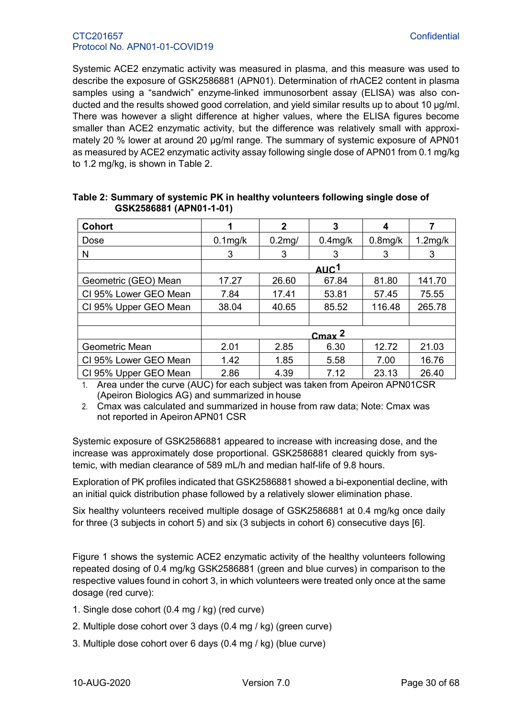Systemic ACE2 enzymatic activity was measured in plasma, and this measure was used to describe the exposure of GSK2586881 (APN01). Determination of rhACE2 content in plasma samples using a "sandwich" enzyme-linked immunosorbent assay (ELISA) was also conducted and the results showed good correlation, and yield similar results up to about 10 μg/ml. There was however a slight difference at higher values, where the ELISA figures become smaller than ACE2 enzymatic activity, but the difference was relatively small with approximately 20 % lower at around 20 μg/ml range. The summary of systemic exposure of APN01 as measured by ACE2 enzymatic activity assay following single dose of APN01 from 0.1 mg/kg to 1.2 mg/kg, is shown in [Table 2.](#page-29-0)

| <b>Cohort</b>         |            | 2         | 3           | 4          |            |
|-----------------------|------------|-----------|-------------|------------|------------|
| <b>Dose</b>           | $0.1$ mg/k | $0.2$ mg/ | $0.4$ mg/k  | $0.8$ mg/k | $1.2$ mg/k |
| N                     | 3          | 3         | 3           | 3          | 3          |
|                       |            |           | <u>AUC1</u> |            |            |
| Geometric (GEO) Mean  | 17.27      | 26.60     | 67.84       | 81.80      | 141.70     |
| CI 95% Lower GEO Mean | 7.84       | 17.41     | 53.81       | 57.45      | 75.55      |
| CI 95% Upper GEO Mean | 38.04      | 40.65     | 85.52       | 116.48     | 265.78     |
|                       |            |           |             |            |            |
|                       |            |           | $C$ max $2$ |            |            |
| Geometric Mean        | 2.01       | 2.85      | 6.30        | 12.72      | 21.03      |
| CI 95% Lower GEO Mean | 1.42       | 1.85      | 5.58        | 7.00       | 16.76      |
| CI 95% Upper GEO Mean | 2.86       | 4.39      | 7.12        | 23.13      | 26.40      |

#### <span id="page-29-0"></span>**Table 2: Summary of systemic PK in healthy volunteers following single dose of GSK2586881 (APN01-1-01)**

1. Area under the curve (AUC) for each subject was taken from Apeiron APN01CSR (Apeiron Biologics AG) and summarized in house

2. Cmax was calculated and summarized in house from raw data; Note: Cmax was not reported in ApeironAPN01 CSR

Systemic exposure of GSK2586881 appeared to increase with increasing dose, and the increase was approximately dose proportional. GSK2586881 cleared quickly from systemic, with median clearance of 589 mL/h and median half-life of 9.8 hours.

Exploration of PK profiles indicated that GSK2586881 showed a bi-exponential decline, with an initial quick distribution phase followed by a relatively slower elimination phase.

Six healthy volunteers received multiple dosage of GSK2586881 at 0.4 mg/kg once daily for three (3 subjects in cohort 5) and six (3 subjects in cohort 6) consecutive days [\[6\]](#page-28-3).

Figure 1 shows the systemic ACE2 enzymatic activity of the healthy volunteers following repeated dosing of 0.4 mg/kg GSK2586881 (green and blue curves) in comparison to the respective values found in cohort 3, in which volunteers were treated only once at the same dosage (red curve):

- 1. Single dose cohort (0.4 mg / kg) (red curve)
- 2. Multiple dose cohort over 3 days (0.4 mg / kg) (green curve)
- 3. Multiple dose cohort over 6 days (0.4 mg / kg) (blue curve)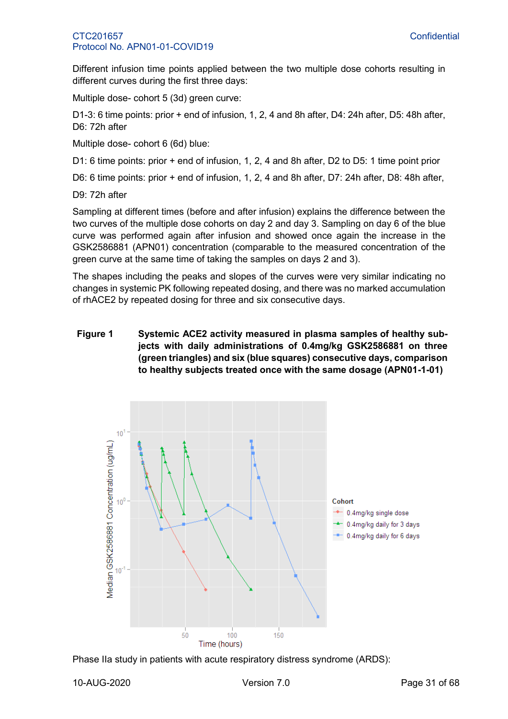Different infusion time points applied between the two multiple dose cohorts resulting in different curves during the first three days:

Multiple dose- cohort 5 (3d) green curve:

D1-3: 6 time points: prior + end of infusion, 1, 2, 4 and 8h after, D4: 24h after, D5: 48h after, D6: 72h after

Multiple dose- cohort 6 (6d) blue:

D1: 6 time points: prior + end of infusion, 1, 2, 4 and 8h after, D2 to D5: 1 time point prior

D6: 6 time points: prior + end of infusion, 1, 2, 4 and 8h after, D7: 24h after, D8: 48h after,

D9: 72h after

Sampling at different times (before and after infusion) explains the difference between the two curves of the multiple dose cohorts on day 2 and day 3. Sampling on day 6 of the blue curve was performed again after infusion and showed once again the increase in the GSK2586881 (APN01) concentration (comparable to the measured concentration of the green curve at the same time of taking the samples on days 2 and 3).

The shapes including the peaks and slopes of the curves were very similar indicating no changes in systemic PK following repeated dosing, and there was no marked accumulation of rhACE2 by repeated dosing for three and six consecutive days.

### **Figure 1 Systemic ACE2 activity measured in plasma samples of healthy subjects with daily administrations of 0.4mg/kg GSK2586881 on three (green triangles) and six (blue squares) consecutive days, comparison to healthy subjects treated once with the same dosage (APN01-1-01)**



Phase IIa study in patients with acute respiratory distress syndrome (ARDS):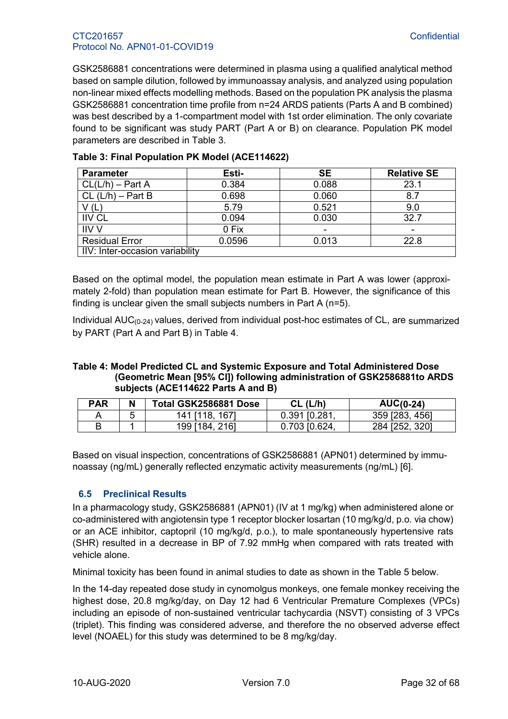GSK2586881 concentrations were determined in plasma using a qualified analytical method based on sample dilution, followed by immunoassay analysis, and analyzed using population non-linear mixed effects modelling methods. Based on the population PK analysis the plasma GSK2586881 concentration time profile from n=24 ARDS patients (Parts A and B combined) was best described by a 1-compartment model with 1st order elimination. The only covariate found to be significant was study PART (Part A or B) on clearance. Population PK model parameters are described in [Table 3.](#page-31-1)

| <b>Parameter</b>                | Esti-  | <b>SE</b> | <b>Relative SE</b> |  |  |  |  |
|---------------------------------|--------|-----------|--------------------|--|--|--|--|
| $CL(L/h) - Part A$              | 0.384  | 0.088     | 23.1               |  |  |  |  |
| $CL (L/h) - Part B$             | 0.698  | 0.060     | 8.7                |  |  |  |  |
| V(L)                            | 5.79   | 0.521     | 9.0                |  |  |  |  |
| <b>IIV CL</b>                   | 0.094  | 0.030     | 32.7               |  |  |  |  |
| <b>IIV V</b>                    | 0 Fix  |           |                    |  |  |  |  |
| <b>Residual Error</b>           | 0.0596 | 0.013     | 22.8               |  |  |  |  |
| IIV: Inter-occasion variability |        |           |                    |  |  |  |  |

#### <span id="page-31-1"></span>**Table 3: Final Population PK Model (ACE114622)**

Based on the optimal model, the population mean estimate in Part A was lower (approximately 2-fold) than population mean estimate for Part B. However, the significance of this finding is unclear given the small subjects numbers in Part A (n=5).

Individual  $AUC_{(0-24)}$  values, derived from individual post-hoc estimates of CL, are summarized by PART (Part A and Part B) in [Table 4.](#page-31-2)

#### <span id="page-31-2"></span>**Table 4: Model Predicted CL and Systemic Exposure and Total Administered Dose (Geometric Mean [95% CI]) following administration of GSK2586881to ARDS subjects (ACE114622 Parts A and B)**

| <b>PAR</b> | N | Total GSK2586881 Dose | CL (L/h)        | $AUC(0-24)$    |
|------------|---|-----------------------|-----------------|----------------|
|            |   | 1671<br>141 [118.     | $0.391$ [0.281, | 359 [283, 456] |
|            |   | . 2161<br>199 [184, . | 0.703 [0.624,   | 284 [252, 320] |

Based on visual inspection, concentrations of GSK2586881 (APN01) determined by immunoassay (ng/mL) generally reflected enzymatic activity measurements (ng/mL) [\[6\]](#page-28-3).

#### <span id="page-31-0"></span>**6.5 Preclinical Results**

In a pharmacology study, GSK2586881 (APN01) (IV at 1 mg/kg) when administered alone or co-administered with angiotensin type 1 receptor blocker losartan (10 mg/kg/d, p.o. via chow) or an ACE inhibitor, captopril (10 mg/kg/d, p.o.), to male spontaneously hypertensive rats (SHR) resulted in a decrease in BP of 7.92 mmHg when compared with rats treated with vehicle alone.

Minimal toxicity has been found in animal studies to date as shown in the [Table 5](#page-32-6) below.

In the 14-day repeated dose study in cynomolgus monkeys, one female monkey receiving the highest dose, 20.8 mg/kg/day, on Day 12 had 6 Ventricular Premature Complexes (VPCs) including an episode of non-sustained ventricular tachycardia (NSVT) consisting of 3 VPCs (triplet). This finding was considered adverse, and therefore the no observed adverse effect level (NOAEL) for this study was determined to be 8 mg/kg/day.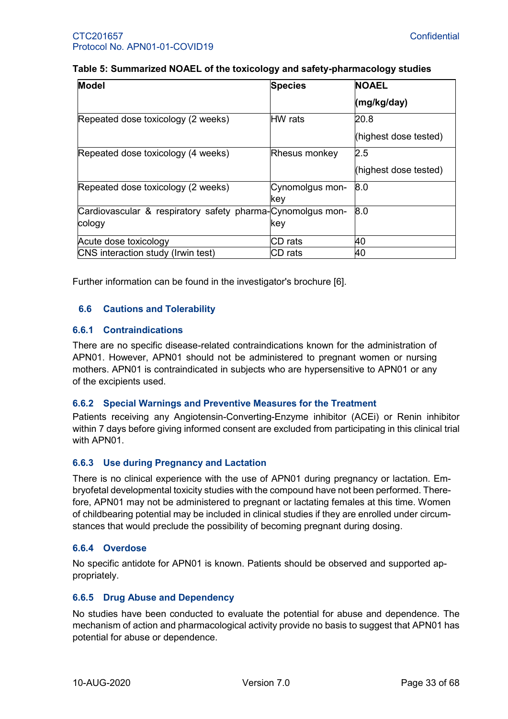#### <span id="page-32-6"></span>**Table 5: Summarized NOAEL of the toxicology and safety-pharmacology studies**

| <b>Model</b>                                               | <b>Species</b>       | <b>NOAEL</b>          |
|------------------------------------------------------------|----------------------|-----------------------|
|                                                            |                      | (mg/kg/day)           |
| Repeated dose toxicology (2 weeks)                         | <b>HW</b> rats       | 20.8                  |
|                                                            |                      | (highest dose tested) |
| Repeated dose toxicology (4 weeks)                         | <b>Rhesus monkey</b> | 2.5                   |
|                                                            |                      | (highest dose tested) |
| Repeated dose toxicology (2 weeks)                         | Cynomolgus mon-      | 8.0                   |
|                                                            | kev                  |                       |
| Cardiovascular & respiratory safety pharma-Cynomolgus mon- |                      | 8.0                   |
| cology                                                     | key                  |                       |
| Acute dose toxicology                                      | CD rats              | 40                    |
| CNS interaction study (Irwin test)                         | CD rats              | 40                    |

Further information can be found in the investigator's brochure [\[6\]](#page-28-3).

# <span id="page-32-0"></span>**6.6 Cautions and Tolerability**

#### <span id="page-32-1"></span>**6.6.1 Contraindications**

There are no specific disease-related contraindications known for the administration of APN01. However, APN01 should not be administered to pregnant women or nursing mothers. APN01 is contraindicated in subjects who are hypersensitive to APN01 or any of the excipients used.

#### <span id="page-32-2"></span>**6.6.2 Special Warnings and Preventive Measures for the Treatment**

Patients receiving any Angiotensin-Converting-Enzyme inhibitor (ACEi) or Renin inhibitor within 7 days before giving informed consent are excluded from participating in this clinical trial with APN01.

#### <span id="page-32-3"></span>**6.6.3 Use during Pregnancy and Lactation**

There is no clinical experience with the use of APN01 during pregnancy or lactation. Embryofetal developmental toxicity studies with the compound have not been performed. Therefore, APN01 may not be administered to pregnant or lactating females at this time. Women of childbearing potential may be included in clinical studies if they are enrolled under circumstances that would preclude the possibility of becoming pregnant during dosing.

#### <span id="page-32-4"></span>**6.6.4 Overdose**

No specific antidote for APN01 is known. Patients should be observed and supported appropriately.

#### <span id="page-32-5"></span>**6.6.5 Drug Abuse and Dependency**

No studies have been conducted to evaluate the potential for abuse and dependence. The mechanism of action and pharmacological activity provide no basis to suggest that APN01 has potential for abuse or dependence.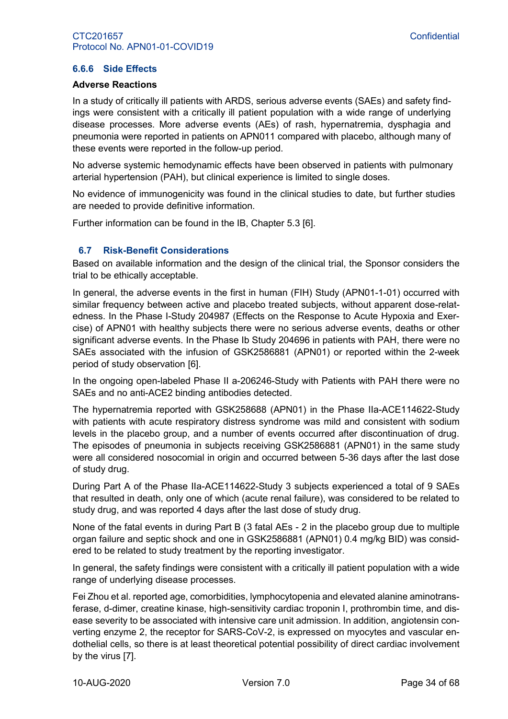#### <span id="page-33-0"></span>**6.6.6 Side Effects**

#### **Adverse Reactions**

In a study of critically ill patients with ARDS, serious adverse events (SAEs) and safety findings were consistent with a critically ill patient population with a wide range of underlying disease processes. More adverse events (AEs) of rash, hypernatremia, dysphagia and pneumonia were reported in patients on APN011 compared with placebo, although many of these events were reported in the follow-up period.

No adverse systemic hemodynamic effects have been observed in patients with pulmonary arterial hypertension (PAH), but clinical experience is limited to single doses.

No evidence of immunogenicity was found in the clinical studies to date, but further studies are needed to provide definitive information.

Further information can be found in the IB, Chapter 5.3 [\[6\]](#page-28-3).

#### <span id="page-33-1"></span>**6.7 Risk-Benefit Considerations**

Based on available information and the design of the clinical trial, the Sponsor considers the trial to be ethically acceptable.

In general, the adverse events in the first in human (FIH) Study (APN01-1-01) occurred with similar frequency between active and placebo treated subjects, without apparent dose-relatedness. In the Phase I-Study 204987 (Effects on the Response to Acute Hypoxia and Exercise) of APN01 with healthy subjects there were no serious adverse events, deaths or other significant adverse events. In the Phase Ib Study 204696 in patients with PAH, there were no SAEs associated with the infusion of GSK2586881 (APN01) or reported within the 2-week period of study observation [\[6\]](#page-28-3).

In the ongoing open-labeled Phase II a-206246-Study with Patients with PAH there were no SAEs and no anti-ACE2 binding antibodies detected.

The hypernatremia reported with GSK258688 (APN01) in the Phase IIa-ACE114622-Study with patients with acute respiratory distress syndrome was mild and consistent with sodium levels in the placebo group, and a number of events occurred after discontinuation of drug. The episodes of pneumonia in subjects receiving GSK2586881 (APN01) in the same study were all considered nosocomial in origin and occurred between 5-36 days after the last dose of study drug.

During Part A of the Phase IIa-ACE114622-Study 3 subjects experienced a total of 9 SAEs that resulted in death, only one of which (acute renal failure), was considered to be related to study drug, and was reported 4 days after the last dose of study drug.

None of the fatal events in during Part B (3 fatal AEs - 2 in the placebo group due to multiple organ failure and septic shock and one in GSK2586881 (APN01) 0.4 mg/kg BID) was considered to be related to study treatment by the reporting investigator.

In general, the safety findings were consistent with a critically ill patient population with a wide range of underlying disease processes.

Fei Zhou et al. reported age, comorbidities, lymphocytopenia and elevated alanine aminotransferase, d-dimer, creatine kinase, high-sensitivity cardiac troponin I, prothrombin time, and disease severity to be associated with intensive care unit admission. In addition, angiotensin converting enzyme 2, the receptor for SARS-CoV-2, is expressed on myocytes and vascular endothelial cells, so there is at least theoretical potential possibility of direct cardiac involvement by the virus [7].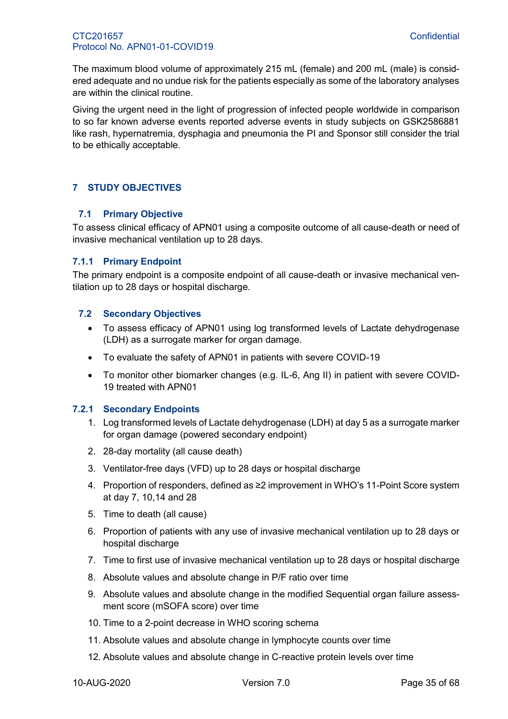The maximum blood volume of approximately 215 mL (female) and 200 mL (male) is considered adequate and no undue risk for the patients especially as some of the laboratory analyses are within the clinical routine.

Giving the urgent need in the light of progression of infected people worldwide in comparison to so far known adverse events reported adverse events in study subjects on GSK2586881 like rash, hypernatremia, dysphagia and pneumonia the PI and Sponsor still consider the trial to be ethically acceptable.

# <span id="page-34-1"></span><span id="page-34-0"></span>**7 STUDY OBJECTIVES**

# **7.1 Primary Objective**

To assess clinical efficacy of APN01 using a composite outcome of all cause-death or need of invasive mechanical ventilation up to 28 days.

# <span id="page-34-2"></span>**7.1.1 Primary Endpoint**

The primary endpoint is a composite endpoint of all cause-death or invasive mechanical ventilation up to 28 days or hospital discharge.

# <span id="page-34-3"></span>**7.2 Secondary Objectives**

- To assess efficacy of APN01 using log transformed levels of Lactate dehydrogenase (LDH) as a surrogate marker for organ damage.
- To evaluate the safety of APN01 in patients with severe COVID-19
- To monitor other biomarker changes (e.g. IL-6, Ang II) in patient with severe COVID-19 treated with APN01

# <span id="page-34-4"></span>**7.2.1 Secondary Endpoints**

- 1. Log transformed levels of Lactate dehydrogenase (LDH) at day 5 as a surrogate marker for organ damage (powered secondary endpoint)
- 2. 28-day mortality (all cause death)
- 3. Ventilator-free days (VFD) up to 28 days or hospital discharge
- 4. Proportion of responders, defined as ≥2 improvement in WHO's 11-Point Score system at day 7, 10,14 and 28
- 5. Time to death (all cause)
- 6. Proportion of patients with any use of invasive mechanical ventilation up to 28 days or hospital discharge
- 7. Time to first use of invasive mechanical ventilation up to 28 days or hospital discharge
- 8. Absolute values and absolute change in P/F ratio over time
- 9. Absolute values and absolute change in the modified Sequential organ failure assessment score (mSOFA score) over time
- 10. Time to a 2-point decrease in WHO scoring schema
- 11. Absolute values and absolute change in lymphocyte counts over time
- 12. Absolute values and absolute change in C-reactive protein levels over time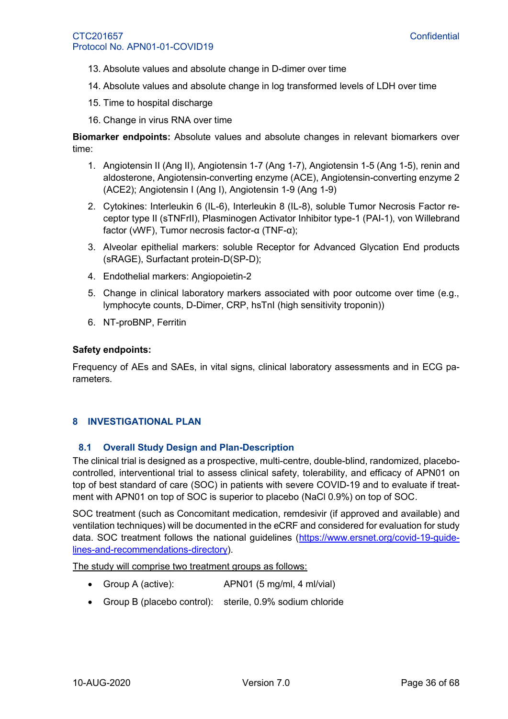- 13. Absolute values and absolute change in D-dimer over time
- 14. Absolute values and absolute change in log transformed levels of LDH over time
- 15. Time to hospital discharge
- 16. Change in virus RNA over time

**Biomarker endpoints:** Absolute values and absolute changes in relevant biomarkers over time:

- 1. Angiotensin II (Ang II), Angiotensin 1-7 (Ang 1-7), Angiotensin 1-5 (Ang 1-5), renin and aldosterone, Angiotensin-converting enzyme (ACE), Angiotensin-converting enzyme 2 (ACE2); Angiotensin I (Ang I), Angiotensin 1-9 (Ang 1-9)
- 2. Cytokines: Interleukin 6 (IL-6), Interleukin 8 (IL-8), soluble Tumor Necrosis Factor receptor type II (sTNFrII), Plasminogen Activator Inhibitor type-1 (PAI-1), von Willebrand factor (vWF), Tumor necrosis factor-α (TNF-α);
- 3. Alveolar epithelial markers: soluble Receptor for Advanced Glycation End products (sRAGE), Surfactant protein-D(SP-D);
- 4. Endothelial markers: Angiopoietin-2
- 5. Change in clinical laboratory markers associated with poor outcome over time (e.g., lymphocyte counts, D-Dimer, CRP, hsTnI (high sensitivity troponin))
- 6. NT-proBNP, Ferritin

#### **Safety endpoints:**

Frequency of AEs and SAEs, in vital signs, clinical laboratory assessments and in ECG parameters.

#### <span id="page-35-1"></span><span id="page-35-0"></span>**8 INVESTIGATIONAL PLAN**

#### **8.1 Overall Study Design and Plan-Description**

The clinical trial is designed as a prospective, multi-centre, double-blind, randomized, placebocontrolled, interventional trial to assess clinical safety, tolerability, and efficacy of APN01 on top of best standard of care (SOC) in patients with severe COVID-19 and to evaluate if treatment with APN01 on top of SOC is superior to placebo (NaCl 0.9%) on top of SOC.

SOC treatment (such as Concomitant medication, remdesivir (if approved and available) and ventilation techniques) will be documented in the eCRF and considered for evaluation for study data. SOC treatment follows the national guidelines [\(https://www.ersnet.org/covid-19-guide](https://www.ersnet.org/covid-19-guidelines-and-recommendations-directory)[lines-and-recommendations-directory\)](https://www.ersnet.org/covid-19-guidelines-and-recommendations-directory).

The study will comprise two treatment groups as follows:

- Group A (active): APN01 (5 mg/ml, 4 ml/vial)
- Group B (placebo control): sterile, 0.9% sodium chloride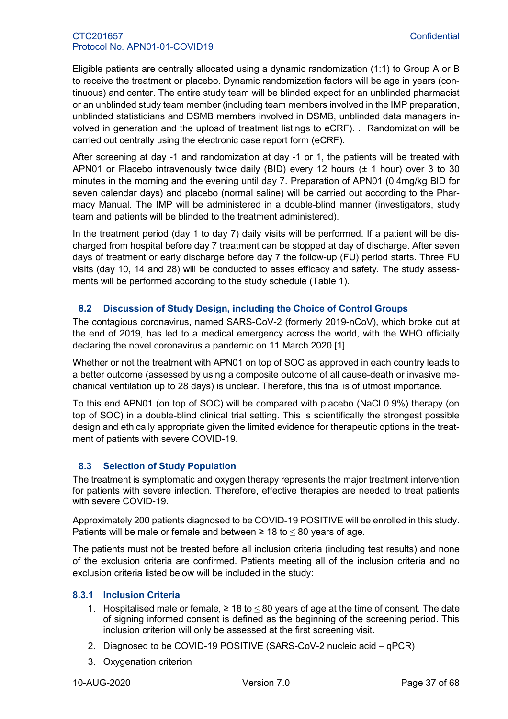Eligible patients are centrally allocated using a dynamic randomization (1:1) to Group A or B to receive the treatment or placebo. Dynamic randomization factors will be age in years (continuous) and center. The entire study team will be blinded expect for an unblinded pharmacist or an unblinded study team member (including team members involved in the IMP preparation, unblinded statisticians and DSMB members involved in DSMB, unblinded data managers involved in generation and the upload of treatment listings to eCRF). . Randomization will be carried out centrally using the electronic case report form (eCRF).

After screening at day -1 and randomization at day -1 or 1, the patients will be treated with APN01 or Placebo intravenously twice daily (BID) every 12 hours (± 1 hour) over 3 to 30 minutes in the morning and the evening until day 7. Preparation of APN01 (0.4mg/kg BID for seven calendar days) and placebo (normal saline) will be carried out according to the Pharmacy Manual. The IMP will be administered in a double-blind manner (investigators, study team and patients will be blinded to the treatment administered).

In the treatment period (day 1 to day 7) daily visits will be performed. If a patient will be discharged from hospital before day 7 treatment can be stopped at day of discharge. After seven days of treatment or early discharge before day 7 the follow-up (FU) period starts. Three FU visits (day 10, 14 and 28) will be conducted to asses efficacy and safety. The study assessments will be performed according to the study schedule [\(Table 1\)](#page-14-0).

# <span id="page-36-0"></span>**8.2 Discussion of Study Design, including the Choice of Control Groups**

The contagious coronavirus, named SARS-CoV-2 (formerly 2019-nCoV), which broke out at the end of 2019, has led to a medical emergency across the world, with the WHO officially declaring the novel coronavirus a pandemic on 11 March 2020 [\[1\]](#page-27-2).

Whether or not the treatment with APN01 on top of SOC as approved in each country leads to a better outcome (assessed by using a composite outcome of all cause-death or invasive mechanical ventilation up to 28 days) is unclear. Therefore, this trial is of utmost importance.

To this end APN01 (on top of SOC) will be compared with placebo (NaCl 0.9%) therapy (on top of SOC) in a double-blind clinical trial setting. This is scientifically the strongest possible design and ethically appropriate given the limited evidence for therapeutic options in the treatment of patients with severe COVID-19.

# <span id="page-36-1"></span>**8.3 Selection of Study Population**

The treatment is symptomatic and oxygen therapy represents the major treatment intervention for patients with severe infection. Therefore, effective therapies are needed to treat patients with severe COVID-19.

Approximately 200 patients diagnosed to be COVID-19 POSITIVE will be enrolled in this study. Patients will be male or female and between  $\geq 18$  to  $\leq 80$  years of age.

The patients must not be treated before all inclusion criteria (including test results) and none of the exclusion criteria are confirmed. Patients meeting all of the inclusion criteria and no exclusion criteria listed below will be included in the study:

# <span id="page-36-2"></span>**8.3.1 Inclusion Criteria**

- 1. Hospitalised male or female,  $≥ 18$  to  $≤ 80$  years of age at the time of consent. The date of signing informed consent is defined as the beginning of the screening period. This inclusion criterion will only be assessed at the first screening visit.
- 2. Diagnosed to be COVID-19 POSITIVE (SARS-CoV-2 nucleic acid qPCR)
- 3. Oxygenation criterion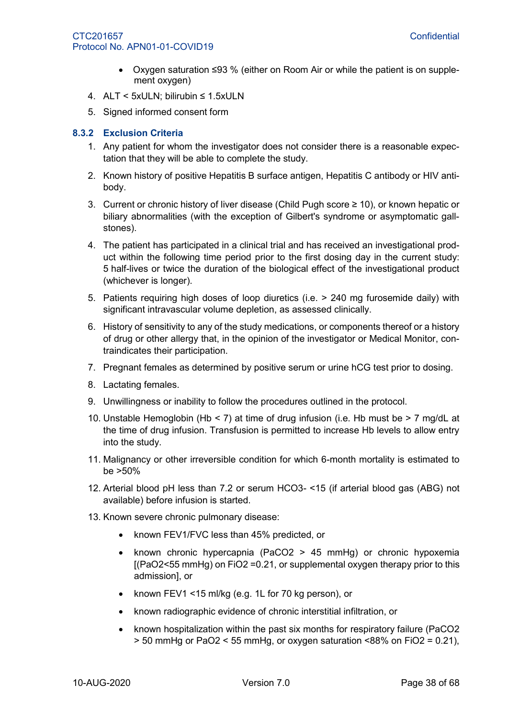- Oxygen saturation ≤93 % (either on Room Air or while the patient is on supplement oxygen)
- 4. ALT < 5xULN; bilirubin ≤ 1.5xULN
- 5. Signed informed consent form

# <span id="page-37-0"></span>**8.3.2 Exclusion Criteria**

- 1. Any patient for whom the investigator does not consider there is a reasonable expectation that they will be able to complete the study.
- 2. Known history of positive Hepatitis B surface antigen, Hepatitis C antibody or HIV antibody.
- 3. Current or chronic history of liver disease (Child Pugh score ≥ 10), or known hepatic or biliary abnormalities (with the exception of Gilbert's syndrome or asymptomatic gallstones).
- 4. The patient has participated in a clinical trial and has received an investigational product within the following time period prior to the first dosing day in the current study: 5 half-lives or twice the duration of the biological effect of the investigational product (whichever is longer).
- 5. Patients requiring high doses of loop diuretics (i.e. > 240 mg furosemide daily) with significant intravascular volume depletion, as assessed clinically.
- 6. History of sensitivity to any of the study medications, or components thereof or a history of drug or other allergy that, in the opinion of the investigator or Medical Monitor, contraindicates their participation.
- 7. Pregnant females as determined by positive serum or urine hCG test prior to dosing.
- 8. Lactating females.
- 9. Unwillingness or inability to follow the procedures outlined in the protocol.
- 10. Unstable Hemoglobin (Hb < 7) at time of drug infusion (i.e. Hb must be > 7 mg/dL at the time of drug infusion. Transfusion is permitted to increase Hb levels to allow entry into the study.
- 11. Malignancy or other irreversible condition for which 6-month mortality is estimated to be >50%
- 12. Arterial blood pH less than 7.2 or serum HCO3- <15 (if arterial blood gas (ABG) not available) before infusion is started.
- 13. Known severe chronic pulmonary disease:
	- known FEV1/FVC less than 45% predicted, or
	- known chronic hypercapnia (PaCO2 > 45 mmHg) or chronic hypoxemia [(PaO2<55 mmHg) on FiO2 =0.21, or supplemental oxygen therapy prior to this admission], or
	- known FEV1 <15 ml/kg (e.g. 1L for 70 kg person), or
	- known radiographic evidence of chronic interstitial infiltration, or
	- known hospitalization within the past six months for respiratory failure (PaCO2 > 50 mmHg or PaO2 < 55 mmHg, or oxygen saturation <88% on FiO2 = 0.21),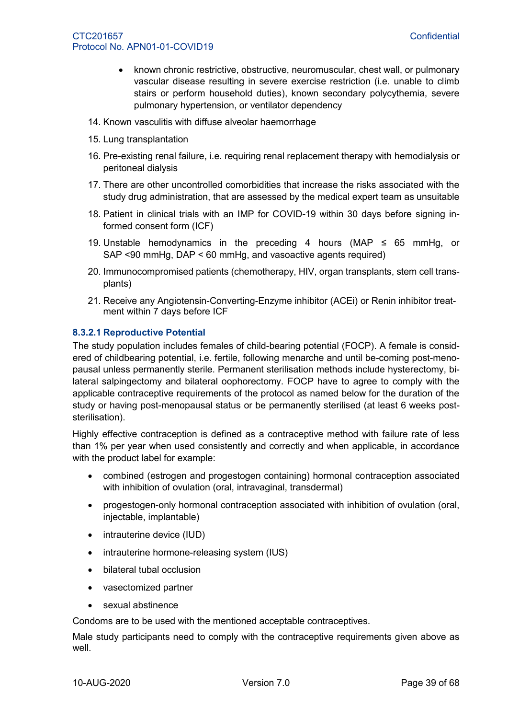- known chronic restrictive, obstructive, neuromuscular, chest wall, or pulmonary vascular disease resulting in severe exercise restriction (i.e. unable to climb stairs or perform household duties), known secondary polycythemia, severe pulmonary hypertension, or ventilator dependency
- 14. Known vasculitis with diffuse alveolar haemorrhage
- 15. Lung transplantation
- 16. Pre-existing renal failure, i.e. requiring renal replacement therapy with hemodialysis or peritoneal dialysis
- 17. There are other uncontrolled comorbidities that increase the risks associated with the study drug administration, that are assessed by the medical expert team as unsuitable
- 18. Patient in clinical trials with an IMP for COVID-19 within 30 days before signing informed consent form (ICF)
- 19. Unstable hemodynamics in the preceding 4 hours (MAP  $\leq$  65 mmHg, or SAP <90 mmHg, DAP < 60 mmHg, and vasoactive agents required)
- 20. Immunocompromised patients (chemotherapy, HIV, organ transplants, stem cell transplants)
- 21. Receive any Angiotensin-Converting-Enzyme inhibitor (ACEi) or Renin inhibitor treatment within 7 days before ICF

# **8.3.2.1 Reproductive Potential**

The study population includes females of child-bearing potential (FOCP). A female is considered of childbearing potential, i.e. fertile, following menarche and until be-coming post-menopausal unless permanently sterile. Permanent sterilisation methods include hysterectomy, bilateral salpingectomy and bilateral oophorectomy. FOCP have to agree to comply with the applicable contraceptive requirements of the protocol as named below for the duration of the study or having post-menopausal status or be permanently sterilised (at least 6 weeks poststerilisation).

Highly effective contraception is defined as a contraceptive method with failure rate of less than 1% per year when used consistently and correctly and when applicable, in accordance with the product label for example:

- combined (estrogen and progestogen containing) hormonal contraception associated with inhibition of ovulation (oral, intravaginal, transdermal)
- progestogen-only hormonal contraception associated with inhibition of ovulation (oral, injectable, implantable)
- intrauterine device (IUD)
- intrauterine hormone-releasing system (IUS)
- bilateral tubal occlusion
- vasectomized partner
- sexual abstinence

Condoms are to be used with the mentioned acceptable contraceptives.

Male study participants need to comply with the contraceptive requirements given above as well.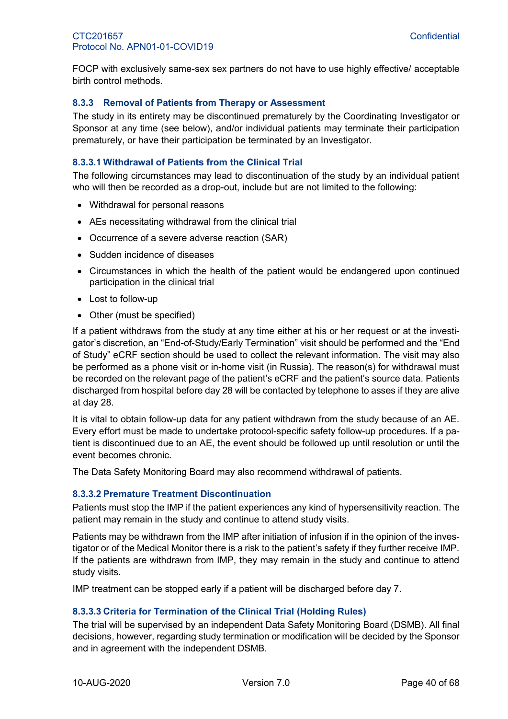FOCP with exclusively same-sex sex partners do not have to use highly effective/ acceptable birth control methods.

#### <span id="page-39-0"></span>**8.3.3 Removal of Patients from Therapy or Assessment**

The study in its entirety may be discontinued prematurely by the Coordinating Investigator or Sponsor at any time (see below), and/or individual patients may terminate their participation prematurely, or have their participation be terminated by an Investigator.

#### **8.3.3.1 Withdrawal of Patients from the Clinical Trial**

The following circumstances may lead to discontinuation of the study by an individual patient who will then be recorded as a drop-out, include but are not limited to the following:

- Withdrawal for personal reasons
- AEs necessitating withdrawal from the clinical trial
- Occurrence of a severe adverse reaction (SAR)
- Sudden incidence of diseases
- Circumstances in which the health of the patient would be endangered upon continued participation in the clinical trial
- Lost to follow-up
- Other (must be specified)

If a patient withdraws from the study at any time either at his or her request or at the investigator's discretion, an "End-of-Study/Early Termination" visit should be performed and the "End of Study" eCRF section should be used to collect the relevant information. The visit may also be performed as a phone visit or in-home visit (in Russia). The reason(s) for withdrawal must be recorded on the relevant page of the patient's eCRF and the patient's source data. Patients discharged from hospital before day 28 will be contacted by telephone to asses if they are alive at day 28.

It is vital to obtain follow-up data for any patient withdrawn from the study because of an AE. Every effort must be made to undertake protocol-specific safety follow-up procedures. If a patient is discontinued due to an AE, the event should be followed up until resolution or until the event becomes chronic.

The Data Safety Monitoring Board may also recommend withdrawal of patients.

#### **8.3.3.2 Premature Treatment Discontinuation**

Patients must stop the IMP if the patient experiences any kind of hypersensitivity reaction. The patient may remain in the study and continue to attend study visits.

Patients may be withdrawn from the IMP after initiation of infusion if in the opinion of the investigator or of the Medical Monitor there is a risk to the patient's safety if they further receive IMP. If the patients are withdrawn from IMP, they may remain in the study and continue to attend study visits.

IMP treatment can be stopped early if a patient will be discharged before day 7.

#### **8.3.3.3 Criteria for Termination of the Clinical Trial (Holding Rules)**

The trial will be supervised by an independent Data Safety Monitoring Board (DSMB). All final decisions, however, regarding study termination or modification will be decided by the Sponsor and in agreement with the independent DSMB.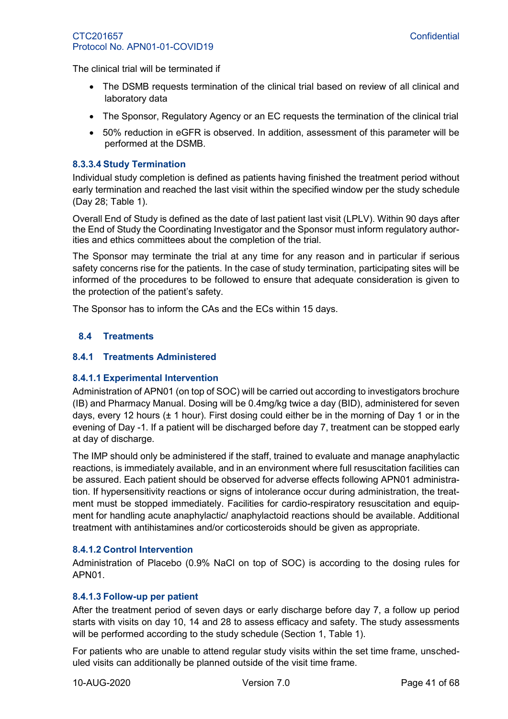The clinical trial will be terminated if

- The DSMB requests termination of the clinical trial based on review of all clinical and laboratory data
- The Sponsor, Regulatory Agency or an EC requests the termination of the clinical trial
- 50% reduction in eGFR is observed. In addition, assessment of this parameter will be performed at the DSMB.

#### **8.3.3.4 Study Termination**

Individual study completion is defined as patients having finished the treatment period without early termination and reached the last visit within the specified window per the study schedule (Day 28; [Table 1\)](#page-14-0).

Overall End of Study is defined as the date of last patient last visit (LPLV). Within 90 days after the End of Study the Coordinating Investigator and the Sponsor must inform regulatory authorities and ethics committees about the completion of the trial.

The Sponsor may terminate the trial at any time for any reason and in particular if serious safety concerns rise for the patients. In the case of study termination, participating sites will be informed of the procedures to be followed to ensure that adequate consideration is given to the protection of the patient's safety.

The Sponsor has to inform the CAs and the ECs within 15 days.

# <span id="page-40-0"></span>**8.4 Treatments**

#### <span id="page-40-1"></span>**8.4.1 Treatments Administered**

#### **8.4.1.1 Experimental Intervention**

Administration of APN01 (on top of SOC) will be carried out according to investigators brochure (IB) and Pharmacy Manual. Dosing will be 0.4mg/kg twice a day (BID), administered for seven days, every 12 hours (± 1 hour). First dosing could either be in the morning of Day 1 or in the evening of Day -1. If a patient will be discharged before day 7, treatment can be stopped early at day of discharge.

The IMP should only be administered if the staff, trained to evaluate and manage anaphylactic reactions, is immediately available, and in an environment where full resuscitation facilities can be assured. Each patient should be observed for adverse effects following APN01 administration. If hypersensitivity reactions or signs of intolerance occur during administration, the treatment must be stopped immediately. Facilities for cardio-respiratory resuscitation and equipment for handling acute anaphylactic/ anaphylactoid reactions should be available. Additional treatment with antihistamines and/or corticosteroids should be given as appropriate.

#### **8.4.1.2 Control Intervention**

Administration of Placebo (0.9% NaCl on top of SOC) is according to the dosing rules for APN01.

#### **8.4.1.3 Follow-up per patient**

After the treatment period of seven days or early discharge before day 7, a follow up period starts with visits on day 10, 14 and 28 to assess efficacy and safety. The study assessments will be performed according to the study schedule (Section [1,](#page-13-0) [Table 1\)](#page-14-0).

For patients who are unable to attend regular study visits within the set time frame, unscheduled visits can additionally be planned outside of the visit time frame.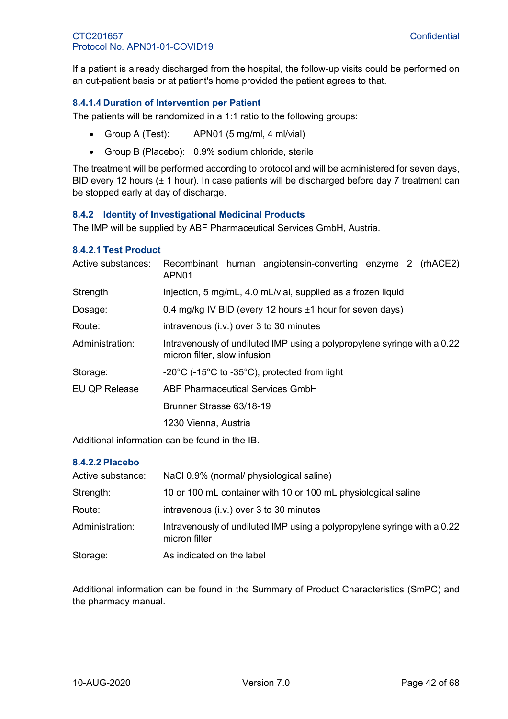If a patient is already discharged from the hospital, the follow-up visits could be performed on an out-patient basis or at patient's home provided the patient agrees to that.

# **8.4.1.4 Duration of Intervention per Patient**

The patients will be randomized in a 1:1 ratio to the following groups:

- Group A (Test): APN01 (5 mg/ml, 4 ml/vial)
- Group B (Placebo): 0.9% sodium chloride, sterile

The treatment will be performed according to protocol and will be administered for seven days, BID every 12 hours ( $\pm$  1 hour). In case patients will be discharged before day 7 treatment can be stopped early at day of discharge.

# <span id="page-41-0"></span>**8.4.2 Identity of Investigational Medicinal Products**

The IMP will be supplied by ABF Pharmaceutical Services GmbH, Austria.

#### **8.4.2.1 Test Product**

| Recombinant human angiotensin-converting enzyme 2 (rhACE2)<br>APN <sub>01</sub>                          |  |  |
|----------------------------------------------------------------------------------------------------------|--|--|
| Injection, 5 mg/mL, 4.0 mL/vial, supplied as a frozen liquid                                             |  |  |
| 0.4 mg/kg IV BID (every 12 hours ±1 hour for seven days)                                                 |  |  |
| intravenous (i.v.) over 3 to 30 minutes                                                                  |  |  |
| Intravenously of undiluted IMP using a polypropylene syringe with a 0.22<br>micron filter, slow infusion |  |  |
| $-20^{\circ}$ C ( $-15^{\circ}$ C to $-35^{\circ}$ C), protected from light                              |  |  |
| <b>ABF Pharmaceutical Services GmbH</b>                                                                  |  |  |
| Brunner Strasse 63/18-19                                                                                 |  |  |
| 1230 Vienna, Austria                                                                                     |  |  |
|                                                                                                          |  |  |

Additional information can be found in the IB.

#### **8.4.2.2 Placebo**

| Active substance: | NaCl 0.9% (normal/ physiological saline)                                                  |
|-------------------|-------------------------------------------------------------------------------------------|
| Strength:         | 10 or 100 mL container with 10 or 100 mL physiological saline                             |
| Route:            | intravenous (i.v.) over 3 to 30 minutes                                                   |
| Administration:   | Intravenously of undiluted IMP using a polypropylene syringe with a 0.22<br>micron filter |
| Storage:          | As indicated on the label                                                                 |

Additional information can be found in the Summary of Product Characteristics (SmPC) and the pharmacy manual.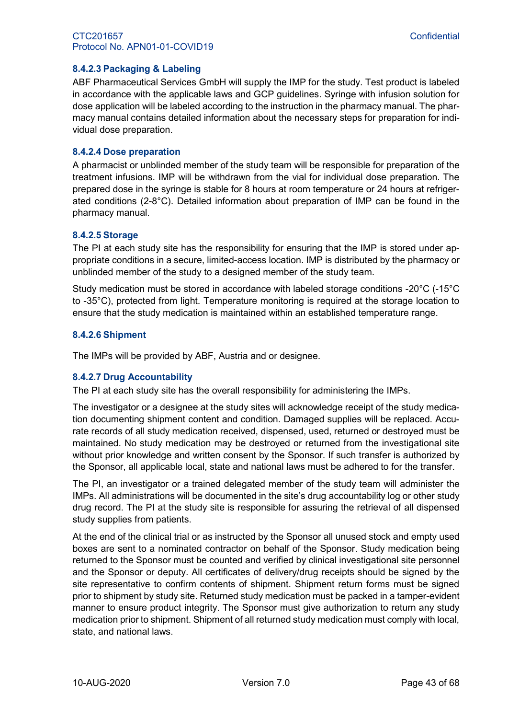### **8.4.2.3 Packaging & Labeling**

ABF Pharmaceutical Services GmbH will supply the IMP for the study. Test product is labeled in accordance with the applicable laws and GCP guidelines. Syringe with infusion solution for dose application will be labeled according to the instruction in the pharmacy manual. The pharmacy manual contains detailed information about the necessary steps for preparation for individual dose preparation.

#### **8.4.2.4 Dose preparation**

A pharmacist or unblinded member of the study team will be responsible for preparation of the treatment infusions. IMP will be withdrawn from the vial for individual dose preparation. The prepared dose in the syringe is stable for 8 hours at room temperature or 24 hours at refrigerated conditions (2-8°C). Detailed information about preparation of IMP can be found in the pharmacy manual.

#### **8.4.2.5 Storage**

The PI at each study site has the responsibility for ensuring that the IMP is stored under appropriate conditions in a secure, limited-access location. IMP is distributed by the pharmacy or unblinded member of the study to a designed member of the study team.

Study medication must be stored in accordance with labeled storage conditions -20°C (-15°C to -35°C), protected from light. Temperature monitoring is required at the storage location to ensure that the study medication is maintained within an established temperature range.

#### **8.4.2.6 Shipment**

The IMPs will be provided by ABF, Austria and or designee.

#### **8.4.2.7 Drug Accountability**

The PI at each study site has the overall responsibility for administering the IMPs.

The investigator or a designee at the study sites will acknowledge receipt of the study medication documenting shipment content and condition. Damaged supplies will be replaced. Accurate records of all study medication received, dispensed, used, returned or destroyed must be maintained. No study medication may be destroyed or returned from the investigational site without prior knowledge and written consent by the Sponsor. If such transfer is authorized by the Sponsor, all applicable local, state and national laws must be adhered to for the transfer.

The PI, an investigator or a trained delegated member of the study team will administer the IMPs. All administrations will be documented in the site's drug accountability log or other study drug record. The PI at the study site is responsible for assuring the retrieval of all dispensed study supplies from patients.

At the end of the clinical trial or as instructed by the Sponsor all unused stock and empty used boxes are sent to a nominated contractor on behalf of the Sponsor. Study medication being returned to the Sponsor must be counted and verified by clinical investigational site personnel and the Sponsor or deputy. All certificates of delivery/drug receipts should be signed by the site representative to confirm contents of shipment. Shipment return forms must be signed prior to shipment by study site. Returned study medication must be packed in a tamper-evident manner to ensure product integrity. The Sponsor must give authorization to return any study medication prior to shipment. Shipment of all returned study medication must comply with local, state, and national laws.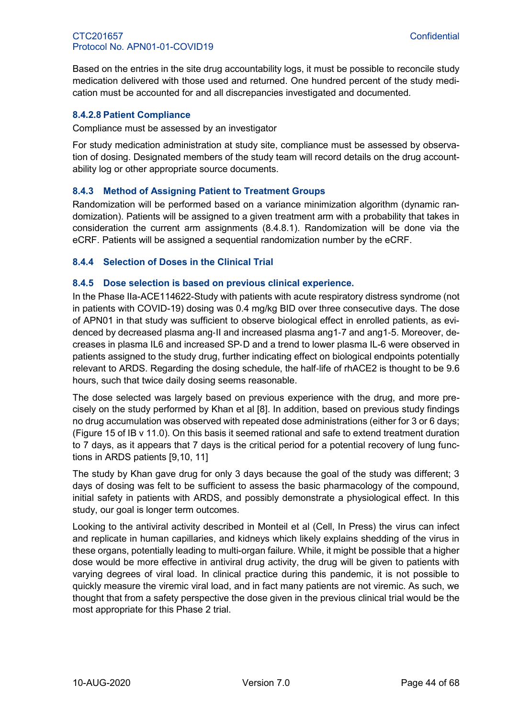Based on the entries in the site drug accountability logs, it must be possible to reconcile study medication delivered with those used and returned. One hundred percent of the study medication must be accounted for and all discrepancies investigated and documented.

#### **8.4.2.8 Patient Compliance**

Compliance must be assessed by an investigator

For study medication administration at study site, compliance must be assessed by observation of dosing. Designated members of the study team will record details on the drug accountability log or other appropriate source documents.

# <span id="page-43-0"></span>**8.4.3 Method of Assigning Patient to Treatment Groups**

Randomization will be performed based on a variance minimization algorithm (dynamic randomization). Patients will be assigned to a given treatment arm with a probability that takes in consideration the current arm assignments [\(8.4.8.1\)](#page-44-3). Randomization will be done via the eCRF. Patients will be assigned a sequential randomization number by the eCRF.

# <span id="page-43-1"></span>**8.4.4 Selection of Doses in the Clinical Trial**

#### <span id="page-43-2"></span>**8.4.5 Dose selection is based on previous clinical experience.**

In the Phase IIa-ACE114622-Study with patients with acute respiratory distress syndrome (not in patients with COVID-19) dosing was 0.4 mg/kg BID over three consecutive days. The dose of APN01 in that study was sufficient to observe biological effect in enrolled patients, as evidenced by decreased plasma ang‐II and increased plasma ang1‐7 and ang1‐5. Moreover, decreases in plasma IL6 and increased SP‐D and a trend to lower plasma IL-6 were observed in patients assigned to the study drug, further indicating effect on biological endpoints potentially relevant to ARDS. Regarding the dosing schedule, the half‐life of rhACE2 is thought to be 9.6 hours, such that twice daily dosing seems reasonable.

The dose selected was largely based on previous experience with the drug, and more precisely on the study performed by Khan et al [8]. In addition, based on previous study findings no drug accumulation was observed with repeated dose administrations (either for 3 or 6 days; (Figure 15 of IB v 11.0). On this basis it seemed rational and safe to extend treatment duration to 7 days, as it appears that 7 days is the critical period for a potential recovery of lung functions in ARDS patients [9,10, 11]

The study by Khan gave drug for only 3 days because the goal of the study was different; 3 days of dosing was felt to be sufficient to assess the basic pharmacology of the compound, initial safety in patients with ARDS, and possibly demonstrate a physiological effect. In this study, our goal is longer term outcomes.

Looking to the antiviral activity described in Monteil et al (Cell, In Press) the virus can infect and replicate in human capillaries, and kidneys which likely explains shedding of the virus in these organs, potentially leading to multi-organ failure. While, it might be possible that a higher dose would be more effective in antiviral drug activity, the drug will be given to patients with varying degrees of viral load. In clinical practice during this pandemic, it is not possible to quickly measure the viremic viral load, and in fact many patients are not viremic. As such, we thought that from a safety perspective the dose given in the previous clinical trial would be the most appropriate for this Phase 2 trial.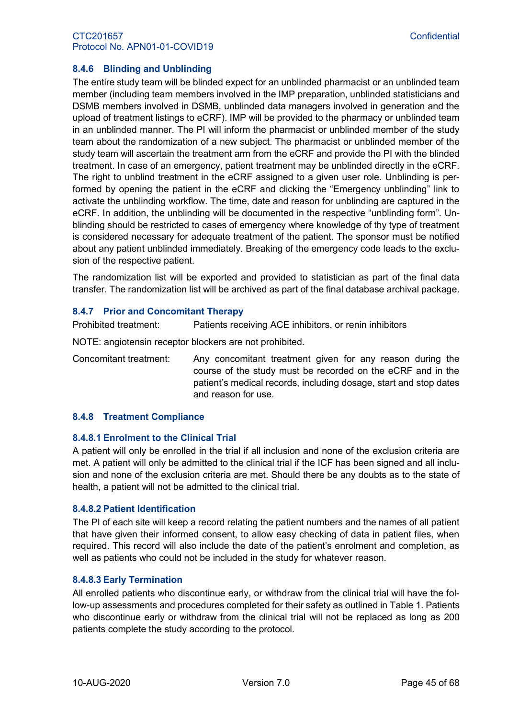# <span id="page-44-0"></span>**8.4.6 Blinding and Unblinding**

The entire study team will be blinded expect for an unblinded pharmacist or an unblinded team member (including team members involved in the IMP preparation, unblinded statisticians and DSMB members involved in DSMB, unblinded data managers involved in generation and the upload of treatment listings to eCRF). IMP will be provided to the pharmacy or unblinded team in an unblinded manner. The PI will inform the pharmacist or unblinded member of the study team about the randomization of a new subject. The pharmacist or unblinded member of the study team will ascertain the treatment arm from the eCRF and provide the PI with the blinded treatment. In case of an emergency, patient treatment may be unblinded directly in the eCRF. The right to unblind treatment in the eCRF assigned to a given user role. Unblinding is performed by opening the patient in the eCRF and clicking the "Emergency unblinding" link to activate the unblinding workflow. The time, date and reason for unblinding are captured in the eCRF. In addition, the unblinding will be documented in the respective "unblinding form". Unblinding should be restricted to cases of emergency where knowledge of thy type of treatment is considered necessary for adequate treatment of the patient. The sponsor must be notified about any patient unblinded immediately. Breaking of the emergency code leads to the exclusion of the respective patient.

The randomization list will be exported and provided to statistician as part of the final data transfer. The randomization list will be archived as part of the final database archival package.

# <span id="page-44-1"></span>**8.4.7 Prior and Concomitant Therapy**

Prohibited treatment: Patients receiving ACE inhibitors, or renin inhibitors

NOTE: angiotensin receptor blockers are not prohibited.

Concomitant treatment: Any concomitant treatment given for any reason during the course of the study must be recorded on the eCRF and in the patient's medical records, including dosage, start and stop dates and reason for use.

#### <span id="page-44-2"></span>**8.4.8 Treatment Compliance**

#### <span id="page-44-3"></span>**8.4.8.1 Enrolment to the Clinical Trial**

A patient will only be enrolled in the trial if all inclusion and none of the exclusion criteria are met. A patient will only be admitted to the clinical trial if the ICF has been signed and all inclusion and none of the exclusion criteria are met. Should there be any doubts as to the state of health, a patient will not be admitted to the clinical trial.

#### **8.4.8.2 Patient Identification**

The PI of each site will keep a record relating the patient numbers and the names of all patient that have given their informed consent, to allow easy checking of data in patient files, when required. This record will also include the date of the patient's enrolment and completion, as well as patients who could not be included in the study for whatever reason.

#### **8.4.8.3 Early Termination**

All enrolled patients who discontinue early, or withdraw from the clinical trial will have the follow-up assessments and procedures completed for their safety as outlined in [Table 1.](#page-14-0) Patients who discontinue early or withdraw from the clinical trial will not be replaced as long as 200 patients complete the study according to the protocol.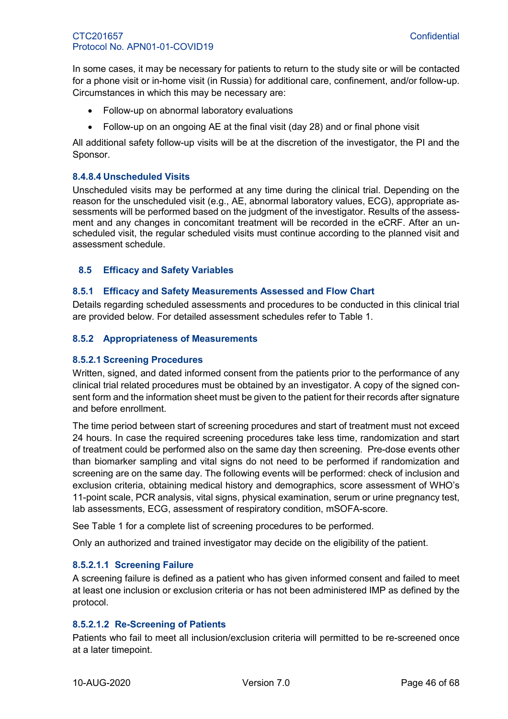In some cases, it may be necessary for patients to return to the study site or will be contacted for a phone visit or in-home visit (in Russia) for additional care, confinement, and/or follow-up. Circumstances in which this may be necessary are:

- Follow-up on abnormal laboratory evaluations
- Follow-up on an ongoing AE at the final visit (day 28) and or final phone visit

All additional safety follow-up visits will be at the discretion of the investigator, the PI and the Sponsor.

#### **8.4.8.4 Unscheduled Visits**

Unscheduled visits may be performed at any time during the clinical trial. Depending on the reason for the unscheduled visit (e.g., AE, abnormal laboratory values, ECG), appropriate assessments will be performed based on the judgment of the investigator. Results of the assessment and any changes in concomitant treatment will be recorded in the eCRF. After an unscheduled visit, the regular scheduled visits must continue according to the planned visit and assessment schedule.

# <span id="page-45-0"></span>**8.5 Efficacy and Safety Variables**

#### <span id="page-45-1"></span>**8.5.1 Efficacy and Safety Measurements Assessed and Flow Chart**

Details regarding scheduled assessments and procedures to be conducted in this clinical trial are provided below. For detailed assessment schedules refer to [Table 1.](#page-14-0)

#### <span id="page-45-2"></span>**8.5.2 Appropriateness of Measurements**

#### **8.5.2.1 Screening Procedures**

Written, signed, and dated informed consent from the patients prior to the performance of any clinical trial related procedures must be obtained by an investigator. A copy of the signed consent form and the information sheet must be given to the patient for their records after signature and before enrollment.

The time period between start of screening procedures and start of treatment must not exceed 24 hours. In case the required screening procedures take less time, randomization and start of treatment could be performed also on the same day then screening. Pre-dose events other than biomarker sampling and vital signs do not need to be performed if randomization and screening are on the same day. The following events will be performed: check of inclusion and exclusion criteria, obtaining medical history and demographics, score assessment of WHO's 11-point scale, PCR analysis, vital signs, physical examination, serum or urine pregnancy test, lab assessments, ECG, assessment of respiratory condition, mSOFA-score.

See [Table 1](#page-14-0) for a complete list of screening procedures to be performed.

Only an authorized and trained investigator may decide on the eligibility of the patient.

#### **8.5.2.1.1 Screening Failure**

A screening failure is defined as a patient who has given informed consent and failed to meet at least one inclusion or exclusion criteria or has not been administered IMP as defined by the protocol.

#### **8.5.2.1.2 Re-Screening of Patients**

Patients who fail to meet all inclusion/exclusion criteria will permitted to be re-screened once at a later timepoint.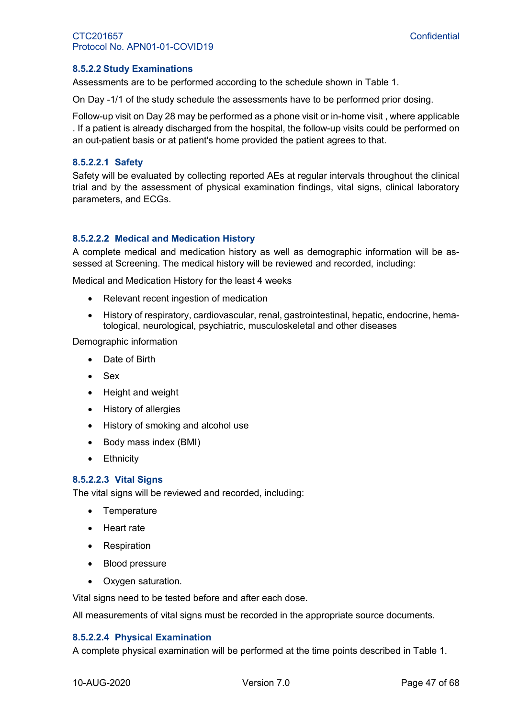# **8.5.2.2 Study Examinations**

Assessments are to be performed according to the schedule shown in [Table 1.](#page-14-0)

On Day -1/1 of the study schedule the assessments have to be performed prior dosing.

Follow-up visit on Day 28 may be performed as a phone visit or in-home visit, where applicable . If a patient is already discharged from the hospital, the follow-up visits could be performed on an out-patient basis or at patient's home provided the patient agrees to that.

#### **8.5.2.2.1 Safety**

Safety will be evaluated by collecting reported AEs at regular intervals throughout the clinical trial and by the assessment of physical examination findings, vital signs, clinical laboratory parameters, and ECGs.

#### **8.5.2.2.2 Medical and Medication History**

A complete medical and medication history as well as demographic information will be assessed at Screening. The medical history will be reviewed and recorded, including:

Medical and Medication History for the least 4 weeks

- Relevant recent ingestion of medication
- History of respiratory, cardiovascular, renal, gastrointestinal, hepatic, endocrine, hematological, neurological, psychiatric, musculoskeletal and other diseases

Demographic information

- Date of Birth
- Sex
- Height and weight
- History of allergies
- History of smoking and alcohol use
- Body mass index (BMI)
- Ethnicity

#### **8.5.2.2.3 Vital Signs**

The vital signs will be reviewed and recorded, including:

- **Temperature**
- Heart rate
- Respiration
- Blood pressure
- Oxygen saturation.

Vital signs need to be tested before and after each dose.

All measurements of vital signs must be recorded in the appropriate source documents.

#### **8.5.2.2.4 Physical Examination**

A complete physical examination will be performed at the time points described in [Table 1.](#page-14-0)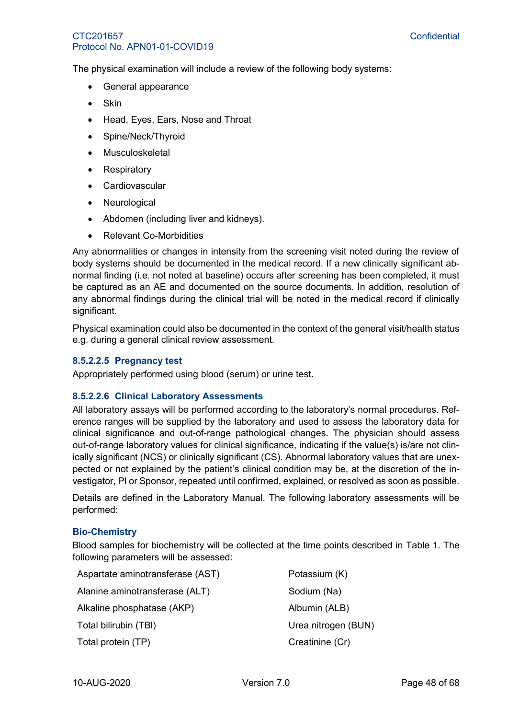The physical examination will include a review of the following body systems:

- General appearance
- Skin
- Head, Eyes, Ears, Nose and Throat
- Spine/Neck/Thyroid
- Musculoskeletal
- Respiratory
- Cardiovascular
- Neurological
- Abdomen (including liver and kidneys).
- Relevant Co-Morbidities

Any abnormalities or changes in intensity from the screening visit noted during the review of body systems should be documented in the medical record. If a new clinically significant abnormal finding (i.e. not noted at baseline) occurs after screening has been completed, it must be captured as an AE and documented on the source documents. In addition, resolution of any abnormal findings during the clinical trial will be noted in the medical record if clinically significant.

Physical examination could also be documented in the context of the general visit/health status e.g. during a general clinical review assessment.

#### **8.5.2.2.5 Pregnancy test**

Appropriately performed using blood (serum) or urine test.

#### **8.5.2.2.6 Clinical Laboratory Assessments**

All laboratory assays will be performed according to the laboratory's normal procedures. Reference ranges will be supplied by the laboratory and used to assess the laboratory data for clinical significance and out-of-range pathological changes. The physician should assess out-of-range laboratory values for clinical significance, indicating if the value(s) is/are not clinically significant (NCS) or clinically significant (CS). Abnormal laboratory values that are unexpected or not explained by the patient's clinical condition may be, at the discretion of the investigator, PI or Sponsor, repeated until confirmed, explained, or resolved as soon as possible.

Details are defined in the Laboratory Manual. The following laboratory assessments will be performed:

#### **Bio-Chemistry**

Blood samples for biochemistry will be collected at the time points described in [Table 1.](#page-14-0) The following parameters will be assessed:

| Aspartate aminotransferase (AST) | Potassium (K)       |
|----------------------------------|---------------------|
| Alanine aminotransferase (ALT)   | Sodium (Na)         |
| Alkaline phosphatase (AKP)       | Albumin (ALB)       |
| Total bilirubin (TBI)            | Urea nitrogen (BUN) |
| Total protein (TP)               | Creatinine (Cr)     |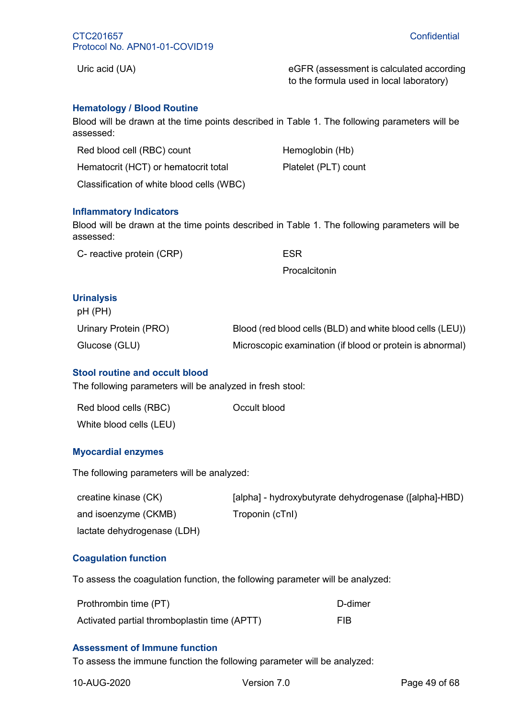Uric acid (UA) eGFR (assessment is calculated according  $\epsilon$ to the formula used in local laboratory)

# **Hematology / Blood Routine**

Blood will be drawn at the time points described in [Table 1.](#page-14-0) The following parameters will be assessed:

| Red blood cell (RBC) count                | Hemoglobin (Hb)      |
|-------------------------------------------|----------------------|
| Hematocrit (HCT) or hematocrit total      | Platelet (PLT) count |
| Classification of white blood cells (WBC) |                      |

#### **Inflammatory Indicators**

Blood will be drawn at the time points described in Table 1. The following parameters will be assessed:

| <b>ESR</b> |
|------------|
|            |

**Procalcitonin** 

# **Urinalysis**

| $pH$ (PH)             |                                                           |
|-----------------------|-----------------------------------------------------------|
| Urinary Protein (PRO) | Blood (red blood cells (BLD) and white blood cells (LEU)) |
| Glucose (GLU)         | Microscopic examination (if blood or protein is abnormal) |

# **Stool routine and occult blood**

The following parameters will be analyzed in fresh stool:

| Red blood cells (RBC)   | Occult blood |
|-------------------------|--------------|
| White blood cells (LEU) |              |

#### **Myocardial enzymes**

The following parameters will be analyzed:

| creatine kinase (CK)        | [alpha] - hydroxybutyrate dehydrogenase ([alpha]-HBD) |
|-----------------------------|-------------------------------------------------------|
| and isoenzyme (CKMB)        | Troponin (cTnl)                                       |
| lactate dehydrogenase (LDH) |                                                       |

# **Coagulation function**

To assess the coagulation function, the following parameter will be analyzed:

| Prothrombin time (PT)                        | D-dimer    |
|----------------------------------------------|------------|
| Activated partial thromboplastin time (APTT) | <b>FIB</b> |

#### **Assessment of Immune function**

To assess the immune function the following parameter will be analyzed: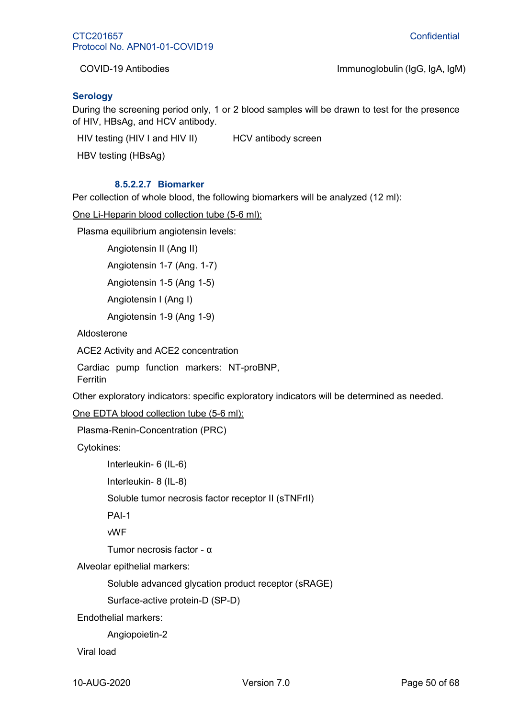COVID-19 Antibodies Immunoglobulin (IgG, IgA, IgM)

# **Serology**

During the screening period only, 1 or 2 blood samples will be drawn to test for the presence of HIV, HBsAg, and HCV antibody.

HIV testing (HIV I and HIV II) HCV antibody screen

HBV testing (HBsAg)

#### **8.5.2.2.7 Biomarker**

Per collection of whole blood, the following biomarkers will be analyzed (12 ml):

One Li-Heparin blood collection tube (5-6 ml):

Plasma equilibrium angiotensin levels:

Angiotensin II (Ang II)

Angiotensin 1-7 (Ang. 1-7)

Angiotensin 1-5 (Ang 1-5)

Angiotensin I (Ang I)

Angiotensin 1-9 (Ang 1-9)

Aldosterone

ACE2 Activity and ACE2 concentration

Cardiac pump function markers: NT-proBNP, Ferritin

Other exploratory indicators: specific exploratory indicators will be determined as needed.

One EDTA blood collection tube (5-6 ml):

Plasma-Renin-Concentration (PRC)

Cytokines:

Interleukin- 6 (IL-6)

Interleukin- 8 (IL-8)

Soluble tumor necrosis factor receptor II (sTNFrII)

PAI-1

vWF

Tumor necrosis factor - α

Alveolar epithelial markers:

Soluble advanced glycation product receptor (sRAGE)

Surface-active protein-D (SP-D)

Endothelial markers:

Angiopoietin-2

Viral load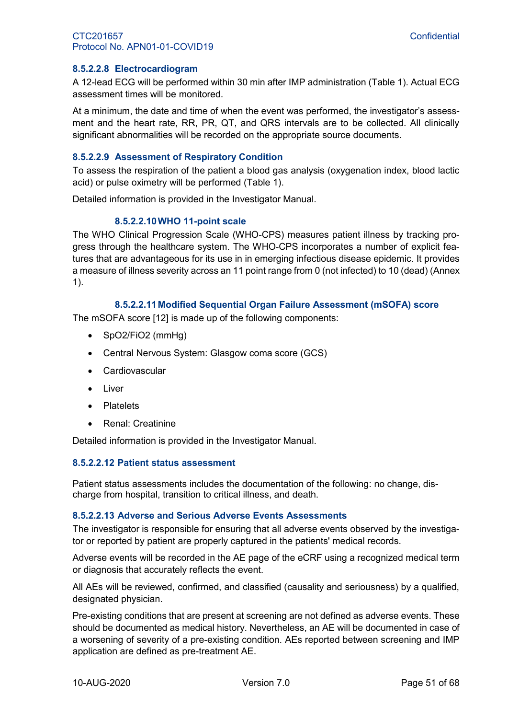#### **8.5.2.2.8 Electrocardiogram**

A 12-lead ECG will be performed within 30 min after IMP administration [\(Table 1\)](#page-14-0). Actual ECG assessment times will be monitored.

At a minimum, the date and time of when the event was performed, the investigator's assessment and the heart rate, RR, PR, QT, and QRS intervals are to be collected. All clinically significant abnormalities will be recorded on the appropriate source documents.

#### **8.5.2.2.9 Assessment of Respiratory Condition**

To assess the respiration of the patient a blood gas analysis (oxygenation index, blood lactic acid) or pulse oximetry will be performed [\(Table 1\)](#page-14-0).

Detailed information is provided in the Investigator Manual.

#### **8.5.2.2.10WHO 11-point scale**

The WHO Clinical Progression Scale (WHO-CPS) measures patient illness by tracking progress through the healthcare system. The WHO-CPS incorporates a number of explicit features that are advantageous for its use in in emerging infectious disease epidemic. It provides a measure of illness severity across an 11 point range from 0 (not infected) to 10 (dead) (Annex 1).

#### **8.5.2.2.11Modified Sequential Organ Failure Assessment (mSOFA) score**

The mSOFA score [12] is made up of the following components:

- SpO2/FiO2 (mmHg)
- Central Nervous System: Glasgow coma score (GCS)
- Cardiovascular
- Liver
- Platelets
- Renal: Creatinine

Detailed information is provided in the Investigator Manual.

#### **8.5.2.2.12 Patient status assessment**

Patient status assessments includes the documentation of the following: no change, discharge from hospital, transition to critical illness, and death.

#### **8.5.2.2.13 Adverse and Serious Adverse Events Assessments**

The investigator is responsible for ensuring that all adverse events observed by the investigator or reported by patient are properly captured in the patients' medical records.

Adverse events will be recorded in the AE page of the eCRF using a recognized medical term or diagnosis that accurately reflects the event.

All AEs will be reviewed, confirmed, and classified (causality and seriousness) by a qualified, designated physician.

Pre-existing conditions that are present at screening are not defined as adverse events. These should be documented as medical history. Nevertheless, an AE will be documented in case of a worsening of severity of a pre-existing condition. AEs reported between screening and IMP application are defined as pre-treatment AE.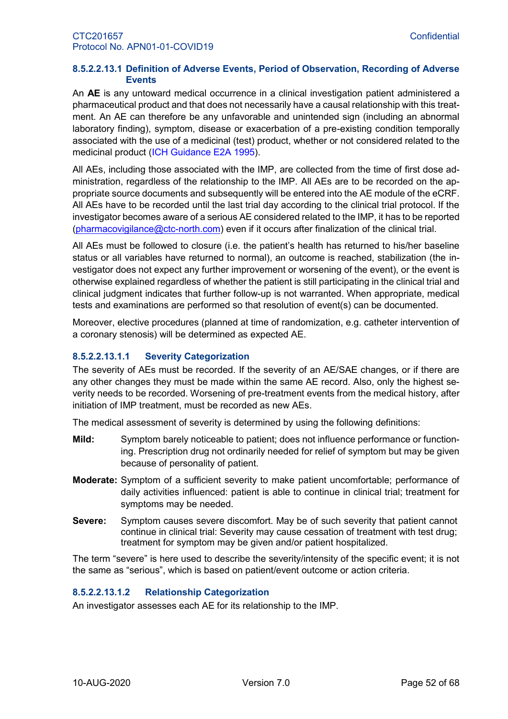#### **8.5.2.2.13.1 Definition of Adverse Events, Period of Observation, Recording of Adverse Events**

An **AE** is any untoward medical occurrence in a clinical investigation patient administered a pharmaceutical product and that does not necessarily have a causal relationship with this treatment. An AE can therefore be any unfavorable and unintended sign (including an abnormal laboratory finding), symptom, disease or exacerbation of a pre-existing condition temporally associated with the use of a medicinal (test) product, whether or not considered related to the medicinal product (ICH Guidance E2A 1995).

All AEs, including those associated with the IMP, are collected from the time of first dose administration, regardless of the relationship to the IMP. All AEs are to be recorded on the appropriate source documents and subsequently will be entered into the AE module of the eCRF. All AEs have to be recorded until the last trial day according to the clinical trial protocol. If the investigator becomes aware of a serious AE considered related to the IMP, it has to be reported [\(pharmacovigilance@ctc-north.com\)](mailto:pharmacovigilance@ctc-north.com) even if it occurs after finalization of the clinical trial.

All AEs must be followed to closure (i.e. the patient's health has returned to his/her baseline status or all variables have returned to normal), an outcome is reached, stabilization (the investigator does not expect any further improvement or worsening of the event), or the event is otherwise explained regardless of whether the patient is still participating in the clinical trial and clinical judgment indicates that further follow-up is not warranted. When appropriate, medical tests and examinations are performed so that resolution of event(s) can be documented.

Moreover, elective procedures (planned at time of randomization, e.g. catheter intervention of a coronary stenosis) will be determined as expected AE.

#### **8.5.2.2.13.1.1 Severity Categorization**

The severity of AEs must be recorded. If the severity of an AE/SAE changes, or if there are any other changes they must be made within the same AE record. Also, only the highest severity needs to be recorded. Worsening of pre-treatment events from the medical history, after initiation of IMP treatment, must be recorded as new AEs.

The medical assessment of severity is determined by using the following definitions:

- **Mild:** Symptom barely noticeable to patient; does not influence performance or functioning. Prescription drug not ordinarily needed for relief of symptom but may be given because of personality of patient.
- **Moderate:** Symptom of a sufficient severity to make patient uncomfortable; performance of daily activities influenced: patient is able to continue in clinical trial; treatment for symptoms may be needed.
- **Severe:** Symptom causes severe discomfort. May be of such severity that patient cannot continue in clinical trial: Severity may cause cessation of treatment with test drug; treatment for symptom may be given and/or patient hospitalized.

The term "severe" is here used to describe the severity/intensity of the specific event; it is not the same as "serious", which is based on patient/event outcome or action criteria.

#### **8.5.2.2.13.1.2 Relationship Categorization**

An investigator assesses each AE for its relationship to the IMP.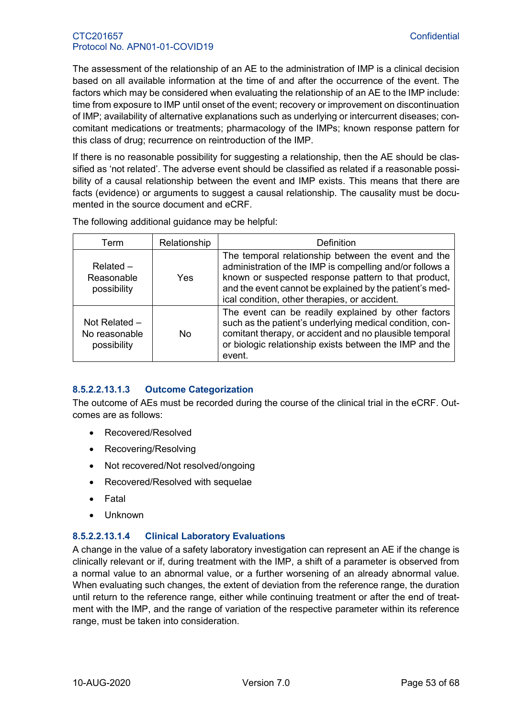The assessment of the relationship of an AE to the administration of IMP is a clinical decision based on all available information at the time of and after the occurrence of the event. The factors which may be considered when evaluating the relationship of an AE to the IMP include: time from exposure to IMP until onset of the event; recovery or improvement on discontinuation of IMP; availability of alternative explanations such as underlying or intercurrent diseases; concomitant medications or treatments; pharmacology of the IMPs; known response pattern for this class of drug; recurrence on reintroduction of the IMP.

If there is no reasonable possibility for suggesting a relationship, then the AE should be classified as 'not related'. The adverse event should be classified as related if a reasonable possibility of a causal relationship between the event and IMP exists. This means that there are facts (evidence) or arguments to suggest a causal relationship. The causality must be documented in the source document and eCRF.

| Term                                            | Relationship | Definition                                                                                                                                                                                                                                                                          |
|-------------------------------------------------|--------------|-------------------------------------------------------------------------------------------------------------------------------------------------------------------------------------------------------------------------------------------------------------------------------------|
| $Related -$<br>Reasonable<br>possibility        | Yes          | The temporal relationship between the event and the<br>administration of the IMP is compelling and/or follows a<br>known or suspected response pattern to that product,<br>and the event cannot be explained by the patient's med-<br>ical condition, other therapies, or accident. |
| Not Related $-$<br>No reasonable<br>possibility | No           | The event can be readily explained by other factors<br>such as the patient's underlying medical condition, con-<br>comitant therapy, or accident and no plausible temporal<br>or biologic relationship exists between the IMP and the<br>event.                                     |

The following additional guidance may be helpful:

# **8.5.2.2.13.1.3 Outcome Categorization**

The outcome of AEs must be recorded during the course of the clinical trial in the eCRF. Outcomes are as follows:

- Recovered/Resolved
- Recovering/Resolving
- Not recovered/Not resolved/ongoing
- Recovered/Resolved with sequelae
- **Fatal**
- Unknown

# **8.5.2.2.13.1.4 Clinical Laboratory Evaluations**

A change in the value of a safety laboratory investigation can represent an AE if the change is clinically relevant or if, during treatment with the IMP, a shift of a parameter is observed from a normal value to an abnormal value, or a further worsening of an already abnormal value. When evaluating such changes, the extent of deviation from the reference range, the duration until return to the reference range, either while continuing treatment or after the end of treatment with the IMP, and the range of variation of the respective parameter within its reference range, must be taken into consideration.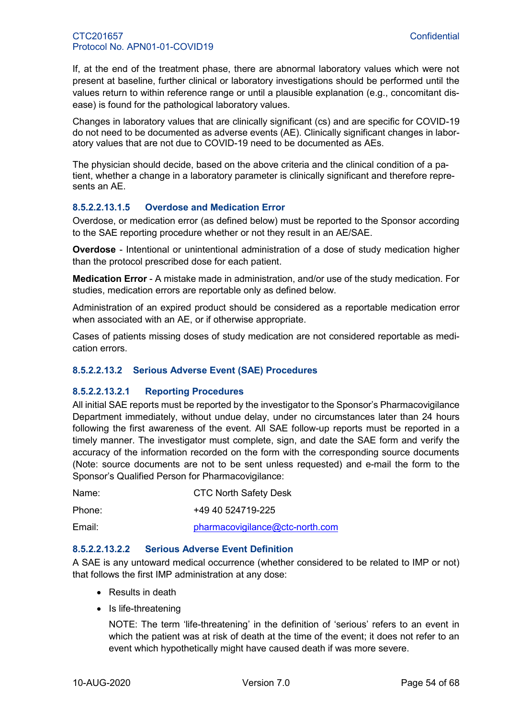If, at the end of the treatment phase, there are abnormal laboratory values which were not present at baseline, further clinical or laboratory investigations should be performed until the values return to within reference range or until a plausible explanation (e.g., concomitant disease) is found for the pathological laboratory values.

Changes in laboratory values that are clinically significant (cs) and are specific for COVID-19 do not need to be documented as adverse events (AE). Clinically significant changes in laboratory values that are not due to COVID-19 need to be documented as AEs.

The physician should decide, based on the above criteria and the clinical condition of a patient, whether a change in a laboratory parameter is clinically significant and therefore represents an AE.

# **8.5.2.2.13.1.5 Overdose and Medication Error**

Overdose, or medication error (as defined below) must be reported to the Sponsor according to the SAE reporting procedure whether or not they result in an AE/SAE.

**Overdose** - Intentional or unintentional administration of a dose of study medication higher than the protocol prescribed dose for each patient.

**Medication Error** - A mistake made in administration, and/or use of the study medication. For studies, medication errors are reportable only as defined below.

Administration of an expired product should be considered as a reportable medication error when associated with an AE, or if otherwise appropriate.

Cases of patients missing doses of study medication are not considered reportable as medication errors.

#### **8.5.2.2.13.2 Serious Adverse Event (SAE) Procedures**

#### **8.5.2.2.13.2.1 Reporting Procedures**

All initial SAE reports must be reported by the investigator to the Sponsor's Pharmacovigilance Department immediately, without undue delay, under no circumstances later than 24 hours following the first awareness of the event. All SAE follow-up reports must be reported in a timely manner. The investigator must complete, sign, and date the SAE form and verify the accuracy of the information recorded on the form with the corresponding source documents (Note: source documents are not to be sent unless requested) and e-mail the form to the Sponsor's Qualified Person for Pharmacovigilance:

| Name:  | <b>CTC North Safety Desk</b>    |
|--------|---------------------------------|
| Phone: | +49 40 524719-225               |
| Email: | pharmacovigilance@ctc-north.com |

#### **8.5.2.2.13.2.2 Serious Adverse Event Definition**

A SAE is any untoward medical occurrence (whether considered to be related to IMP or not) that follows the first IMP administration at any dose:

- Results in death
- Is life-threatening

NOTE: The term 'life-threatening' in the definition of 'serious' refers to an event in which the patient was at risk of death at the time of the event; it does not refer to an event which hypothetically might have caused death if was more severe.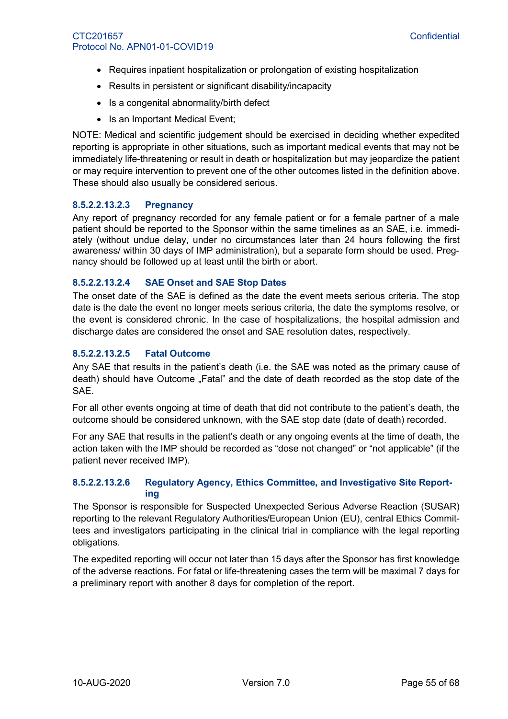- Requires inpatient hospitalization or prolongation of existing hospitalization
- Results in persistent or significant disability/incapacity
- Is a congenital abnormality/birth defect
- Is an Important Medical Event;

NOTE: Medical and scientific judgement should be exercised in deciding whether expedited reporting is appropriate in other situations, such as important medical events that may not be immediately life-threatening or result in death or hospitalization but may jeopardize the patient or may require intervention to prevent one of the other outcomes listed in the definition above. These should also usually be considered serious.

#### **8.5.2.2.13.2.3 Pregnancy**

Any report of pregnancy recorded for any female patient or for a female partner of a male patient should be reported to the Sponsor within the same timelines as an SAE, i.e. immediately (without undue delay, under no circumstances later than 24 hours following the first awareness/ within 30 days of IMP administration), but a separate form should be used. Pregnancy should be followed up at least until the birth or abort.

#### **8.5.2.2.13.2.4 SAE Onset and SAE Stop Dates**

The onset date of the SAE is defined as the date the event meets serious criteria. The stop date is the date the event no longer meets serious criteria, the date the symptoms resolve, or the event is considered chronic. In the case of hospitalizations, the hospital admission and discharge dates are considered the onset and SAE resolution dates, respectively.

# **8.5.2.2.13.2.5 Fatal Outcome**

Any SAE that results in the patient's death (i.e. the SAE was noted as the primary cause of death) should have Outcome "Fatal" and the date of death recorded as the stop date of the SAE.

For all other events ongoing at time of death that did not contribute to the patient's death, the outcome should be considered unknown, with the SAE stop date (date of death) recorded.

For any SAE that results in the patient's death or any ongoing events at the time of death, the action taken with the IMP should be recorded as "dose not changed" or "not applicable" (if the patient never received IMP).

# **8.5.2.2.13.2.6 Regulatory Agency, Ethics Committee, and Investigative Site Reporting**

The Sponsor is responsible for Suspected Unexpected Serious Adverse Reaction (SUSAR) reporting to the relevant Regulatory Authorities/European Union (EU), central Ethics Committees and investigators participating in the clinical trial in compliance with the legal reporting obligations.

The expedited reporting will occur not later than 15 days after the Sponsor has first knowledge of the adverse reactions. For fatal or life-threatening cases the term will be maximal 7 days for a preliminary report with another 8 days for completion of the report.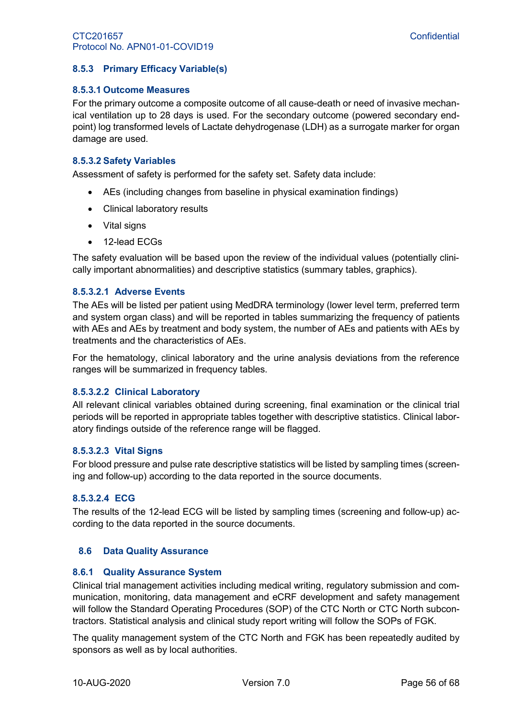# <span id="page-55-0"></span>**8.5.3 Primary Efficacy Variable(s)**

#### **8.5.3.1 Outcome Measures**

For the primary outcome a composite outcome of all cause-death or need of invasive mechanical ventilation up to 28 days is used. For the secondary outcome (powered secondary endpoint) log transformed levels of Lactate dehydrogenase (LDH) as a surrogate marker for organ damage are used.

#### **8.5.3.2 Safety Variables**

Assessment of safety is performed for the safety set. Safety data include:

- AEs (including changes from baseline in physical examination findings)
- Clinical laboratory results
- Vital signs
- 12-lead ECGs

The safety evaluation will be based upon the review of the individual values (potentially clinically important abnormalities) and descriptive statistics (summary tables, graphics).

#### **8.5.3.2.1 Adverse Events**

The AEs will be listed per patient using MedDRA terminology (lower level term, preferred term and system organ class) and will be reported in tables summarizing the frequency of patients with AEs and AEs by treatment and body system, the number of AEs and patients with AEs by treatments and the characteristics of AEs.

For the hematology, clinical laboratory and the urine analysis deviations from the reference ranges will be summarized in frequency tables.

#### **8.5.3.2.2 Clinical Laboratory**

All relevant clinical variables obtained during screening, final examination or the clinical trial periods will be reported in appropriate tables together with descriptive statistics. Clinical laboratory findings outside of the reference range will be flagged.

#### **8.5.3.2.3 Vital Signs**

For blood pressure and pulse rate descriptive statistics will be listed by sampling times (screening and follow-up) according to the data reported in the source documents.

#### **8.5.3.2.4 ECG**

The results of the 12-lead ECG will be listed by sampling times (screening and follow-up) according to the data reported in the source documents.

#### <span id="page-55-1"></span>**8.6 Data Quality Assurance**

#### <span id="page-55-2"></span>**8.6.1 Quality Assurance System**

Clinical trial management activities including medical writing, regulatory submission and communication, monitoring, data management and eCRF development and safety management will follow the Standard Operating Procedures (SOP) of the CTC North or CTC North subcontractors. Statistical analysis and clinical study report writing will follow the SOPs of FGK.

The quality management system of the CTC North and FGK has been repeatedly audited by sponsors as well as by local authorities.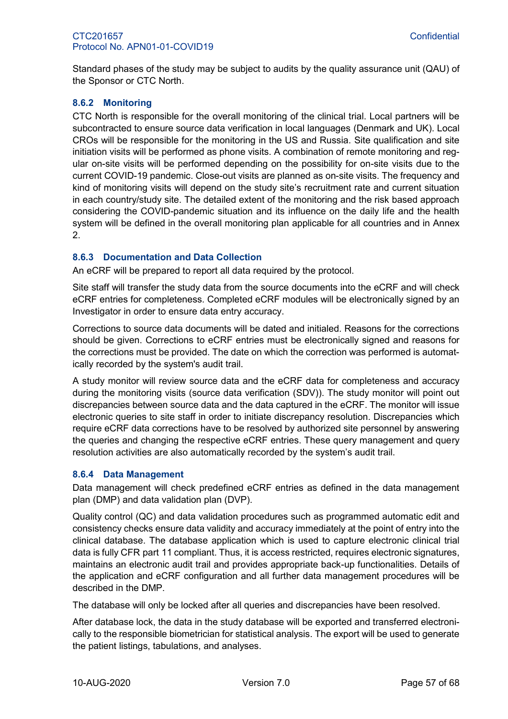Standard phases of the study may be subject to audits by the quality assurance unit (QAU) of the Sponsor or CTC North.

# <span id="page-56-0"></span>**8.6.2 Monitoring**

CTC North is responsible for the overall monitoring of the clinical trial. Local partners will be subcontracted to ensure source data verification in local languages (Denmark and UK). Local CROs will be responsible for the monitoring in the US and Russia. Site qualification and site initiation visits will be performed as phone visits. A combination of remote monitoring and regular on-site visits will be performed depending on the possibility for on-site visits due to the current COVID-19 pandemic. Close-out visits are planned as on-site visits. The frequency and kind of monitoring visits will depend on the study site's recruitment rate and current situation in each country/study site. The detailed extent of the monitoring and the risk based approach considering the COVID-pandemic situation and its influence on the daily life and the health system will be defined in the overall monitoring plan applicable for all countries and in [Annex](#page-66-0)  [2.](#page-66-0)

# <span id="page-56-1"></span>**8.6.3 Documentation and Data Collection**

An eCRF will be prepared to report all data required by the protocol.

Site staff will transfer the study data from the source documents into the eCRF and will check eCRF entries for completeness. Completed eCRF modules will be electronically signed by an Investigator in order to ensure data entry accuracy.

Corrections to source data documents will be dated and initialed. Reasons for the corrections should be given. Corrections to eCRF entries must be electronically signed and reasons for the corrections must be provided. The date on which the correction was performed is automatically recorded by the system's audit trail.

A study monitor will review source data and the eCRF data for completeness and accuracy during the monitoring visits (source data verification (SDV)). The study monitor will point out discrepancies between source data and the data captured in the eCRF. The monitor will issue electronic queries to site staff in order to initiate discrepancy resolution. Discrepancies which require eCRF data corrections have to be resolved by authorized site personnel by answering the queries and changing the respective eCRF entries. These query management and query resolution activities are also automatically recorded by the system's audit trail.

#### <span id="page-56-2"></span>**8.6.4 Data Management**

Data management will check predefined eCRF entries as defined in the data management plan (DMP) and data validation plan (DVP).

Quality control (QC) and data validation procedures such as programmed automatic edit and consistency checks ensure data validity and accuracy immediately at the point of entry into the clinical database. The database application which is used to capture electronic clinical trial data is fully CFR part 11 compliant. Thus, it is access restricted, requires electronic signatures, maintains an electronic audit trail and provides appropriate back-up functionalities. Details of the application and eCRF configuration and all further data management procedures will be described in the DMP.

The database will only be locked after all queries and discrepancies have been resolved.

After database lock, the data in the study database will be exported and transferred electronically to the responsible biometrician for statistical analysis. The export will be used to generate the patient listings, tabulations, and analyses.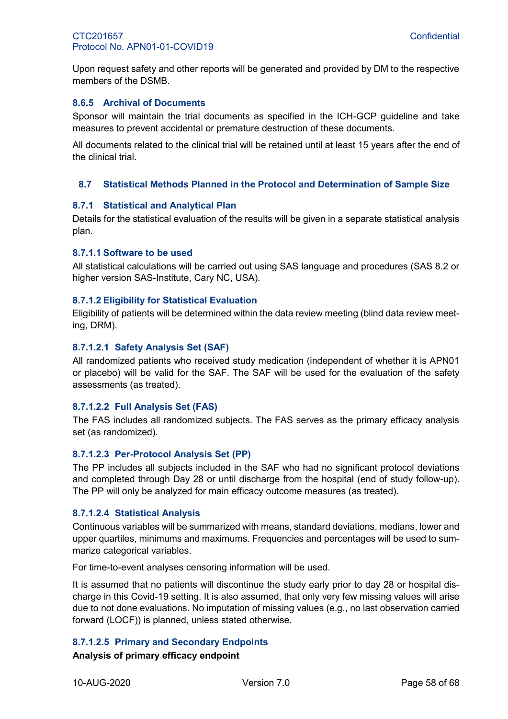Upon request safety and other reports will be generated and provided by DM to the respective members of the DSMB.

#### <span id="page-57-0"></span>**8.6.5 Archival of Documents**

Sponsor will maintain the trial documents as specified in the ICH-GCP guideline and take measures to prevent accidental or premature destruction of these documents.

All documents related to the clinical trial will be retained until at least 15 years after the end of the clinical trial.

#### <span id="page-57-1"></span>**8.7 Statistical Methods Planned in the Protocol and Determination of Sample Size**

#### <span id="page-57-2"></span>**8.7.1 Statistical and Analytical Plan**

Details for the statistical evaluation of the results will be given in a separate statistical analysis plan.

#### **8.7.1.1 Software to be used**

All statistical calculations will be carried out using SAS language and procedures (SAS 8.2 or higher version SAS-Institute, Cary NC, USA).

#### **8.7.1.2 Eligibility for Statistical Evaluation**

Eligibility of patients will be determined within the data review meeting (blind data review meeting, DRM).

#### **8.7.1.2.1 Safety Analysis Set (SAF)**

All randomized patients who received study medication (independent of whether it is APN01 or placebo) will be valid for the SAF. The SAF will be used for the evaluation of the safety assessments (as treated).

#### **8.7.1.2.2 Full Analysis Set (FAS)**

The FAS includes all randomized subjects. The FAS serves as the primary efficacy analysis set (as randomized).

#### **8.7.1.2.3 Per-Protocol Analysis Set (PP)**

The PP includes all subjects included in the SAF who had no significant protocol deviations and completed through Day 28 or until discharge from the hospital (end of study follow-up). The PP will only be analyzed for main efficacy outcome measures (as treated).

#### **8.7.1.2.4 Statistical Analysis**

Continuous variables will be summarized with means, standard deviations, medians, lower and upper quartiles, minimums and maximums. Frequencies and percentages will be used to summarize categorical variables.

For time-to-event analyses censoring information will be used.

It is assumed that no patients will discontinue the study early prior to day 28 or hospital discharge in this Covid-19 setting. It is also assumed, that only very few missing values will arise due to not done evaluations. No imputation of missing values (e.g., no last observation carried forward (LOCF)) is planned, unless stated otherwise.

#### **8.7.1.2.5 Primary and Secondary Endpoints**

#### **Analysis of primary efficacy endpoint**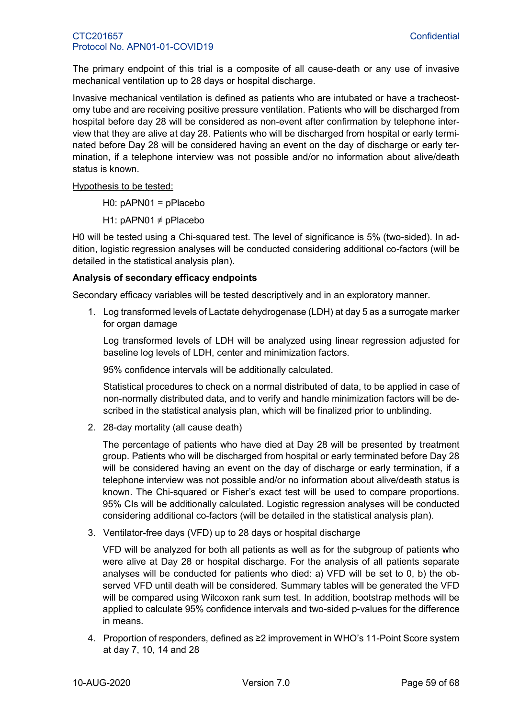The primary endpoint of this trial is a composite of all cause-death or any use of invasive mechanical ventilation up to 28 days or hospital discharge.

Invasive mechanical ventilation is defined as patients who are intubated or have a tracheostomy tube and are receiving positive pressure ventilation. Patients who will be discharged from hospital before day 28 will be considered as non-event after confirmation by telephone interview that they are alive at day 28. Patients who will be discharged from hospital or early terminated before Day 28 will be considered having an event on the day of discharge or early termination, if a telephone interview was not possible and/or no information about alive/death status is known.

Hypothesis to be tested:

H0: pAPN01 = pPlacebo

H1: pAPN01 ≠ pPlacebo

H0 will be tested using a Chi-squared test. The level of significance is 5% (two-sided). In addition, logistic regression analyses will be conducted considering additional co-factors (will be detailed in the statistical analysis plan).

# **Analysis of secondary efficacy endpoints**

Secondary efficacy variables will be tested descriptively and in an exploratory manner.

1. Log transformed levels of Lactate dehydrogenase (LDH) at day 5 as a surrogate marker for organ damage

Log transformed levels of LDH will be analyzed using linear regression adjusted for baseline log levels of LDH, center and minimization factors.

95% confidence intervals will be additionally calculated.

Statistical procedures to check on a normal distributed of data, to be applied in case of non-normally distributed data, and to verify and handle minimization factors will be described in the statistical analysis plan, which will be finalized prior to unblinding.

2. 28-day mortality (all cause death)

The percentage of patients who have died at Day 28 will be presented by treatment group. Patients who will be discharged from hospital or early terminated before Day 28 will be considered having an event on the day of discharge or early termination, if a telephone interview was not possible and/or no information about alive/death status is known. The Chi-squared or Fisher's exact test will be used to compare proportions. 95% CIs will be additionally calculated. Logistic regression analyses will be conducted considering additional co-factors (will be detailed in the statistical analysis plan).

3. Ventilator-free days (VFD) up to 28 days or hospital discharge

VFD will be analyzed for both all patients as well as for the subgroup of patients who were alive at Day 28 or hospital discharge. For the analysis of all patients separate analyses will be conducted for patients who died: a) VFD will be set to 0, b) the observed VFD until death will be considered. Summary tables will be generated the VFD will be compared using Wilcoxon rank sum test. In addition, bootstrap methods will be applied to calculate 95% confidence intervals and two-sided p-values for the difference in means.

4. Proportion of responders, defined as ≥2 improvement in WHO's 11-Point Score system at day 7, 10, 14 and 28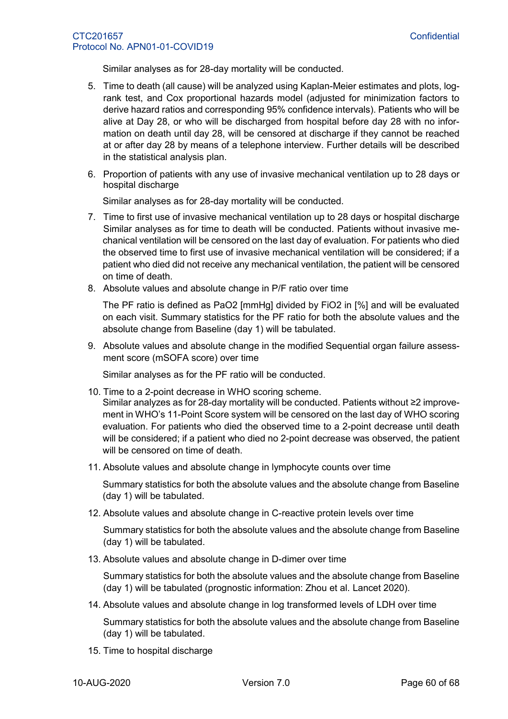Similar analyses as for 28-day mortality will be conducted.

- 5. Time to death (all cause) will be analyzed using Kaplan-Meier estimates and plots, logrank test, and Cox proportional hazards model (adjusted for minimization factors to derive hazard ratios and corresponding 95% confidence intervals). Patients who will be alive at Day 28, or who will be discharged from hospital before day 28 with no information on death until day 28, will be censored at discharge if they cannot be reached at or after day 28 by means of a telephone interview. Further details will be described in the statistical analysis plan.
- 6. Proportion of patients with any use of invasive mechanical ventilation up to 28 days or hospital discharge

Similar analyses as for 28-day mortality will be conducted.

- 7. Time to first use of invasive mechanical ventilation up to 28 days or hospital discharge Similar analyses as for time to death will be conducted. Patients without invasive mechanical ventilation will be censored on the last day of evaluation. For patients who died the observed time to first use of invasive mechanical ventilation will be considered; if a patient who died did not receive any mechanical ventilation, the patient will be censored on time of death.
- 8. Absolute values and absolute change in P/F ratio over time

The PF ratio is defined as PaO2 [mmHg] divided by FiO2 in [%] and will be evaluated on each visit. Summary statistics for the PF ratio for both the absolute values and the absolute change from Baseline (day 1) will be tabulated.

9. Absolute values and absolute change in the modified Sequential organ failure assessment score (mSOFA score) over time

Similar analyses as for the PF ratio will be conducted.

10. Time to a 2-point decrease in WHO scoring scheme.

Similar analyzes as for 28-day mortality will be conducted. Patients without ≥2 improvement in WHO's 11-Point Score system will be censored on the last day of WHO scoring evaluation. For patients who died the observed time to a 2-point decrease until death will be considered; if a patient who died no 2-point decrease was observed, the patient will be censored on time of death.

11. Absolute values and absolute change in lymphocyte counts over time

Summary statistics for both the absolute values and the absolute change from Baseline (day 1) will be tabulated.

12. Absolute values and absolute change in C-reactive protein levels over time

Summary statistics for both the absolute values and the absolute change from Baseline (day 1) will be tabulated.

13. Absolute values and absolute change in D-dimer over time

Summary statistics for both the absolute values and the absolute change from Baseline (day 1) will be tabulated (prognostic information: Zhou et al. Lancet 2020).

14. Absolute values and absolute change in log transformed levels of LDH over time

Summary statistics for both the absolute values and the absolute change from Baseline (day 1) will be tabulated.

15. Time to hospital discharge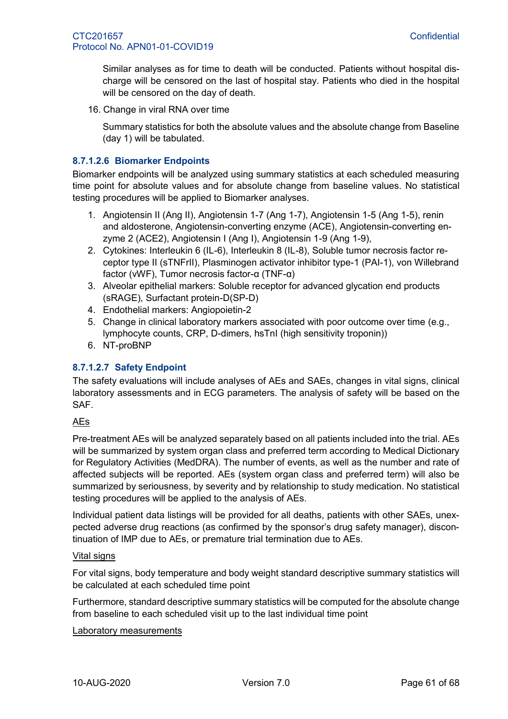Similar analyses as for time to death will be conducted. Patients without hospital discharge will be censored on the last of hospital stay. Patients who died in the hospital will be censored on the day of death.

16. Change in viral RNA over time

Summary statistics for both the absolute values and the absolute change from Baseline (day 1) will be tabulated.

#### **8.7.1.2.6 Biomarker Endpoints**

Biomarker endpoints will be analyzed using summary statistics at each scheduled measuring time point for absolute values and for absolute change from baseline values. No statistical testing procedures will be applied to Biomarker analyses.

- 1. Angiotensin II (Ang II), Angiotensin 1-7 (Ang 1-7), Angiotensin 1-5 (Ang 1-5), renin and aldosterone, Angiotensin-converting enzyme (ACE), Angiotensin-converting enzyme 2 (ACE2), Angiotensin I (Ang I), Angiotensin 1-9 (Ang 1-9),
- 2. Cytokines: Interleukin 6 (IL-6), Interleukin 8 (IL-8), Soluble tumor necrosis factor receptor type II (sTNFrII), Plasminogen activator inhibitor type-1 (PAI-1), von Willebrand factor (vWF), Tumor necrosis factor-α (TNF-α)
- 3. Alveolar epithelial markers: Soluble receptor for advanced glycation end products (sRAGE), Surfactant protein-D(SP-D)
- 4. Endothelial markers: Angiopoietin-2
- 5. Change in clinical laboratory markers associated with poor outcome over time (e.g., lymphocyte counts, CRP, D-dimers, hsTnI (high sensitivity troponin))
- 6. NT-proBNP

# **8.7.1.2.7 Safety Endpoint**

The safety evaluations will include analyses of AEs and SAEs, changes in vital signs, clinical laboratory assessments and in ECG parameters. The analysis of safety will be based on the SAF.

#### AEs

Pre-treatment AEs will be analyzed separately based on all patients included into the trial. AEs will be summarized by system organ class and preferred term according to Medical Dictionary for Regulatory Activities (MedDRA). The number of events, as well as the number and rate of affected subjects will be reported. AEs (system organ class and preferred term) will also be summarized by seriousness, by severity and by relationship to study medication. No statistical testing procedures will be applied to the analysis of AEs.

Individual patient data listings will be provided for all deaths, patients with other SAEs, unexpected adverse drug reactions (as confirmed by the sponsor's drug safety manager), discontinuation of IMP due to AEs, or premature trial termination due to AEs.

#### Vital signs

For vital signs, body temperature and body weight standard descriptive summary statistics will be calculated at each scheduled time point

Furthermore, standard descriptive summary statistics will be computed for the absolute change from baseline to each scheduled visit up to the last individual time point

#### Laboratory measurements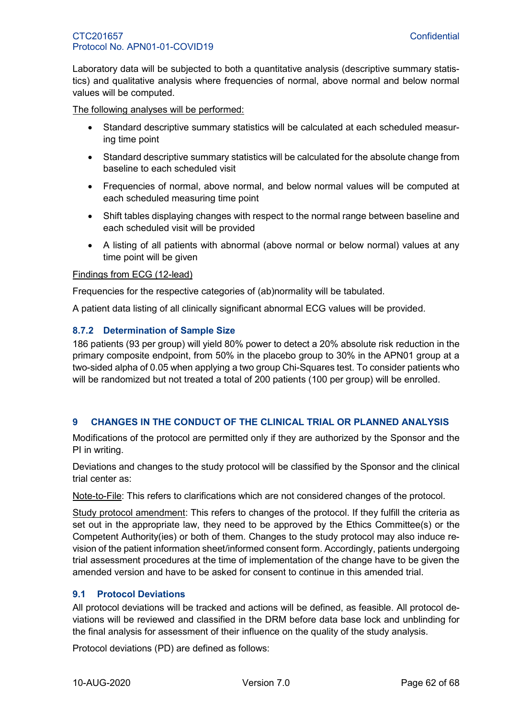Laboratory data will be subjected to both a quantitative analysis (descriptive summary statistics) and qualitative analysis where frequencies of normal, above normal and below normal values will be computed.

The following analyses will be performed:

- Standard descriptive summary statistics will be calculated at each scheduled measuring time point
- Standard descriptive summary statistics will be calculated for the absolute change from baseline to each scheduled visit
- Frequencies of normal, above normal, and below normal values will be computed at each scheduled measuring time point
- Shift tables displaying changes with respect to the normal range between baseline and each scheduled visit will be provided
- A listing of all patients with abnormal (above normal or below normal) values at any time point will be given

#### Findings from ECG (12-lead)

Frequencies for the respective categories of (ab)normality will be tabulated.

A patient data listing of all clinically significant abnormal ECG values will be provided.

#### <span id="page-61-0"></span>**8.7.2 Determination of Sample Size**

186 patients (93 per group) will yield 80% power to detect a 20% absolute risk reduction in the primary composite endpoint, from 50% in the placebo group to 30% in the APN01 group at a two-sided alpha of 0.05 when applying a two group Chi-Squares test. To consider patients who will be randomized but not treated a total of 200 patients (100 per group) will be enrolled.

#### <span id="page-61-1"></span>**9 CHANGES IN THE CONDUCT OF THE CLINICAL TRIAL OR PLANNED ANALYSIS**

Modifications of the protocol are permitted only if they are authorized by the Sponsor and the PI in writing.

Deviations and changes to the study protocol will be classified by the Sponsor and the clinical trial center as:

Note-to-File: This refers to clarifications which are not considered changes of the protocol.

Study protocol amendment: This refers to changes of the protocol. If they fulfill the criteria as set out in the appropriate law, they need to be approved by the Ethics Committee(s) or the Competent Authority(ies) or both of them. Changes to the study protocol may also induce revision of the patient information sheet/informed consent form. Accordingly, patients undergoing trial assessment procedures at the time of implementation of the change have to be given the amended version and have to be asked for consent to continue in this amended trial.

#### <span id="page-61-2"></span>**9.1 Protocol Deviations**

All protocol deviations will be tracked and actions will be defined, as feasible. All protocol deviations will be reviewed and classified in the DRM before data base lock and unblinding for the final analysis for assessment of their influence on the quality of the study analysis.

Protocol deviations (PD) are defined as follows: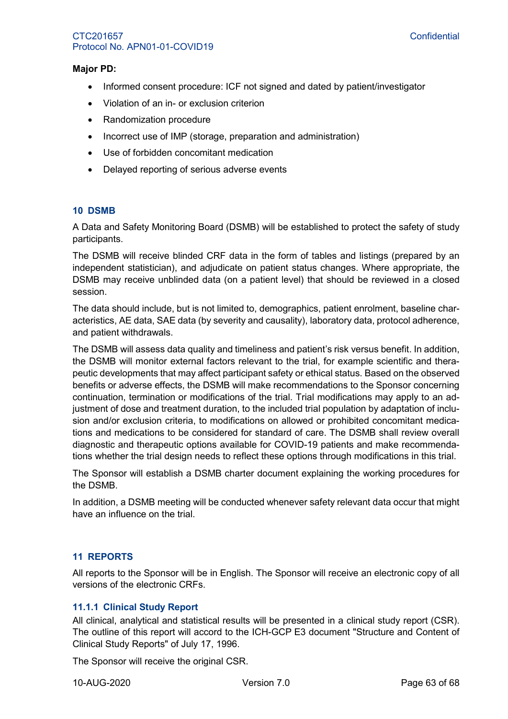#### **Major PD:**

- Informed consent procedure: ICF not signed and dated by patient/investigator
- Violation of an in- or exclusion criterion
- Randomization procedure
- Incorrect use of IMP (storage, preparation and administration)
- Use of forbidden concomitant medication
- <span id="page-62-0"></span>• Delayed reporting of serious adverse events

#### **10 DSMB**

A Data and Safety Monitoring Board (DSMB) will be established to protect the safety of study participants.

The DSMB will receive blinded CRF data in the form of tables and listings (prepared by an independent statistician), and adjudicate on patient status changes. Where appropriate, the DSMB may receive unblinded data (on a patient level) that should be reviewed in a closed session.

The data should include, but is not limited to, demographics, patient enrolment, baseline characteristics, AE data, SAE data (by severity and causality), laboratory data, protocol adherence, and patient withdrawals.

The DSMB will assess data quality and timeliness and patient's risk versus benefit. In addition, the DSMB will monitor external factors relevant to the trial, for example scientific and therapeutic developments that may affect participant safety or ethical status. Based on the observed benefits or adverse effects, the DSMB will make recommendations to the Sponsor concerning continuation, termination or modifications of the trial. Trial modifications may apply to an adjustment of dose and treatment duration, to the included trial population by adaptation of inclusion and/or exclusion criteria, to modifications on allowed or prohibited concomitant medications and medications to be considered for standard of care. The DSMB shall review overall diagnostic and therapeutic options available for COVID-19 patients and make recommendations whether the trial design needs to reflect these options through modifications in this trial.

The Sponsor will establish a DSMB charter document explaining the working procedures for the DSMB.

In addition, a DSMB meeting will be conducted whenever safety relevant data occur that might have an influence on the trial.

#### <span id="page-62-1"></span>**11 REPORTS**

All reports to the Sponsor will be in English. The Sponsor will receive an electronic copy of all versions of the electronic CRFs.

#### <span id="page-62-2"></span>**11.1.1 Clinical Study Report**

All clinical, analytical and statistical results will be presented in a clinical study report (CSR). The outline of this report will accord to the ICH-GCP E3 document "Structure and Content of Clinical Study Reports" of July 17, 1996.

The Sponsor will receive the original CSR.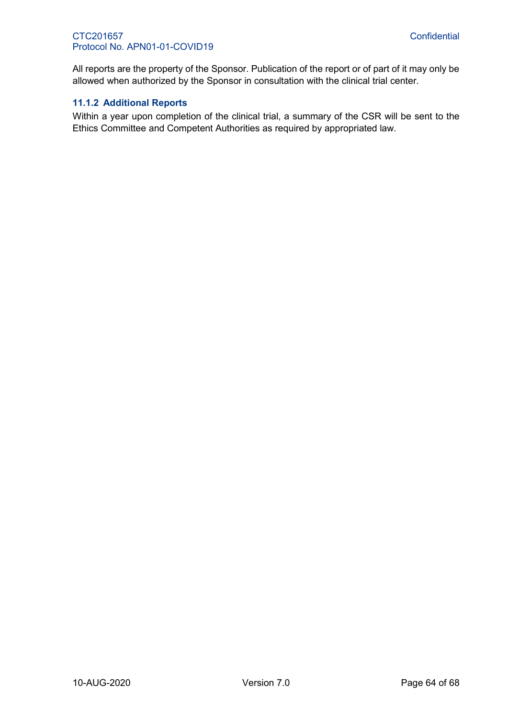All reports are the property of the Sponsor. Publication of the report or of part of it may only be allowed when authorized by the Sponsor in consultation with the clinical trial center.

#### <span id="page-63-0"></span>**11.1.2 Additional Reports**

Within a year upon completion of the clinical trial, a summary of the CSR will be sent to the Ethics Committee and Competent Authorities as required by appropriated law.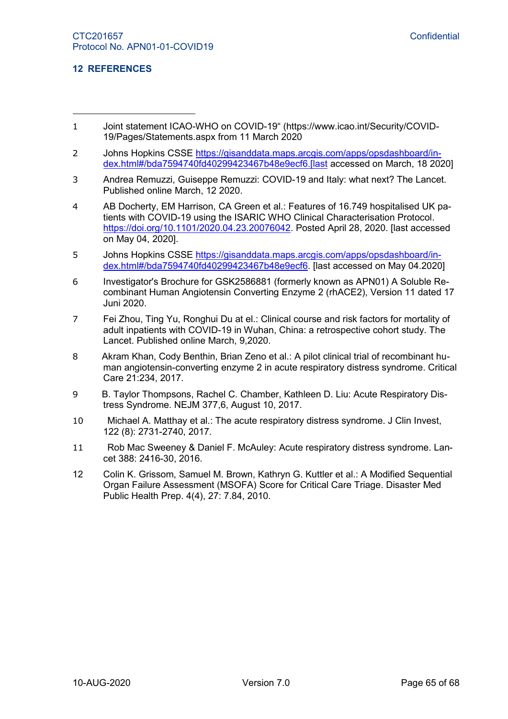#### <span id="page-64-0"></span>**12 REFERENCES**

-

- 1 Joint statement ICAO-WHO on COVID-19" (https://www.icao.int/Security/COVID-19/Pages/Statements.aspx from 11 March 2020
- 2 Johns Hopkins CSSE [https://gisanddata.maps.arcgis.com/apps/opsdashboard/in](https://gisanddata.maps.arcgis.com/apps/opsdashboard/index.html#/bda7594740fd40299423467b48e9ecf6.[last)[dex.html#/bda7594740fd40299423467b48e9ecf6.\[last](https://gisanddata.maps.arcgis.com/apps/opsdashboard/index.html#/bda7594740fd40299423467b48e9ecf6.[last) accessed on March, 18 2020]
- 3 Andrea Remuzzi, Guiseppe Remuzzi: COVID-19 and Italy: what next? The Lancet. Published online March, 12 2020.
- 4 AB Docherty, EM Harrison, CA Green et al.: Features of 16.749 hospitalised UK patients with COVID-19 using the ISARIC WHO Clinical Characterisation Protocol. [https://doi.org/10.1101/2020.04.23.20076042.](https://doi.org/10.1101/2020.04.23.20076042) Posted April 28, 2020. [last accessed on May 04, 2020].
- 5 Johns Hopkins CSSE [https://gisanddata.maps.arcgis.com/apps/opsdashboard/in](https://gisanddata.maps.arcgis.com/apps/opsdashboard/index.html#/bda7594740fd40299423467b48e9ecf6)[dex.html#/bda7594740fd40299423467b48e9ecf6.](https://gisanddata.maps.arcgis.com/apps/opsdashboard/index.html#/bda7594740fd40299423467b48e9ecf6) [last accessed on May 04.2020]
- 6 Investigator's Brochure for GSK2586881 (formerly known as APN01) A Soluble Recombinant Human Angiotensin Converting Enzyme 2 (rhACE2), Version 11 dated 17 Juni 2020.
- 7 Fei Zhou, Ting Yu, Ronghui Du at el.: Clinical course and risk factors for mortality of adult inpatients with COVID-19 in Wuhan, China: a retrospective cohort study. The Lancet. Published online March, 9,2020.
- 8 Akram Khan, Cody Benthin, Brian Zeno et al.: A pilot clinical trial of recombinant human angiotensin-converting enzyme 2 in acute respiratory distress syndrome. Critical Care 21:234, 2017.
- 9 B. Taylor Thompsons, Rachel C. Chamber, Kathleen D. Liu: Acute Respiratory Distress Syndrome. NEJM 377,6, August 10, 2017.
- 10 Michael A. Matthay et al.: The acute respiratory distress syndrome. J Clin Invest, 122 (8): 2731-2740, 2017.
- 11 Rob Mac Sweeney & Daniel F. McAuley: Acute respiratory distress syndrome. Lancet 388: 2416-30, 2016.
- 12 Colin K. Grissom, Samuel M. Brown, Kathryn G. Kuttler et al.: A Modified Sequential Organ Failure Assessment (MSOFA) Score for Critical Care Triage. Disaster Med Public Health Prep. 4(4), 27: 7.84, 2010.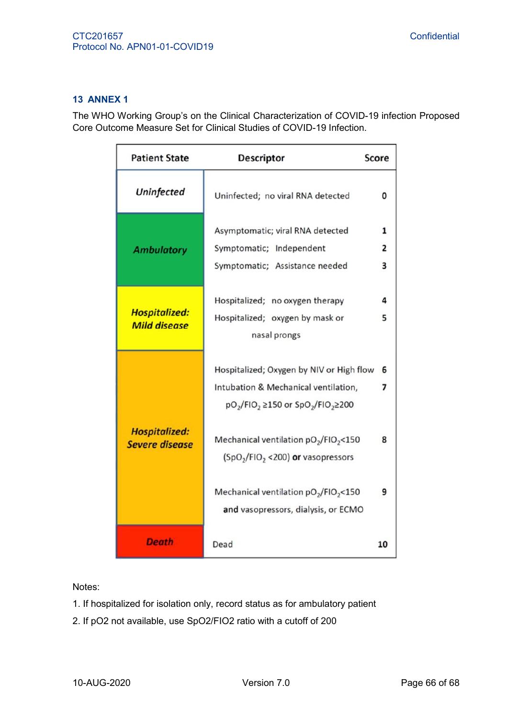# <span id="page-65-0"></span>**13 ANNEX 1**

The WHO Working Group's on the Clinical Characterization of COVID-19 infection Proposed Core Outcome Measure Set for Clinical Studies of COVID-19 Infection.

| <b>Patient State</b>                          | <b>Descriptor</b>                                                                                                                                                                                                                                                                                                                             | <b>Score</b>     |
|-----------------------------------------------|-----------------------------------------------------------------------------------------------------------------------------------------------------------------------------------------------------------------------------------------------------------------------------------------------------------------------------------------------|------------------|
| <b>Uninfected</b>                             | Uninfected; no viral RNA detected                                                                                                                                                                                                                                                                                                             | 0                |
| <b>Ambulatory</b>                             | Asymptomatic; viral RNA detected<br>Symptomatic; Independent<br>Symptomatic; Assistance needed                                                                                                                                                                                                                                                | 1<br>2<br>3      |
| <b>Hospitalized:</b><br><b>Mild disease</b>   | Hospitalized; no oxygen therapy<br>Hospitalized; oxygen by mask or<br>nasal prongs                                                                                                                                                                                                                                                            | 4<br>5           |
| <b>Hospitalized:</b><br><b>Severe disease</b> | Hospitalized; Oxygen by NIV or High flow<br>Intubation & Mechanical ventilation,<br>$pO2/FIO2 \ge 150$ or $SpO2/FIO2 \ge 200$<br>Mechanical ventilation pO <sub>2</sub> /FIO <sub>2</sub> <150<br>$(SpO2/FIO2 < 200)$ or vasopressors<br>Mechanical ventilation pO <sub>2</sub> /FIO <sub>2</sub> <150<br>and vasopressors, dialysis, or ECMO | 6<br>7<br>8<br>9 |
| <b>Death</b>                                  | Dead                                                                                                                                                                                                                                                                                                                                          | 10               |

Notes:

- 1. If hospitalized for isolation only, record status as for ambulatory patient
- 2. If pO2 not available, use SpO2/FIO2 ratio with a cutoff of 200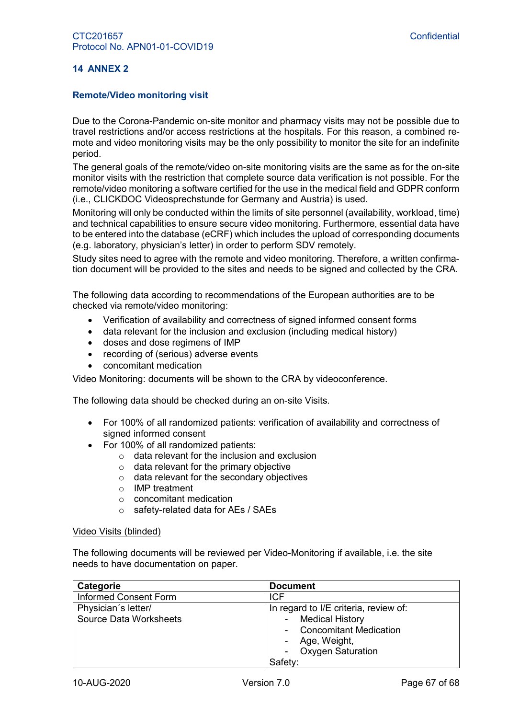#### <span id="page-66-0"></span>**14 ANNEX 2**

#### **Remote/Video monitoring visit**

Due to the Corona-Pandemic on-site monitor and pharmacy visits may not be possible due to travel restrictions and/or access restrictions at the hospitals. For this reason, a combined remote and video monitoring visits may be the only possibility to monitor the site for an indefinite period.

The general goals of the remote/video on-site monitoring visits are the same as for the on-site monitor visits with the restriction that complete source data verification is not possible. For the remote/video monitoring a software certified for the use in the medical field and GDPR conform (i.e., CLICKDOC Videosprechstunde for Germany and Austria) is used.

Monitoring will only be conducted within the limits of site personnel (availability, workload, time) and technical capabilities to ensure secure video monitoring. Furthermore, essential data have to be entered into the database (eCRF) which includes the upload of corresponding documents (e.g. laboratory, physician's letter) in order to perform SDV remotely.

Study sites need to agree with the remote and video monitoring. Therefore, a written confirmation document will be provided to the sites and needs to be signed and collected by the CRA.

The following data according to recommendations of the European authorities are to be checked via remote/video monitoring:

- Verification of availability and correctness of signed informed consent forms
- data relevant for the inclusion and exclusion (including medical history)
- doses and dose regimens of IMP
- recording of (serious) adverse events
- concomitant medication

Video Monitoring: documents will be shown to the CRA by videoconference.

The following data should be checked during an on-site Visits.

- For 100% of all randomized patients: verification of availability and correctness of signed informed consent
- For 100% of all randomized patients:
	- $\circ$  data relevant for the inclusion and exclusion
	- $\circ$  data relevant for the primary objective
	- o data relevant for the secondary objectives
	- o IMP treatment
	- o concomitant medication
	- o safety-related data for AEs / SAEs

#### Video Visits (blinded)

The following documents will be reviewed per Video-Monitoring if available, i.e. the site needs to have documentation on paper.

| Categorie                                            | <b>Document</b>                                                                                                                                         |
|------------------------------------------------------|---------------------------------------------------------------------------------------------------------------------------------------------------------|
| <b>Informed Consent Form</b>                         | <b>ICF</b>                                                                                                                                              |
| Physician's letter/<br><b>Source Data Worksheets</b> | In regard to I/E criteria, review of:<br><b>Medical History</b><br><b>Concomitant Medication</b><br>Age, Weight,<br><b>Oxygen Saturation</b><br>Safety: |